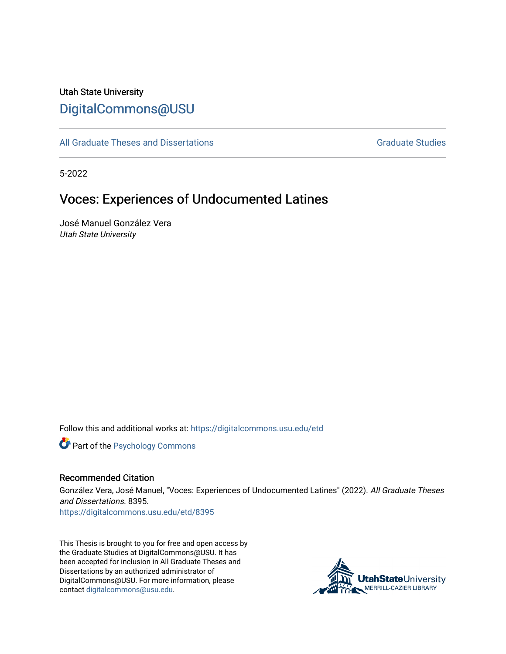## Utah State University [DigitalCommons@USU](https://digitalcommons.usu.edu/)

[All Graduate Theses and Dissertations](https://digitalcommons.usu.edu/etd) [Graduate Studies](https://digitalcommons.usu.edu/gradstudies) Graduate Studies

5-2022

# Voces: Experiences of Undocumented Latines

José Manuel González Vera Utah State University

Follow this and additional works at: [https://digitalcommons.usu.edu/etd](https://digitalcommons.usu.edu/etd?utm_source=digitalcommons.usu.edu%2Fetd%2F8395&utm_medium=PDF&utm_campaign=PDFCoverPages) 

**Part of the Psychology Commons** 

#### Recommended Citation

González Vera, José Manuel, "Voces: Experiences of Undocumented Latines" (2022). All Graduate Theses and Dissertations. 8395.

[https://digitalcommons.usu.edu/etd/8395](https://digitalcommons.usu.edu/etd/8395?utm_source=digitalcommons.usu.edu%2Fetd%2F8395&utm_medium=PDF&utm_campaign=PDFCoverPages)

This Thesis is brought to you for free and open access by the Graduate Studies at DigitalCommons@USU. It has been accepted for inclusion in All Graduate Theses and Dissertations by an authorized administrator of DigitalCommons@USU. For more information, please contact [digitalcommons@usu.edu](mailto:digitalcommons@usu.edu).

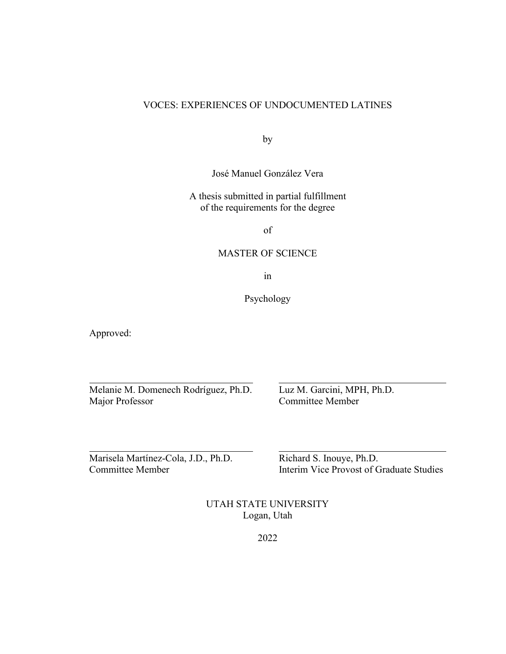## VOCES: EXPERIENCES OF UNDOCUMENTED LATINES

by

José Manuel González Vera

A thesis submitted in partial fulfillment of the requirements for the degree

of

### MASTER OF SCIENCE

in

Psychology

Approved:

Melanie M. Domenech Rodríguez, Ph.D. Luz M. Garcini, MPH, Ph.D.

Committee Member

Marisela Martínez-Cola, J.D., Ph.D. Richard S. Inouye, Ph.D.

Committee Member **Interim Vice Provost of Graduate Studies** 

UTAH STATE UNIVERSITY Logan, Utah

2022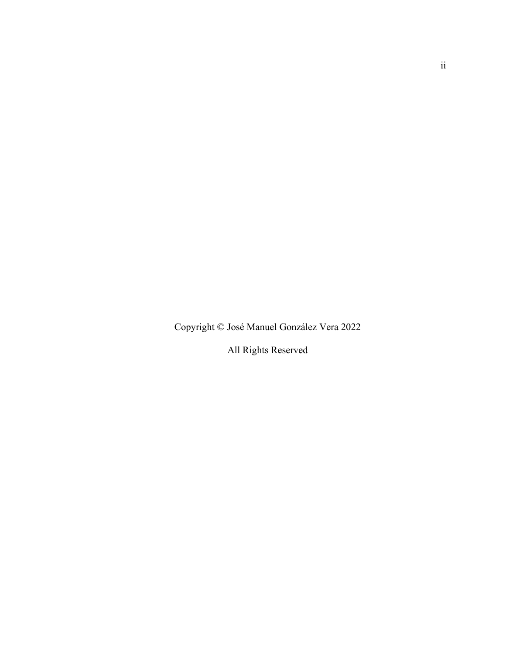Copyright © José Manuel González Vera 2022

All Rights Reserved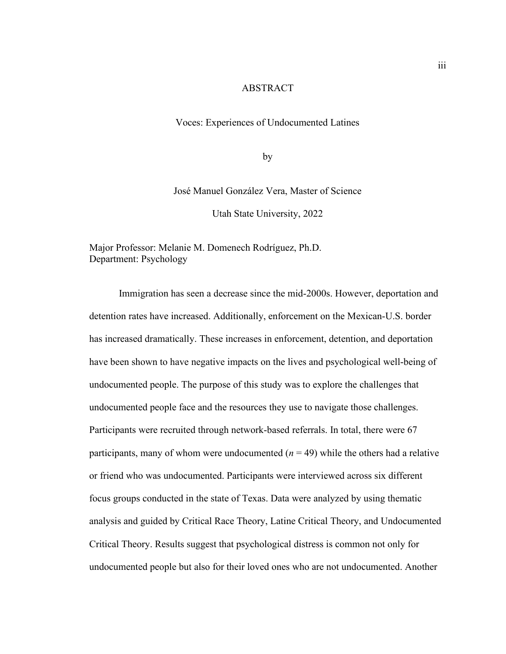### ABSTRACT

Voces: Experiences of Undocumented Latines

by

José Manuel González Vera, Master of Science

Utah State University, 2022

Major Professor: Melanie M. Domenech Rodríguez, Ph.D. Department: Psychology

Immigration has seen a decrease since the mid-2000s. However, deportation and detention rates have increased. Additionally, enforcement on the Mexican-U.S. border has increased dramatically. These increases in enforcement, detention, and deportation have been shown to have negative impacts on the lives and psychological well-being of undocumented people. The purpose of this study was to explore the challenges that undocumented people face and the resources they use to navigate those challenges. Participants were recruited through network-based referrals. In total, there were 67 participants, many of whom were undocumented  $(n = 49)$  while the others had a relative or friend who was undocumented. Participants were interviewed across six different focus groups conducted in the state of Texas. Data were analyzed by using thematic analysis and guided by Critical Race Theory, Latine Critical Theory, and Undocumented Critical Theory. Results suggest that psychological distress is common not only for undocumented people but also for their loved ones who are not undocumented. Another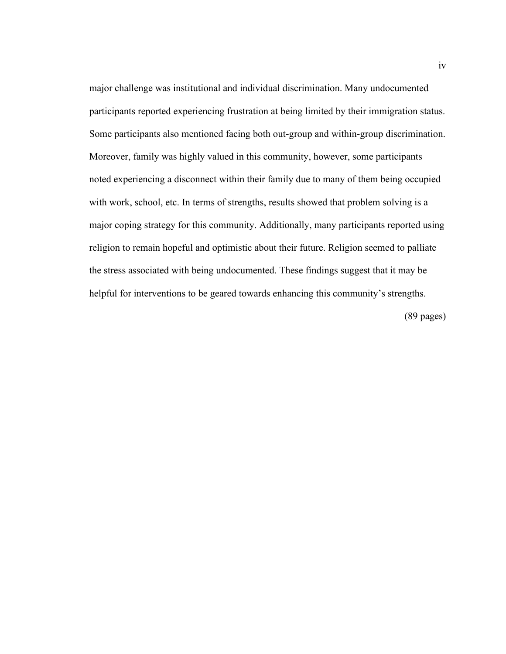major challenge was institutional and individual discrimination. Many undocumented participants reported experiencing frustration at being limited by their immigration status. Some participants also mentioned facing both out-group and within-group discrimination. Moreover, family was highly valued in this community, however, some participants noted experiencing a disconnect within their family due to many of them being occupied with work, school, etc. In terms of strengths, results showed that problem solving is a major coping strategy for this community. Additionally, many participants reported using religion to remain hopeful and optimistic about their future. Religion seemed to palliate the stress associated with being undocumented. These findings suggest that it may be helpful for interventions to be geared towards enhancing this community's strengths.

(89 pages)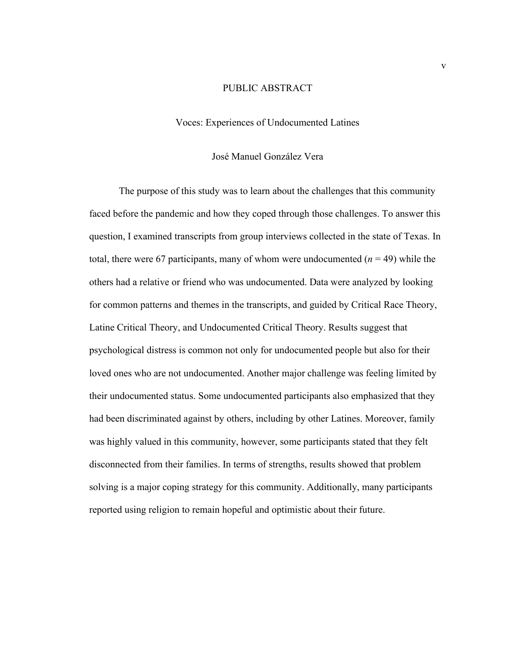## PUBLIC ABSTRACT

## Voces: Experiences of Undocumented Latines

## José Manuel González Vera

The purpose of this study was to learn about the challenges that this community faced before the pandemic and how they coped through those challenges. To answer this question, I examined transcripts from group interviews collected in the state of Texas. In total, there were 67 participants, many of whom were undocumented  $(n = 49)$  while the others had a relative or friend who was undocumented. Data were analyzed by looking for common patterns and themes in the transcripts, and guided by Critical Race Theory, Latine Critical Theory, and Undocumented Critical Theory. Results suggest that psychological distress is common not only for undocumented people but also for their loved ones who are not undocumented. Another major challenge was feeling limited by their undocumented status. Some undocumented participants also emphasized that they had been discriminated against by others, including by other Latines. Moreover, family was highly valued in this community, however, some participants stated that they felt disconnected from their families. In terms of strengths, results showed that problem solving is a major coping strategy for this community. Additionally, many participants reported using religion to remain hopeful and optimistic about their future.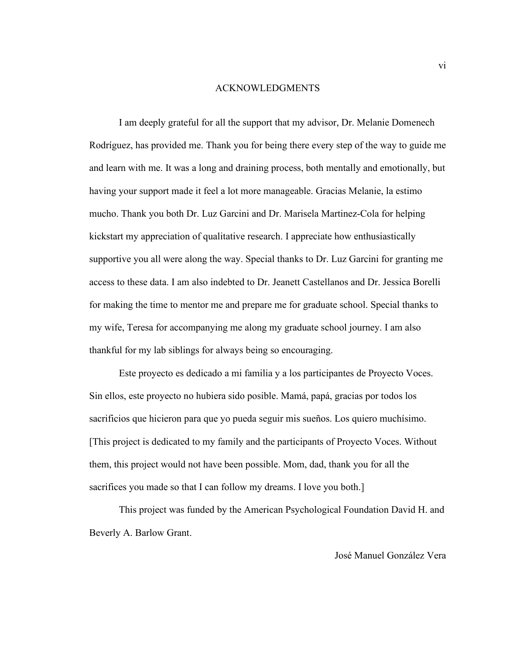#### ACKNOWLEDGMENTS

I am deeply grateful for all the support that my advisor, Dr. Melanie Domenech Rodríguez, has provided me. Thank you for being there every step of the way to guide me and learn with me. It was a long and draining process, both mentally and emotionally, but having your support made it feel a lot more manageable. Gracias Melanie, la estimo mucho. Thank you both Dr. Luz Garcini and Dr. Marisela Martinez-Cola for helping kickstart my appreciation of qualitative research. I appreciate how enthusiastically supportive you all were along the way. Special thanks to Dr. Luz Garcini for granting me access to these data. I am also indebted to Dr. Jeanett Castellanos and Dr. Jessica Borelli for making the time to mentor me and prepare me for graduate school. Special thanks to my wife, Teresa for accompanying me along my graduate school journey. I am also thankful for my lab siblings for always being so encouraging.

Este proyecto es dedicado a mi familia y a los participantes de Proyecto Voces. Sin ellos, este proyecto no hubiera sido posible. Mamá, papá, gracias por todos los sacrificios que hicieron para que yo pueda seguir mis sueños. Los quiero muchísimo. [This project is dedicated to my family and the participants of Proyecto Voces. Without them, this project would not have been possible. Mom, dad, thank you for all the sacrifices you made so that I can follow my dreams. I love you both.]

This project was funded by the American Psychological Foundation David H. and Beverly A. Barlow Grant.

## José Manuel González Vera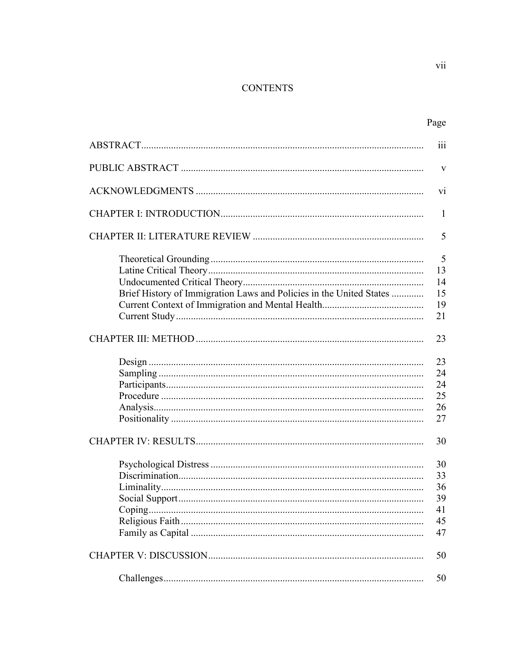## **CONTENTS**

| Page |
|------|

|                                                                     | iii                                    |
|---------------------------------------------------------------------|----------------------------------------|
|                                                                     | $\mathbf{V}$                           |
|                                                                     | vi                                     |
|                                                                     | 1                                      |
|                                                                     | 5                                      |
| Brief History of Immigration Laws and Policies in the United States | 5<br>13<br>14<br>15                    |
|                                                                     | 19<br>21                               |
|                                                                     | 23                                     |
|                                                                     | 23<br>24<br>24<br>25<br>26<br>27       |
|                                                                     | 30                                     |
|                                                                     | 30<br>33<br>36<br>39<br>41<br>45<br>47 |
|                                                                     | 50                                     |
|                                                                     | 50                                     |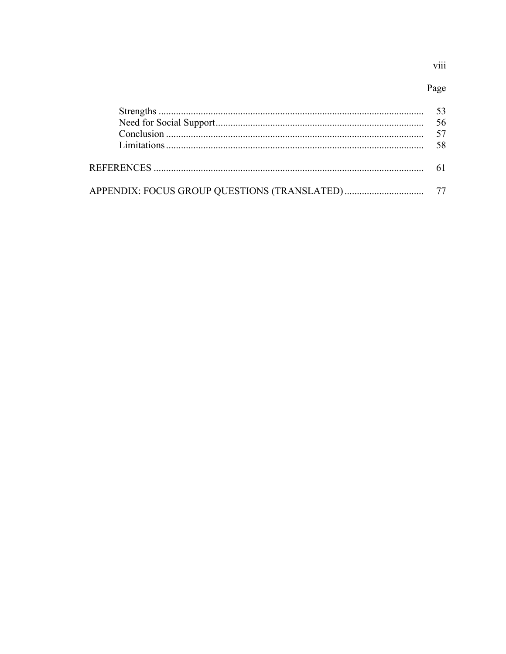## viii

## Page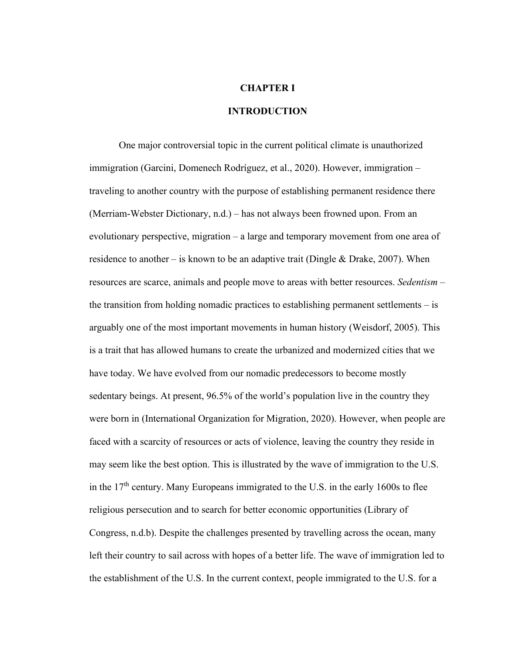## **CHAPTER I**

## **INTRODUCTION**

One major controversial topic in the current political climate is unauthorized immigration (Garcini, Domenech Rodríguez, et al., 2020). However, immigration – traveling to another country with the purpose of establishing permanent residence there (Merriam-Webster Dictionary, n.d.) – has not always been frowned upon. From an evolutionary perspective, migration – a large and temporary movement from one area of residence to another – is known to be an adaptive trait (Dingle & Drake, 2007). When resources are scarce, animals and people move to areas with better resources. *Sedentism* – the transition from holding nomadic practices to establishing permanent settlements – is arguably one of the most important movements in human history (Weisdorf, 2005). This is a trait that has allowed humans to create the urbanized and modernized cities that we have today. We have evolved from our nomadic predecessors to become mostly sedentary beings. At present, 96.5% of the world's population live in the country they were born in (International Organization for Migration, 2020). However, when people are faced with a scarcity of resources or acts of violence, leaving the country they reside in may seem like the best option. This is illustrated by the wave of immigration to the U.S. in the 17<sup>th</sup> century. Many Europeans immigrated to the U.S. in the early 1600s to flee religious persecution and to search for better economic opportunities (Library of Congress, n.d.b). Despite the challenges presented by travelling across the ocean, many left their country to sail across with hopes of a better life. The wave of immigration led to the establishment of the U.S. In the current context, people immigrated to the U.S. for a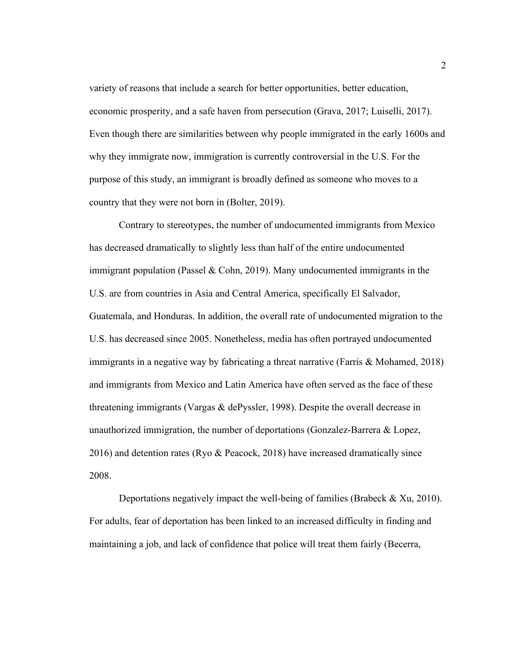variety of reasons that include a search for better opportunities, better education, economic prosperity, and a safe haven from persecution (Grava, 2017; Luiselli, 2017). Even though there are similarities between why people immigrated in the early 1600s and why they immigrate now, immigration is currently controversial in the U.S. For the purpose of this study, an immigrant is broadly defined as someone who moves to a country that they were not born in (Bolter, 2019).

Contrary to stereotypes, the number of undocumented immigrants from Mexico has decreased dramatically to slightly less than half of the entire undocumented immigrant population (Passel & Cohn, 2019). Many undocumented immigrants in the U.S. are from countries in Asia and Central America, specifically El Salvador, Guatemala, and Honduras. In addition, the overall rate of undocumented migration to the U.S. has decreased since 2005. Nonetheless, media has often portrayed undocumented immigrants in a negative way by fabricating a threat narrative (Farris & Mohamed, 2018) and immigrants from Mexico and Latin America have often served as the face of these threatening immigrants (Vargas & dePyssler, 1998). Despite the overall decrease in unauthorized immigration, the number of deportations (Gonzalez-Barrera & Lopez, 2016) and detention rates (Ryo & Peacock, 2018) have increased dramatically since 2008.

Deportations negatively impact the well-being of families (Brabeck & Xu, 2010). For adults, fear of deportation has been linked to an increased difficulty in finding and maintaining a job, and lack of confidence that police will treat them fairly (Becerra,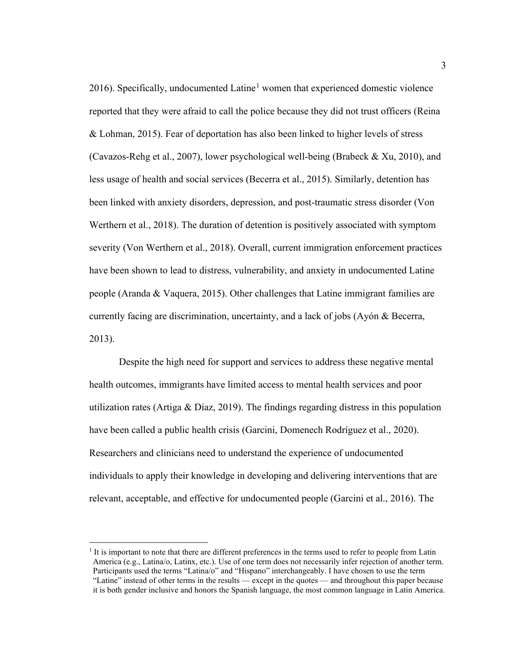20[1](#page-11-0)6). Specifically, undocumented Latine<sup>1</sup> women that experienced domestic violence reported that they were afraid to call the police because they did not trust officers (Reina & Lohman, 2015). Fear of deportation has also been linked to higher levels of stress (Cavazos-Rehg et al., 2007), lower psychological well-being (Brabeck & Xu, 2010), and less usage of health and social services (Becerra et al., 2015). Similarly, detention has been linked with anxiety disorders, depression, and post-traumatic stress disorder (Von Werthern et al., 2018). The duration of detention is positively associated with symptom severity (Von Werthern et al., 2018). Overall, current immigration enforcement practices have been shown to lead to distress, vulnerability, and anxiety in undocumented Latine people (Aranda & Vaquera, 2015). Other challenges that Latine immigrant families are currently facing are discrimination, uncertainty, and a lack of jobs (Ayón & Becerra, 2013).

Despite the high need for support and services to address these negative mental health outcomes, immigrants have limited access to mental health services and poor utilization rates (Artiga & Díaz, 2019). The findings regarding distress in this population have been called a public health crisis (Garcini, Domenech Rodríguez et al., 2020). Researchers and clinicians need to understand the experience of undocumented individuals to apply their knowledge in developing and delivering interventions that are relevant, acceptable, and effective for undocumented people (Garcini et al., 2016). The

<span id="page-11-0"></span> $<sup>1</sup>$  It is important to note that there are different preferences in the terms used to refer to people from Latin</sup> America (e.g., Latina/o, Latinx, etc.). Use of one term does not necessarily infer rejection of another term. Participants used the terms "Latina/o" and "Hispano" interchangeably. I have chosen to use the term "Latine" instead of other terms in the results –– except in the quotes –– and throughout this paper because it is both gender inclusive and honors the Spanish language, the most common language in Latin America.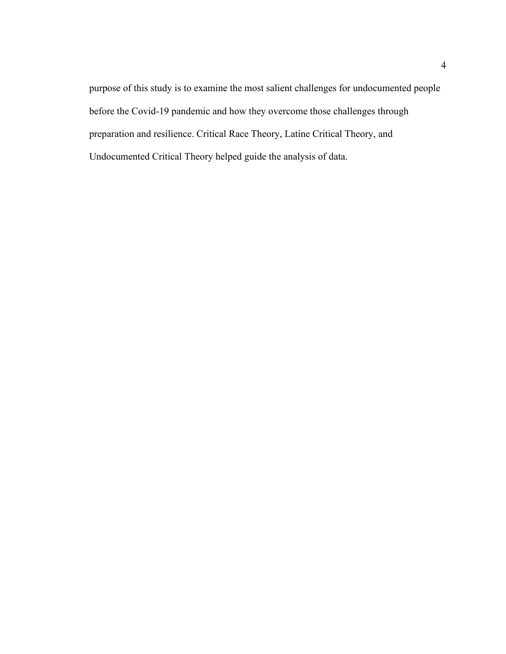purpose of this study is to examine the most salient challenges for undocumented people before the Covid-19 pandemic and how they overcome those challenges through preparation and resilience. Critical Race Theory, Latine Critical Theory, and Undocumented Critical Theory helped guide the analysis of data.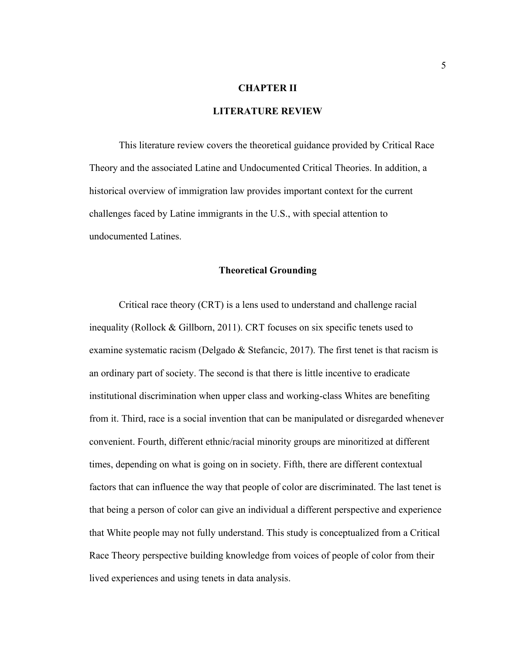## **CHAPTER II**

## **LITERATURE REVIEW**

This literature review covers the theoretical guidance provided by Critical Race Theory and the associated Latine and Undocumented Critical Theories. In addition, a historical overview of immigration law provides important context for the current challenges faced by Latine immigrants in the U.S., with special attention to undocumented Latines.

#### **Theoretical Grounding**

Critical race theory (CRT) is a lens used to understand and challenge racial inequality (Rollock & Gillborn, 2011). CRT focuses on six specific tenets used to examine systematic racism (Delgado & Stefancic, 2017). The first tenet is that racism is an ordinary part of society. The second is that there is little incentive to eradicate institutional discrimination when upper class and working-class Whites are benefiting from it. Third, race is a social invention that can be manipulated or disregarded whenever convenient. Fourth, different ethnic/racial minority groups are minoritized at different times, depending on what is going on in society. Fifth, there are different contextual factors that can influence the way that people of color are discriminated. The last tenet is that being a person of color can give an individual a different perspective and experience that White people may not fully understand. This study is conceptualized from a Critical Race Theory perspective building knowledge from voices of people of color from their lived experiences and using tenets in data analysis.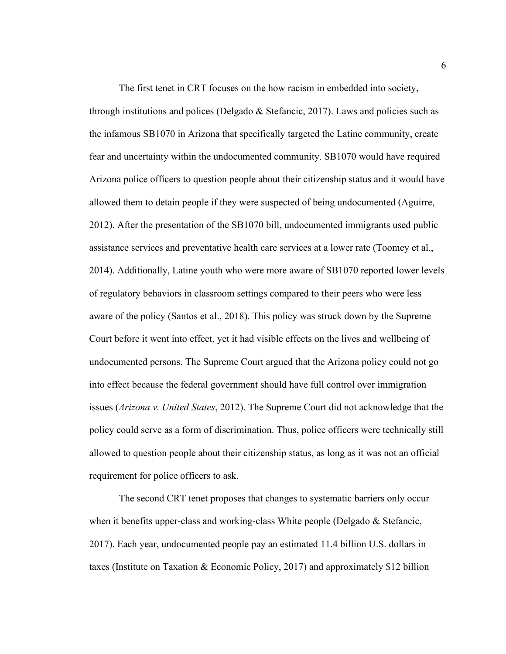The first tenet in CRT focuses on the how racism in embedded into society, through institutions and polices (Delgado  $&$  Stefancic, 2017). Laws and policies such as the infamous SB1070 in Arizona that specifically targeted the Latine community, create fear and uncertainty within the undocumented community. SB1070 would have required Arizona police officers to question people about their citizenship status and it would have allowed them to detain people if they were suspected of being undocumented (Aguirre, 2012). After the presentation of the SB1070 bill, undocumented immigrants used public assistance services and preventative health care services at a lower rate (Toomey et al., 2014). Additionally, Latine youth who were more aware of SB1070 reported lower levels of regulatory behaviors in classroom settings compared to their peers who were less aware of the policy (Santos et al., 2018). This policy was struck down by the Supreme Court before it went into effect, yet it had visible effects on the lives and wellbeing of undocumented persons. The Supreme Court argued that the Arizona policy could not go into effect because the federal government should have full control over immigration issues (*Arizona v. United States*, 2012). The Supreme Court did not acknowledge that the policy could serve as a form of discrimination. Thus, police officers were technically still allowed to question people about their citizenship status, as long as it was not an official requirement for police officers to ask.

The second CRT tenet proposes that changes to systematic barriers only occur when it benefits upper-class and working-class White people (Delgado & Stefancic, 2017). Each year, undocumented people pay an estimated 11.4 billion U.S. dollars in taxes (Institute on Taxation & Economic Policy, 2017) and approximately \$12 billion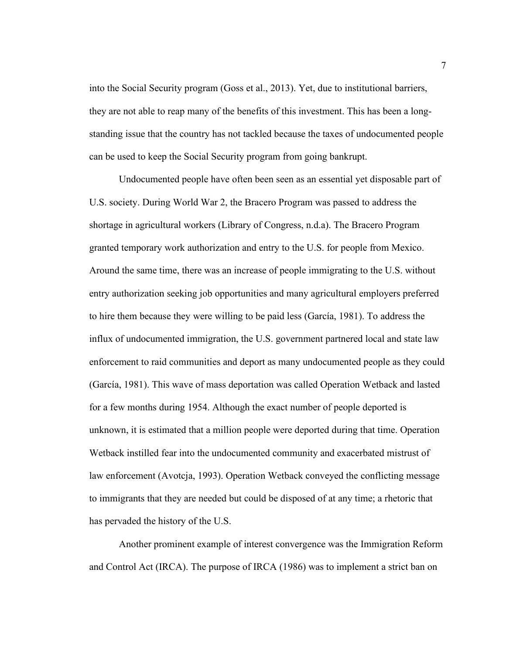into the Social Security program (Goss et al., 2013). Yet, due to institutional barriers, they are not able to reap many of the benefits of this investment. This has been a longstanding issue that the country has not tackled because the taxes of undocumented people can be used to keep the Social Security program from going bankrupt.

Undocumented people have often been seen as an essential yet disposable part of U.S. society. During World War 2, the Bracero Program was passed to address the shortage in agricultural workers (Library of Congress, n.d.a). The Bracero Program granted temporary work authorization and entry to the U.S. for people from Mexico. Around the same time, there was an increase of people immigrating to the U.S. without entry authorization seeking job opportunities and many agricultural employers preferred to hire them because they were willing to be paid less (García, 1981). To address the influx of undocumented immigration, the U.S. government partnered local and state law enforcement to raid communities and deport as many undocumented people as they could (García, 1981). This wave of mass deportation was called Operation Wetback and lasted for a few months during 1954. Although the exact number of people deported is unknown, it is estimated that a million people were deported during that time. Operation Wetback instilled fear into the undocumented community and exacerbated mistrust of law enforcement (Avotcja, 1993). Operation Wetback conveyed the conflicting message to immigrants that they are needed but could be disposed of at any time; a rhetoric that has pervaded the history of the U.S.

Another prominent example of interest convergence was the Immigration Reform and Control Act (IRCA). The purpose of IRCA (1986) was to implement a strict ban on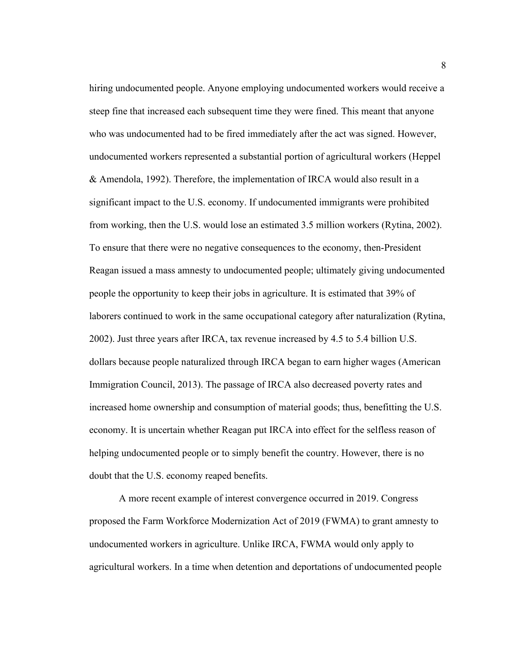hiring undocumented people. Anyone employing undocumented workers would receive a steep fine that increased each subsequent time they were fined. This meant that anyone who was undocumented had to be fired immediately after the act was signed. However, undocumented workers represented a substantial portion of agricultural workers (Heppel & Amendola, 1992). Therefore, the implementation of IRCA would also result in a significant impact to the U.S. economy. If undocumented immigrants were prohibited from working, then the U.S. would lose an estimated 3.5 million workers (Rytina, 2002). To ensure that there were no negative consequences to the economy, then-President Reagan issued a mass amnesty to undocumented people; ultimately giving undocumented people the opportunity to keep their jobs in agriculture. It is estimated that 39% of laborers continued to work in the same occupational category after naturalization (Rytina, 2002). Just three years after IRCA, tax revenue increased by 4.5 to 5.4 billion U.S. dollars because people naturalized through IRCA began to earn higher wages (American Immigration Council, 2013). The passage of IRCA also decreased poverty rates and increased home ownership and consumption of material goods; thus, benefitting the U.S. economy. It is uncertain whether Reagan put IRCA into effect for the selfless reason of helping undocumented people or to simply benefit the country. However, there is no doubt that the U.S. economy reaped benefits.

A more recent example of interest convergence occurred in 2019. Congress proposed the Farm Workforce Modernization Act of 2019 (FWMA) to grant amnesty to undocumented workers in agriculture. Unlike IRCA, FWMA would only apply to agricultural workers. In a time when detention and deportations of undocumented people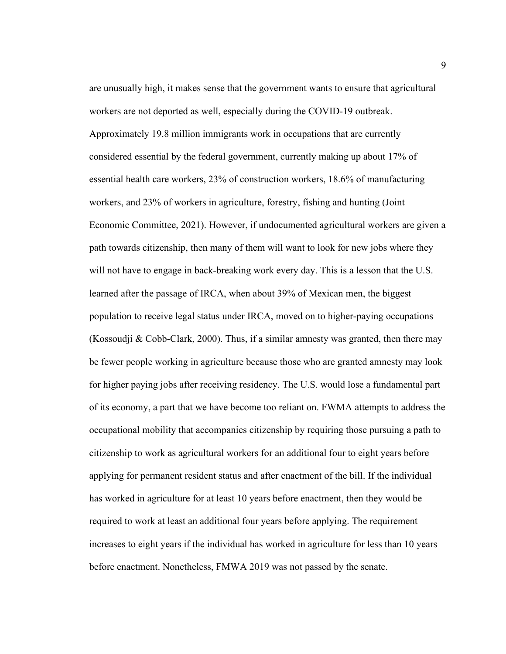are unusually high, it makes sense that the government wants to ensure that agricultural workers are not deported as well, especially during the COVID-19 outbreak. Approximately 19.8 million immigrants work in occupations that are currently considered essential by the federal government, currently making up about 17% of essential health care workers, 23% of construction workers, 18.6% of manufacturing workers, and 23% of workers in agriculture, forestry, fishing and hunting (Joint Economic Committee, 2021). However, if undocumented agricultural workers are given a path towards citizenship, then many of them will want to look for new jobs where they will not have to engage in back-breaking work every day. This is a lesson that the U.S. learned after the passage of IRCA, when about 39% of Mexican men, the biggest population to receive legal status under IRCA, moved on to higher-paying occupations (Kossoudji & Cobb-Clark, 2000). Thus, if a similar amnesty was granted, then there may be fewer people working in agriculture because those who are granted amnesty may look for higher paying jobs after receiving residency. The U.S. would lose a fundamental part of its economy, a part that we have become too reliant on. FWMA attempts to address the occupational mobility that accompanies citizenship by requiring those pursuing a path to citizenship to work as agricultural workers for an additional four to eight years before applying for permanent resident status and after enactment of the bill. If the individual has worked in agriculture for at least 10 years before enactment, then they would be required to work at least an additional four years before applying. The requirement increases to eight years if the individual has worked in agriculture for less than 10 years before enactment. Nonetheless, FMWA 2019 was not passed by the senate.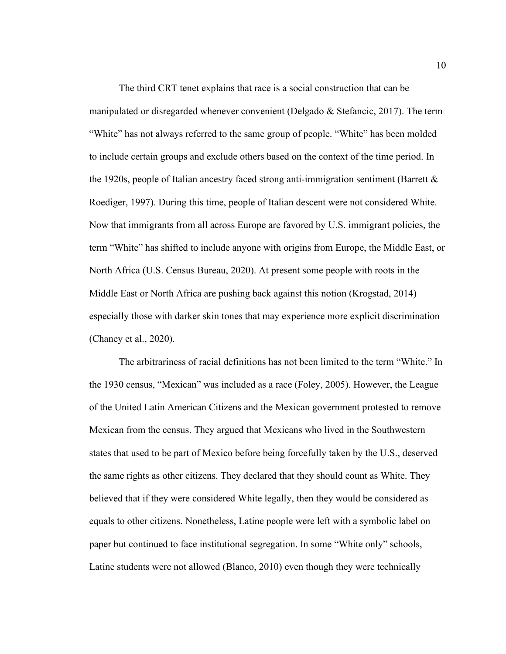The third CRT tenet explains that race is a social construction that can be manipulated or disregarded whenever convenient (Delgado & Stefancic, 2017). The term "White" has not always referred to the same group of people. "White" has been molded to include certain groups and exclude others based on the context of the time period. In the 1920s, people of Italian ancestry faced strong anti-immigration sentiment (Barrett & Roediger, 1997). During this time, people of Italian descent were not considered White. Now that immigrants from all across Europe are favored by U.S. immigrant policies, the term "White" has shifted to include anyone with origins from Europe, the Middle East, or North Africa (U.S. Census Bureau, 2020). At present some people with roots in the Middle East or North Africa are pushing back against this notion (Krogstad, 2014) especially those with darker skin tones that may experience more explicit discrimination (Chaney et al., 2020).

The arbitrariness of racial definitions has not been limited to the term "White." In the 1930 census, "Mexican" was included as a race (Foley, 2005). However, the League of the United Latin American Citizens and the Mexican government protested to remove Mexican from the census. They argued that Mexicans who lived in the Southwestern states that used to be part of Mexico before being forcefully taken by the U.S., deserved the same rights as other citizens. They declared that they should count as White. They believed that if they were considered White legally, then they would be considered as equals to other citizens. Nonetheless, Latine people were left with a symbolic label on paper but continued to face institutional segregation. In some "White only" schools, Latine students were not allowed (Blanco, 2010) even though they were technically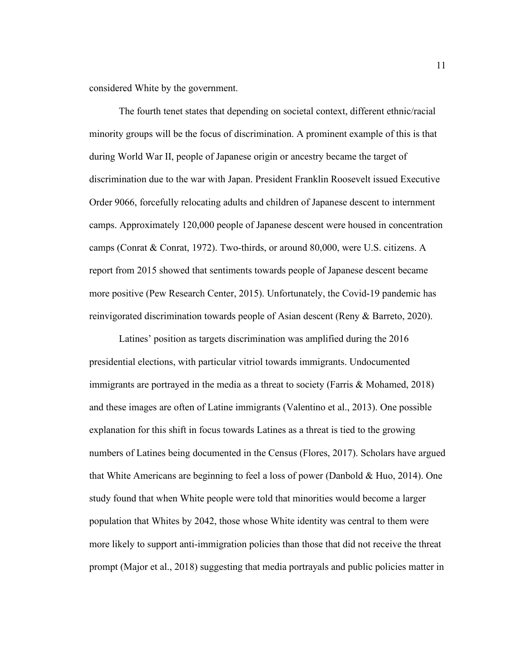considered White by the government.

The fourth tenet states that depending on societal context, different ethnic/racial minority groups will be the focus of discrimination. A prominent example of this is that during World War II, people of Japanese origin or ancestry became the target of discrimination due to the war with Japan. President Franklin Roosevelt issued Executive Order 9066, forcefully relocating adults and children of Japanese descent to internment camps. Approximately 120,000 people of Japanese descent were housed in concentration camps (Conrat & Conrat, 1972). Two-thirds, or around 80,000, were U.S. citizens. A report from 2015 showed that sentiments towards people of Japanese descent became more positive (Pew Research Center, 2015). Unfortunately, the Covid-19 pandemic has reinvigorated discrimination towards people of Asian descent (Reny & Barreto, 2020).

Latines' position as targets discrimination was amplified during the 2016 presidential elections, with particular vitriol towards immigrants. Undocumented immigrants are portrayed in the media as a threat to society (Farris & Mohamed, 2018) and these images are often of Latine immigrants (Valentino et al., 2013). One possible explanation for this shift in focus towards Latines as a threat is tied to the growing numbers of Latines being documented in the Census (Flores, 2017). Scholars have argued that White Americans are beginning to feel a loss of power (Danbold & Huo, 2014). One study found that when White people were told that minorities would become a larger population that Whites by 2042, those whose White identity was central to them were more likely to support anti-immigration policies than those that did not receive the threat prompt (Major et al., 2018) suggesting that media portrayals and public policies matter in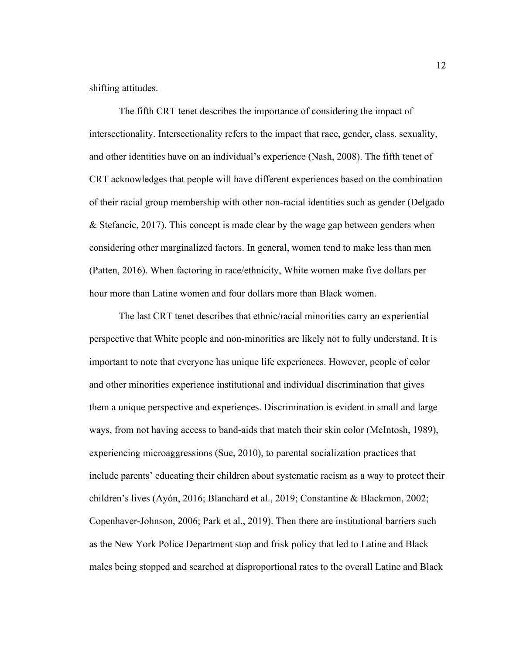shifting attitudes.

The fifth CRT tenet describes the importance of considering the impact of intersectionality. Intersectionality refers to the impact that race, gender, class, sexuality, and other identities have on an individual's experience (Nash, 2008). The fifth tenet of CRT acknowledges that people will have different experiences based on the combination of their racial group membership with other non-racial identities such as gender (Delgado & Stefancic, 2017). This concept is made clear by the wage gap between genders when considering other marginalized factors. In general, women tend to make less than men (Patten, 2016). When factoring in race/ethnicity, White women make five dollars per hour more than Latine women and four dollars more than Black women.

The last CRT tenet describes that ethnic/racial minorities carry an experiential perspective that White people and non-minorities are likely not to fully understand. It is important to note that everyone has unique life experiences. However, people of color and other minorities experience institutional and individual discrimination that gives them a unique perspective and experiences. Discrimination is evident in small and large ways, from not having access to band-aids that match their skin color (McIntosh, 1989), experiencing microaggressions (Sue, 2010), to parental socialization practices that include parents' educating their children about systematic racism as a way to protect their children's lives (Ayón, 2016; Blanchard et al., 2019; Constantine & Blackmon, 2002; Copenhaver-Johnson, 2006; Park et al., 2019). Then there are institutional barriers such as the New York Police Department stop and frisk policy that led to Latine and Black males being stopped and searched at disproportional rates to the overall Latine and Black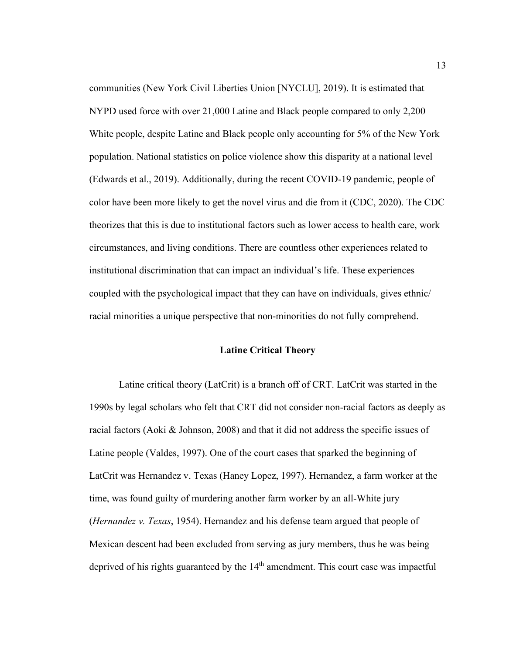communities (New York Civil Liberties Union [NYCLU], 2019). It is estimated that NYPD used force with over 21,000 Latine and Black people compared to only 2,200 White people, despite Latine and Black people only accounting for 5% of the New York population. National statistics on police violence show this disparity at a national level (Edwards et al., 2019). Additionally, during the recent COVID-19 pandemic, people of color have been more likely to get the novel virus and die from it (CDC, 2020). The CDC theorizes that this is due to institutional factors such as lower access to health care, work circumstances, and living conditions. There are countless other experiences related to institutional discrimination that can impact an individual's life. These experiences coupled with the psychological impact that they can have on individuals, gives ethnic/ racial minorities a unique perspective that non-minorities do not fully comprehend.

#### **Latine Critical Theory**

Latine critical theory (LatCrit) is a branch off of CRT. LatCrit was started in the 1990s by legal scholars who felt that CRT did not consider non-racial factors as deeply as racial factors (Aoki  $\&$  Johnson, 2008) and that it did not address the specific issues of Latine people (Valdes, 1997). One of the court cases that sparked the beginning of LatCrit was Hernandez v. Texas (Haney Lopez, 1997). Hernandez, a farm worker at the time, was found guilty of murdering another farm worker by an all-White jury (*Hernandez v. Texas*, 1954). Hernandez and his defense team argued that people of Mexican descent had been excluded from serving as jury members, thus he was being deprived of his rights guaranteed by the 14<sup>th</sup> amendment. This court case was impactful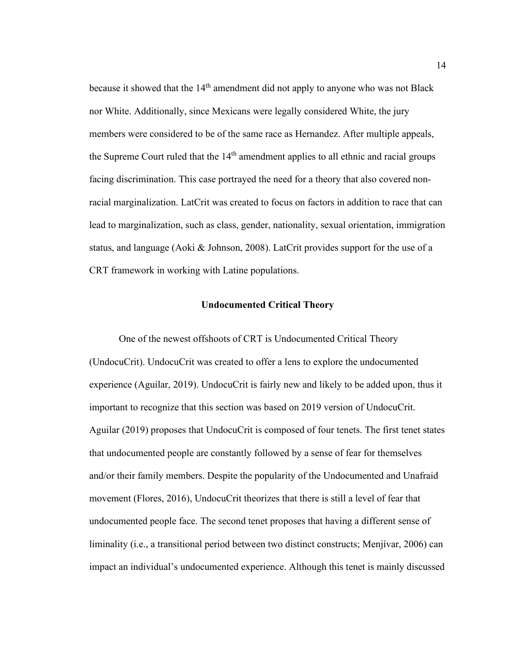because it showed that the 14<sup>th</sup> amendment did not apply to anyone who was not Black nor White. Additionally, since Mexicans were legally considered White, the jury members were considered to be of the same race as Hernandez. After multiple appeals, the Supreme Court ruled that the  $14<sup>th</sup>$  amendment applies to all ethnic and racial groups facing discrimination. This case portrayed the need for a theory that also covered nonracial marginalization. LatCrit was created to focus on factors in addition to race that can lead to marginalization, such as class, gender, nationality, sexual orientation, immigration status, and language (Aoki & Johnson, 2008). LatCrit provides support for the use of a CRT framework in working with Latine populations.

#### **Undocumented Critical Theory**

One of the newest offshoots of CRT is Undocumented Critical Theory (UndocuCrit). UndocuCrit was created to offer a lens to explore the undocumented experience (Aguilar, 2019). UndocuCrit is fairly new and likely to be added upon, thus it important to recognize that this section was based on 2019 version of UndocuCrit. Aguilar (2019) proposes that UndocuCrit is composed of four tenets. The first tenet states that undocumented people are constantly followed by a sense of fear for themselves and/or their family members. Despite the popularity of the Undocumented and Unafraid movement (Flores, 2016), UndocuCrit theorizes that there is still a level of fear that undocumented people face. The second tenet proposes that having a different sense of liminality (i.e., a transitional period between two distinct constructs; Menjívar, 2006) can impact an individual's undocumented experience. Although this tenet is mainly discussed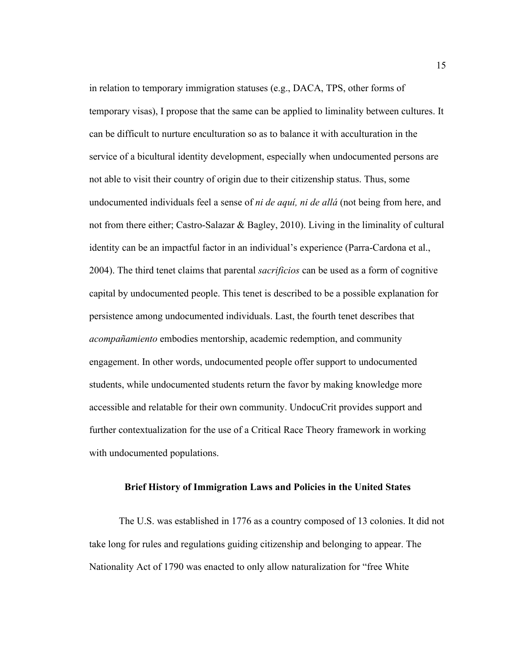in relation to temporary immigration statuses (e.g., DACA, TPS, other forms of temporary visas), I propose that the same can be applied to liminality between cultures. It can be difficult to nurture enculturation so as to balance it with acculturation in the service of a bicultural identity development, especially when undocumented persons are not able to visit their country of origin due to their citizenship status. Thus, some undocumented individuals feel a sense of *ni de aquí, ni de allá* (not being from here, and not from there either; Castro-Salazar & Bagley, 2010). Living in the liminality of cultural identity can be an impactful factor in an individual's experience (Parra-Cardona et al., 2004). The third tenet claims that parental *sacrificios* can be used as a form of cognitive capital by undocumented people. This tenet is described to be a possible explanation for persistence among undocumented individuals. Last, the fourth tenet describes that *acompañamiento* embodies mentorship, academic redemption, and community engagement. In other words, undocumented people offer support to undocumented students, while undocumented students return the favor by making knowledge more accessible and relatable for their own community. UndocuCrit provides support and further contextualization for the use of a Critical Race Theory framework in working with undocumented populations.

#### **Brief History of Immigration Laws and Policies in the United States**

The U.S. was established in 1776 as a country composed of 13 colonies. It did not take long for rules and regulations guiding citizenship and belonging to appear. The Nationality Act of 1790 was enacted to only allow naturalization for "free White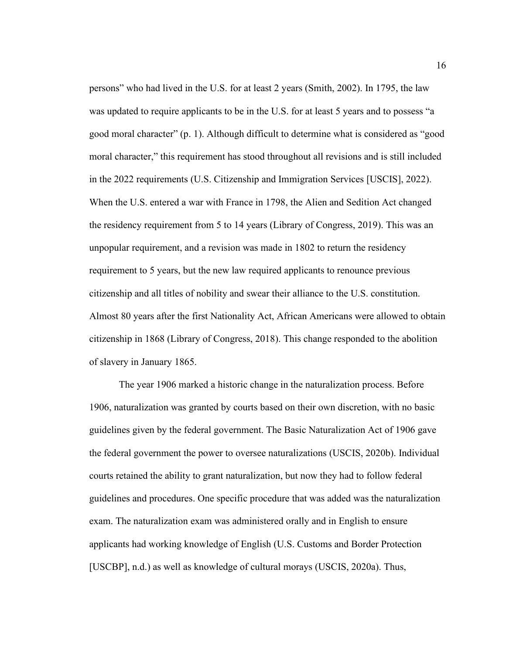persons" who had lived in the U.S. for at least 2 years (Smith, 2002). In 1795, the law was updated to require applicants to be in the U.S. for at least 5 years and to possess "a good moral character" (p. 1). Although difficult to determine what is considered as "good moral character," this requirement has stood throughout all revisions and is still included in the 2022 requirements (U.S. Citizenship and Immigration Services [USCIS], 2022). When the U.S. entered a war with France in 1798, the Alien and Sedition Act changed the residency requirement from 5 to 14 years (Library of Congress, 2019). This was an unpopular requirement, and a revision was made in 1802 to return the residency requirement to 5 years, but the new law required applicants to renounce previous citizenship and all titles of nobility and swear their alliance to the U.S. constitution. Almost 80 years after the first Nationality Act, African Americans were allowed to obtain citizenship in 1868 (Library of Congress, 2018). This change responded to the abolition of slavery in January 1865.

The year 1906 marked a historic change in the naturalization process. Before 1906, naturalization was granted by courts based on their own discretion, with no basic guidelines given by the federal government. The Basic Naturalization Act of 1906 gave the federal government the power to oversee naturalizations (USCIS, 2020b). Individual courts retained the ability to grant naturalization, but now they had to follow federal guidelines and procedures. One specific procedure that was added was the naturalization exam. The naturalization exam was administered orally and in English to ensure applicants had working knowledge of English (U.S. Customs and Border Protection [USCBP], n.d.) as well as knowledge of cultural morays (USCIS, 2020a). Thus,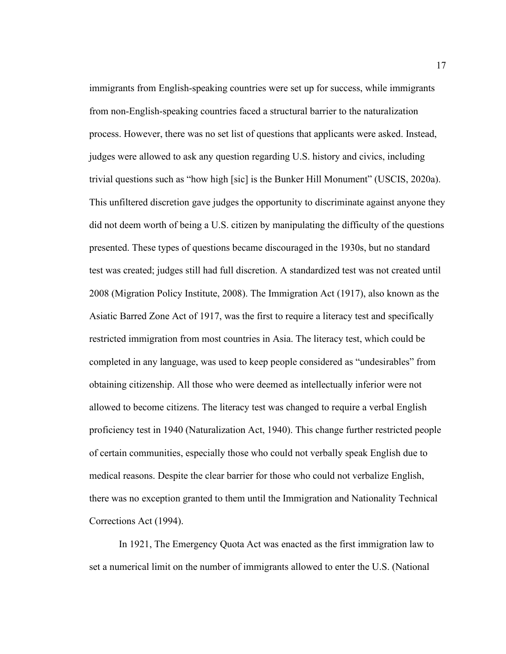immigrants from English-speaking countries were set up for success, while immigrants from non-English-speaking countries faced a structural barrier to the naturalization process. However, there was no set list of questions that applicants were asked. Instead, judges were allowed to ask any question regarding U.S. history and civics, including trivial questions such as "how high [sic] is the Bunker Hill Monument" (USCIS, 2020a). This unfiltered discretion gave judges the opportunity to discriminate against anyone they did not deem worth of being a U.S. citizen by manipulating the difficulty of the questions presented. These types of questions became discouraged in the 1930s, but no standard test was created; judges still had full discretion. A standardized test was not created until 2008 (Migration Policy Institute, 2008). The Immigration Act (1917), also known as the Asiatic Barred Zone Act of 1917, was the first to require a literacy test and specifically restricted immigration from most countries in Asia. The literacy test, which could be completed in any language, was used to keep people considered as "undesirables" from obtaining citizenship. All those who were deemed as intellectually inferior were not allowed to become citizens. The literacy test was changed to require a verbal English proficiency test in 1940 (Naturalization Act, 1940). This change further restricted people of certain communities, especially those who could not verbally speak English due to medical reasons. Despite the clear barrier for those who could not verbalize English, there was no exception granted to them until the Immigration and Nationality Technical Corrections Act (1994).

In 1921, The Emergency Quota Act was enacted as the first immigration law to set a numerical limit on the number of immigrants allowed to enter the U.S. (National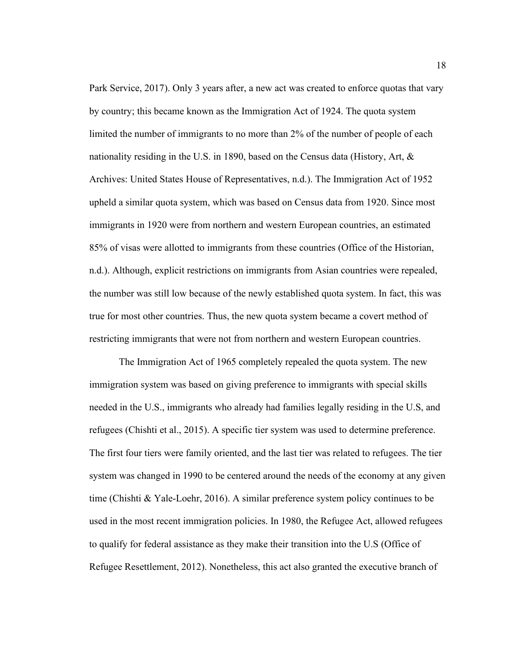Park Service, 2017). Only 3 years after, a new act was created to enforce quotas that vary by country; this became known as the Immigration Act of 1924. The quota system limited the number of immigrants to no more than 2% of the number of people of each nationality residing in the U.S. in 1890, based on the Census data (History, Art, & Archives: United States House of Representatives, n.d.). The Immigration Act of 1952 upheld a similar quota system, which was based on Census data from 1920. Since most immigrants in 1920 were from northern and western European countries, an estimated 85% of visas were allotted to immigrants from these countries (Office of the Historian, n.d.). Although, explicit restrictions on immigrants from Asian countries were repealed, the number was still low because of the newly established quota system. In fact, this was true for most other countries. Thus, the new quota system became a covert method of restricting immigrants that were not from northern and western European countries.

The Immigration Act of 1965 completely repealed the quota system. The new immigration system was based on giving preference to immigrants with special skills needed in the U.S., immigrants who already had families legally residing in the U.S, and refugees (Chishti et al., 2015). A specific tier system was used to determine preference. The first four tiers were family oriented, and the last tier was related to refugees. The tier system was changed in 1990 to be centered around the needs of the economy at any given time (Chishti & Yale-Loehr, 2016). A similar preference system policy continues to be used in the most recent immigration policies. In 1980, the Refugee Act, allowed refugees to qualify for federal assistance as they make their transition into the U.S (Office of Refugee Resettlement, 2012). Nonetheless, this act also granted the executive branch of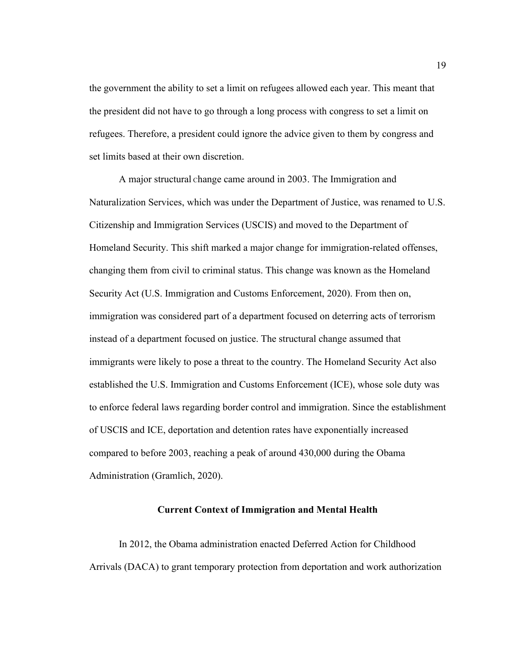the government the ability to set a limit on refugees allowed each year. This meant that the president did not have to go through a long process with congress to set a limit on refugees. Therefore, a president could ignore the advice given to them by congress and set limits based at their own discretion.

A major structural Change came around in 2003. The Immigration and Naturalization Services, which was under the Department of Justice, was renamed to U.S. Citizenship and Immigration Services (USCIS) and moved to the Department of Homeland Security. This shift marked a major change for immigration-related offenses, changing them from civil to criminal status. This change was known as the Homeland Security Act (U.S. Immigration and Customs Enforcement, 2020). From then on, immigration was considered part of a department focused on deterring acts of terrorism instead of a department focused on justice. The structural change assumed that immigrants were likely to pose a threat to the country. The Homeland Security Act also established the U.S. Immigration and Customs Enforcement (ICE), whose sole duty was to enforce federal laws regarding border control and immigration. Since the establishment of USCIS and ICE, deportation and detention rates have exponentially increased compared to before 2003, reaching a peak of around 430,000 during the Obama Administration (Gramlich, 2020).

### **Current Context of Immigration and Mental Health**

In 2012, the Obama administration enacted Deferred Action for Childhood Arrivals (DACA) to grant temporary protection from deportation and work authorization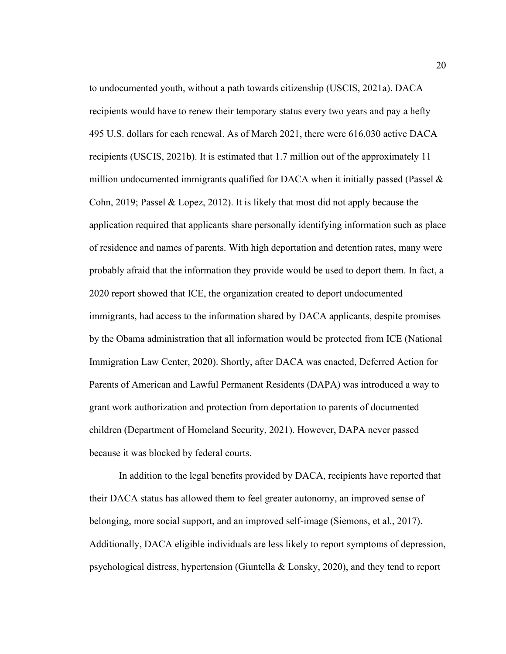to undocumented youth, without a path towards citizenship (USCIS, 2021a). DACA recipients would have to renew their temporary status every two years and pay a hefty 495 U.S. dollars for each renewal. As of March 2021, there were 616,030 active DACA recipients (USCIS, 2021b). It is estimated that 1.7 million out of the approximately 11 million undocumented immigrants qualified for DACA when it initially passed (Passel  $\&$ Cohn, 2019; Passel & Lopez, 2012). It is likely that most did not apply because the application required that applicants share personally identifying information such as place of residence and names of parents. With high deportation and detention rates, many were probably afraid that the information they provide would be used to deport them. In fact, a 2020 report showed that ICE, the organization created to deport undocumented immigrants, had access to the information shared by DACA applicants, despite promises by the Obama administration that all information would be protected from ICE (National Immigration Law Center, 2020). Shortly, after DACA was enacted, Deferred Action for Parents of American and Lawful Permanent Residents (DAPA) was introduced a way to grant work authorization and protection from deportation to parents of documented children (Department of Homeland Security, 2021). However, DAPA never passed because it was blocked by federal courts.

In addition to the legal benefits provided by DACA, recipients have reported that their DACA status has allowed them to feel greater autonomy, an improved sense of belonging, more social support, and an improved self-image (Siemons, et al., 2017). Additionally, DACA eligible individuals are less likely to report symptoms of depression, psychological distress, hypertension (Giuntella & Lonsky, 2020), and they tend to report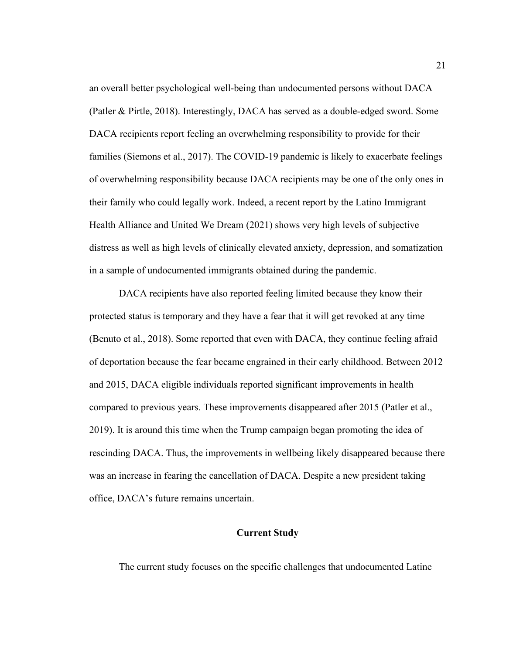an overall better psychological well-being than undocumented persons without DACA (Patler & Pirtle, 2018). Interestingly, DACA has served as a double-edged sword. Some DACA recipients report feeling an overwhelming responsibility to provide for their families (Siemons et al., 2017). The COVID-19 pandemic is likely to exacerbate feelings of overwhelming responsibility because DACA recipients may be one of the only ones in their family who could legally work. Indeed, a recent report by the Latino Immigrant Health Alliance and United We Dream (2021) shows very high levels of subjective distress as well as high levels of clinically elevated anxiety, depression, and somatization in a sample of undocumented immigrants obtained during the pandemic.

DACA recipients have also reported feeling limited because they know their protected status is temporary and they have a fear that it will get revoked at any time (Benuto et al., 2018). Some reported that even with DACA, they continue feeling afraid of deportation because the fear became engrained in their early childhood. Between 2012 and 2015, DACA eligible individuals reported significant improvements in health compared to previous years. These improvements disappeared after 2015 (Patler et al., 2019). It is around this time when the Trump campaign began promoting the idea of rescinding DACA. Thus, the improvements in wellbeing likely disappeared because there was an increase in fearing the cancellation of DACA. Despite a new president taking office, DACA's future remains uncertain.

#### **Current Study**

The current study focuses on the specific challenges that undocumented Latine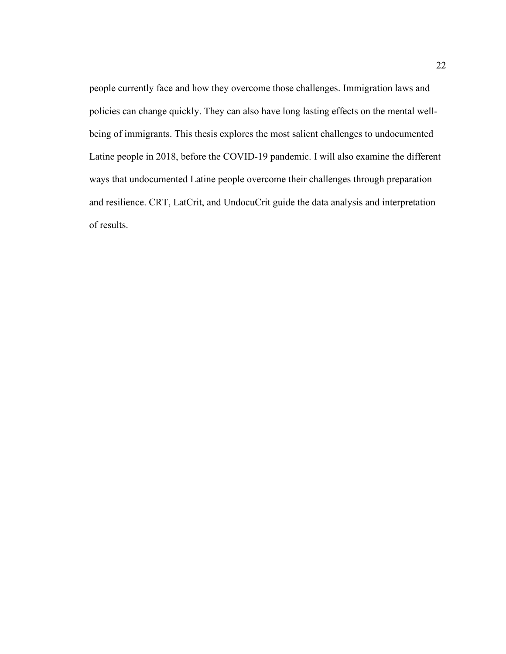people currently face and how they overcome those challenges. Immigration laws and policies can change quickly. They can also have long lasting effects on the mental wellbeing of immigrants. This thesis explores the most salient challenges to undocumented Latine people in 2018, before the COVID-19 pandemic. I will also examine the different ways that undocumented Latine people overcome their challenges through preparation and resilience. CRT, LatCrit, and UndocuCrit guide the data analysis and interpretation of results.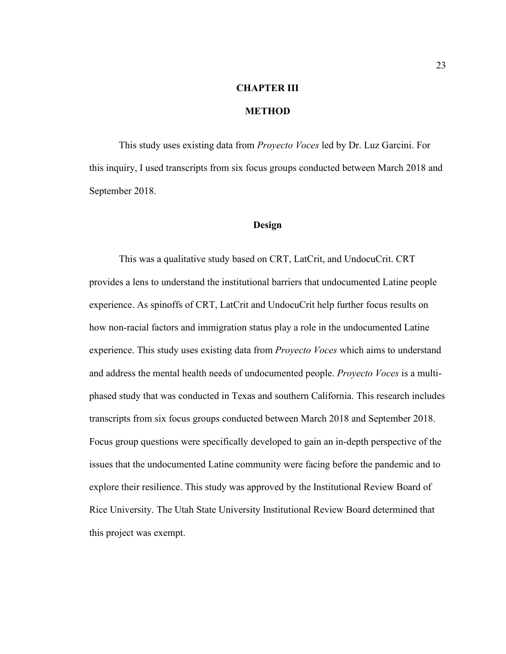# **CHAPTER III**

## **METHOD**

This study uses existing data from *Proyecto Voces* led by Dr. Luz Garcini. For this inquiry, I used transcripts from six focus groups conducted between March 2018 and September 2018.

### **Design**

This was a qualitative study based on CRT, LatCrit, and UndocuCrit. CRT provides a lens to understand the institutional barriers that undocumented Latine people experience. As spinoffs of CRT, LatCrit and UndocuCrit help further focus results on how non-racial factors and immigration status play a role in the undocumented Latine experience. This study uses existing data from *Proyecto Voces* which aims to understand and address the mental health needs of undocumented people. *Proyecto Voces* is a multiphased study that was conducted in Texas and southern California. This research includes transcripts from six focus groups conducted between March 2018 and September 2018. Focus group questions were specifically developed to gain an in-depth perspective of the issues that the undocumented Latine community were facing before the pandemic and to explore their resilience. This study was approved by the Institutional Review Board of Rice University. The Utah State University Institutional Review Board determined that this project was exempt.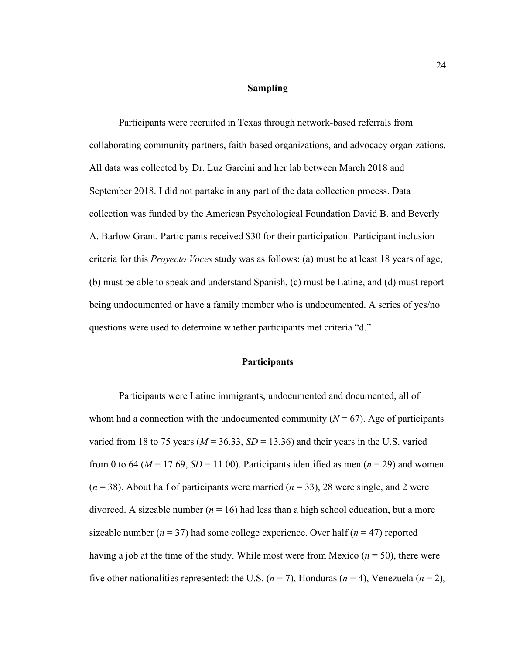#### **Sampling**

Participants were recruited in Texas through network-based referrals from collaborating community partners, faith-based organizations, and advocacy organizations. All data was collected by Dr. Luz Garcini and her lab between March 2018 and September 2018. I did not partake in any part of the data collection process. Data collection was funded by the American Psychological Foundation David B. and Beverly A. Barlow Grant. Participants received \$30 for their participation. Participant inclusion criteria for this *Proyecto Voces* study was as follows: (a) must be at least 18 years of age, (b) must be able to speak and understand Spanish, (c) must be Latine, and (d) must report being undocumented or have a family member who is undocumented. A series of yes/no questions were used to determine whether participants met criteria "d."

### **Participants**

Participants were Latine immigrants, undocumented and documented, all of whom had a connection with the undocumented community  $(N = 67)$ . Age of participants varied from 18 to 75 years ( $M = 36.33$ ,  $SD = 13.36$ ) and their years in the U.S. varied from 0 to 64 ( $M = 17.69$ ,  $SD = 11.00$ ). Participants identified as men ( $n = 29$ ) and women  $(n = 38)$ . About half of participants were married  $(n = 33)$ , 28 were single, and 2 were divorced. A sizeable number  $(n = 16)$  had less than a high school education, but a more sizeable number ( $n = 37$ ) had some college experience. Over half ( $n = 47$ ) reported having a job at the time of the study. While most were from Mexico  $(n = 50)$ , there were five other nationalities represented: the U.S.  $(n = 7)$ , Honduras  $(n = 4)$ , Venezuela  $(n = 2)$ ,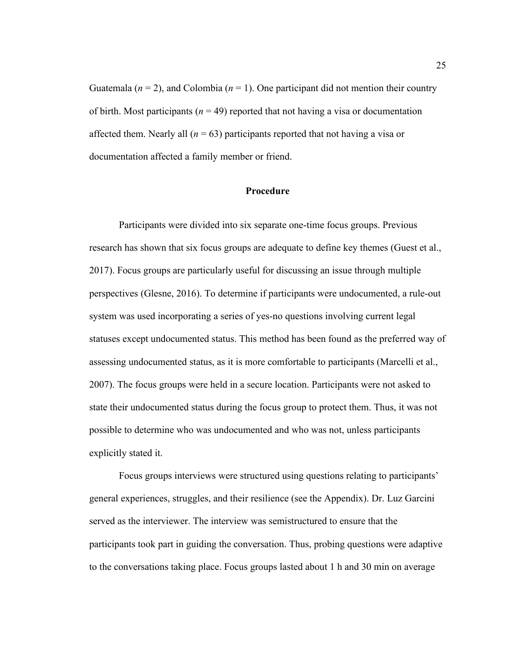Guatemala ( $n = 2$ ), and Colombia ( $n = 1$ ). One participant did not mention their country of birth. Most participants ( $n = 49$ ) reported that not having a visa or documentation affected them. Nearly all  $(n = 63)$  participants reported that not having a visa or documentation affected a family member or friend.

## **Procedure**

Participants were divided into six separate one-time focus groups. Previous research has shown that six focus groups are adequate to define key themes (Guest et al., 2017). Focus groups are particularly useful for discussing an issue through multiple perspectives (Glesne, 2016). To determine if participants were undocumented, a rule-out system was used incorporating a series of yes-no questions involving current legal statuses except undocumented status. This method has been found as the preferred way of assessing undocumented status, as it is more comfortable to participants (Marcelli et al., 2007). The focus groups were held in a secure location. Participants were not asked to state their undocumented status during the focus group to protect them. Thus, it was not possible to determine who was undocumented and who was not, unless participants explicitly stated it.

Focus groups interviews were structured using questions relating to participants' general experiences, struggles, and their resilience (see the Appendix). Dr. Luz Garcini served as the interviewer. The interview was semistructured to ensure that the participants took part in guiding the conversation. Thus, probing questions were adaptive to the conversations taking place. Focus groups lasted about 1 h and 30 min on average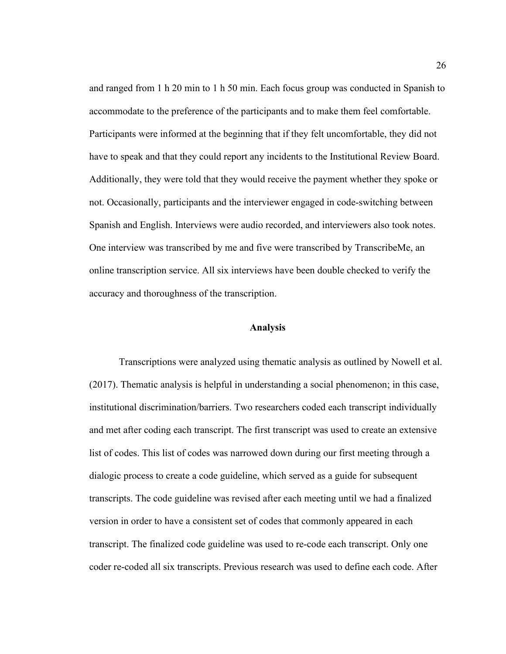and ranged from 1 h 20 min to 1 h 50 min. Each focus group was conducted in Spanish to accommodate to the preference of the participants and to make them feel comfortable. Participants were informed at the beginning that if they felt uncomfortable, they did not have to speak and that they could report any incidents to the Institutional Review Board. Additionally, they were told that they would receive the payment whether they spoke or not. Occasionally, participants and the interviewer engaged in code-switching between Spanish and English. Interviews were audio recorded, and interviewers also took notes. One interview was transcribed by me and five were transcribed by TranscribeMe, an online transcription service. All six interviews have been double checked to verify the accuracy and thoroughness of the transcription.

#### **Analysis**

Transcriptions were analyzed using thematic analysis as outlined by Nowell et al. (2017). Thematic analysis is helpful in understanding a social phenomenon; in this case, institutional discrimination/barriers. Two researchers coded each transcript individually and met after coding each transcript. The first transcript was used to create an extensive list of codes. This list of codes was narrowed down during our first meeting through a dialogic process to create a code guideline, which served as a guide for subsequent transcripts. The code guideline was revised after each meeting until we had a finalized version in order to have a consistent set of codes that commonly appeared in each transcript. The finalized code guideline was used to re-code each transcript. Only one coder re-coded all six transcripts. Previous research was used to define each code. After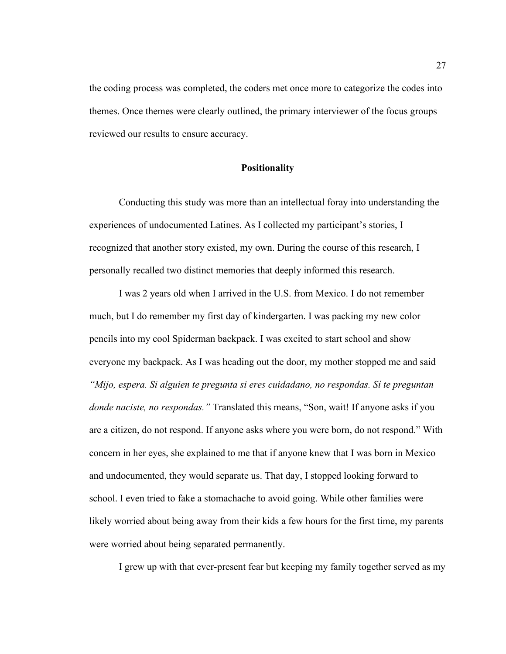the coding process was completed, the coders met once more to categorize the codes into themes. Once themes were clearly outlined, the primary interviewer of the focus groups reviewed our results to ensure accuracy.

#### **Positionality**

Conducting this study was more than an intellectual foray into understanding the experiences of undocumented Latines. As I collected my participant's stories, I recognized that another story existed, my own. During the course of this research, I personally recalled two distinct memories that deeply informed this research.

I was 2 years old when I arrived in the U.S. from Mexico. I do not remember much, but I do remember my first day of kindergarten. I was packing my new color pencils into my cool Spiderman backpack. I was excited to start school and show everyone my backpack. As I was heading out the door, my mother stopped me and said *"Mijo, espera. Si alguien te pregunta si eres cuidadano, no respondas. Sí te preguntan donde naciste, no respondas."* Translated this means, "Son, wait! If anyone asks if you are a citizen, do not respond. If anyone asks where you were born, do not respond." With concern in her eyes, she explained to me that if anyone knew that I was born in Mexico and undocumented, they would separate us. That day, I stopped looking forward to school. I even tried to fake a stomachache to avoid going. While other families were likely worried about being away from their kids a few hours for the first time, my parents were worried about being separated permanently.

I grew up with that ever-present fear but keeping my family together served as my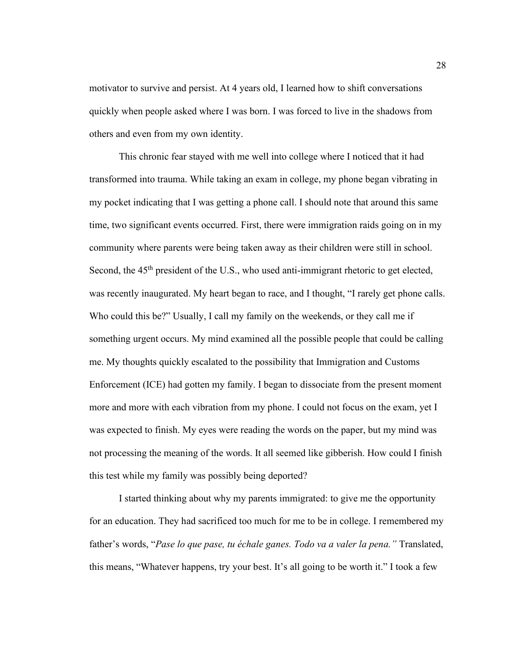motivator to survive and persist. At 4 years old, I learned how to shift conversations quickly when people asked where I was born. I was forced to live in the shadows from others and even from my own identity.

This chronic fear stayed with me well into college where I noticed that it had transformed into trauma. While taking an exam in college, my phone began vibrating in my pocket indicating that I was getting a phone call. I should note that around this same time, two significant events occurred. First, there were immigration raids going on in my community where parents were being taken away as their children were still in school. Second, the 45<sup>th</sup> president of the U.S., who used anti-immigrant rhetoric to get elected, was recently inaugurated. My heart began to race, and I thought, "I rarely get phone calls. Who could this be?" Usually, I call my family on the weekends, or they call me if something urgent occurs. My mind examined all the possible people that could be calling me. My thoughts quickly escalated to the possibility that Immigration and Customs Enforcement (ICE) had gotten my family. I began to dissociate from the present moment more and more with each vibration from my phone. I could not focus on the exam, yet I was expected to finish. My eyes were reading the words on the paper, but my mind was not processing the meaning of the words. It all seemed like gibberish. How could I finish this test while my family was possibly being deported?

I started thinking about why my parents immigrated: to give me the opportunity for an education. They had sacrificed too much for me to be in college. I remembered my father's words, "*Pase lo que pase, tu échale ganes. Todo va a valer la pena."* Translated, this means, "Whatever happens, try your best. It's all going to be worth it." I took a few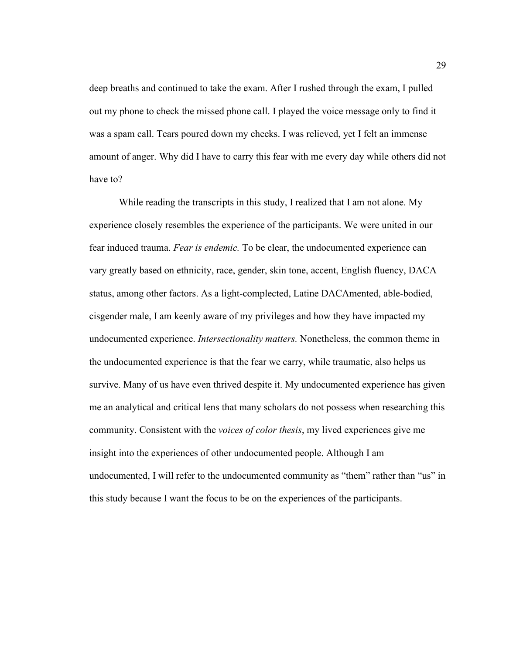deep breaths and continued to take the exam. After I rushed through the exam, I pulled out my phone to check the missed phone call. I played the voice message only to find it was a spam call. Tears poured down my cheeks. I was relieved, yet I felt an immense amount of anger. Why did I have to carry this fear with me every day while others did not have to?

While reading the transcripts in this study, I realized that I am not alone. My experience closely resembles the experience of the participants. We were united in our fear induced trauma. *Fear is endemic.* To be clear, the undocumented experience can vary greatly based on ethnicity, race, gender, skin tone, accent, English fluency, DACA status, among other factors. As a light-complected, Latine DACAmented, able-bodied, cisgender male, I am keenly aware of my privileges and how they have impacted my undocumented experience. *Intersectionality matters.* Nonetheless, the common theme in the undocumented experience is that the fear we carry, while traumatic, also helps us survive. Many of us have even thrived despite it. My undocumented experience has given me an analytical and critical lens that many scholars do not possess when researching this community. Consistent with the *voices of color thesis*, my lived experiences give me insight into the experiences of other undocumented people. Although I am undocumented, I will refer to the undocumented community as "them" rather than "us" in this study because I want the focus to be on the experiences of the participants.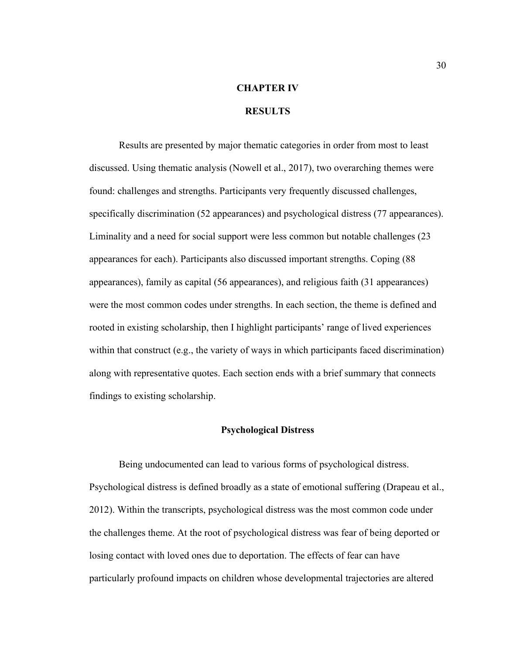# **CHAPTER IV**

# **RESULTS**

Results are presented by major thematic categories in order from most to least discussed. Using thematic analysis (Nowell et al., 2017), two overarching themes were found: challenges and strengths. Participants very frequently discussed challenges, specifically discrimination (52 appearances) and psychological distress (77 appearances). Liminality and a need for social support were less common but notable challenges (23 appearances for each). Participants also discussed important strengths. Coping (88 appearances), family as capital (56 appearances), and religious faith (31 appearances) were the most common codes under strengths. In each section, the theme is defined and rooted in existing scholarship, then I highlight participants' range of lived experiences within that construct (e.g., the variety of ways in which participants faced discrimination) along with representative quotes. Each section ends with a brief summary that connects findings to existing scholarship.

#### **Psychological Distress**

Being undocumented can lead to various forms of psychological distress. Psychological distress is defined broadly as a state of emotional suffering (Drapeau et al., 2012). Within the transcripts, psychological distress was the most common code under the challenges theme. At the root of psychological distress was fear of being deported or losing contact with loved ones due to deportation. The effects of fear can have particularly profound impacts on children whose developmental trajectories are altered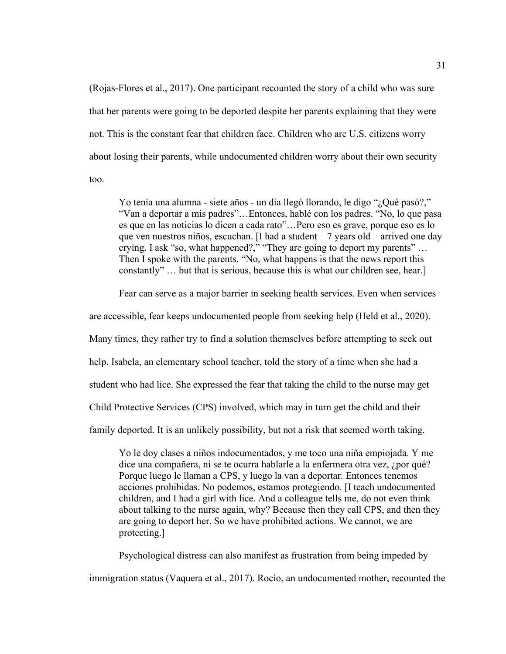(Rojas-Flores et al., 2017). One participant recounted the story of a child who was sure that her parents were going to be deported despite her parents explaining that they were not. This is the constant fear that children face. Children who are U.S. citizens worry about losing their parents, while undocumented children worry about their own security too.

Yo tenía una alumna - siete años - un día llegó llorando, le digo "¿Qué pasó?," "Van a deportar a mis padres"…Entonces, hablé con los padres. "No, lo que pasa es que en las noticias lo dicen a cada rato"…Pero eso es grave, porque eso es lo que ven nuestros niños, escuchan. [I had a student – 7 years old – arrived one day crying. I ask "so, what happened?," "They are going to deport my parents" … Then I spoke with the parents. "No, what happens is that the news report this constantly" … but that is serious, because this is what our children see, hear.]

Fear can serve as a major barrier in seeking health services. Even when services

are accessible, fear keeps undocumented people from seeking help (Held et al., 2020).

Many times, they rather try to find a solution themselves before attempting to seek out

help. Isabela, an elementary school teacher, told the story of a time when she had a

student who had lice. She expressed the fear that taking the child to the nurse may get

Child Protective Services (CPS) involved, which may in turn get the child and their

family deported. It is an unlikely possibility, but not a risk that seemed worth taking.

Yo le doy clases a niños indocumentados, y me toco una niña empiojada. Y me dice una compañera, ni se te ocurra hablarle a la enfermera otra vez, ¿por qué? Porque luego le llaman a CPS, y luego la van a deportar. Entonces tenemos acciones prohibidas. No podemos, estamos protegiendo. [I teach undocumented children, and I had a girl with lice. And a colleague tells me, do not even think about talking to the nurse again, why? Because then they call CPS, and then they are going to deport her. So we have prohibited actions. We cannot, we are protecting.]

Psychological distress can also manifest as frustration from being impeded by immigration status (Vaquera et al., 2017). Rocío, an undocumented mother, recounted the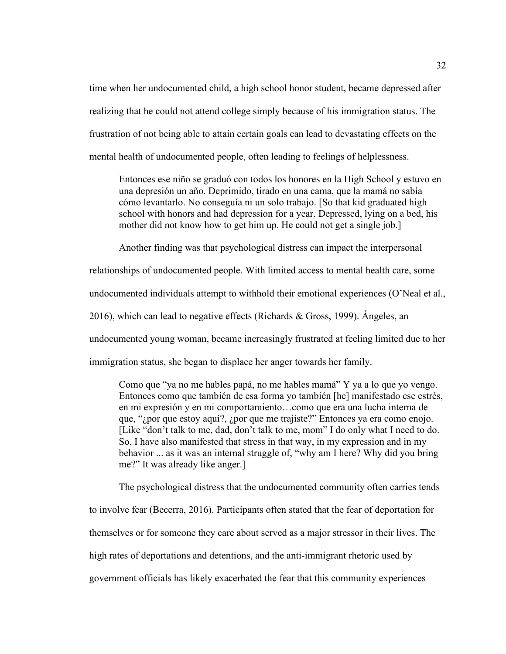time when her undocumented child, a high school honor student, became depressed after realizing that he could not attend college simply because of his immigration status. The frustration of not being able to attain certain goals can lead to devastating effects on the mental health of undocumented people, often leading to feelings of helplessness.

Entonces ese niño se graduó con todos los honores en la High School y estuvo en una depresión un año. Deprimido, tirado en una cama, que la mamá no sabía cómo levantarlo. No conseguía ni un solo trabajo. [So that kid graduated high school with honors and had depression for a year. Depressed, lying on a bed, his mother did not know how to get him up. He could not get a single job.]

Another finding was that psychological distress can impact the interpersonal

relationships of undocumented people. With limited access to mental health care, some

undocumented individuals attempt to withhold their emotional experiences (O'Neal et al.,

2016), which can lead to negative effects (Richards & Gross, 1999). Ángeles, an

undocumented young woman, became increasingly frustrated at feeling limited due to her

immigration status, she began to displace her anger towards her family.

Como que "ya no me hables papá, no me hables mamá" Y ya a lo que yo vengo. Entonces como que también de esa forma yo también [he] manifestado ese estrés, en mi expresión y en mi comportamiento…como que era una lucha interna de que, "¿por que estoy aquí?, ¿por que me trajiste?" Entonces ya era como enojo. [Like "don't talk to me, dad, don't talk to me, mom" I do only what I need to do. So, I have also manifested that stress in that way, in my expression and in my behavior ... as it was an internal struggle of, "why am I here? Why did you bring me?" It was already like anger.]

The psychological distress that the undocumented community often carries tends to involve fear (Becerra, 2016). Participants often stated that the fear of deportation for themselves or for someone they care about served as a major stressor in their lives. The high rates of deportations and detentions, and the anti-immigrant rhetoric used by government officials has likely exacerbated the fear that this community experiences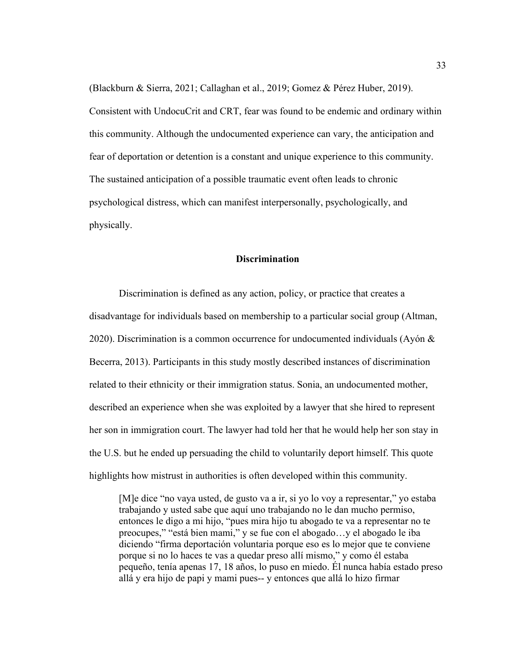(Blackburn & Sierra, 2021; Callaghan et al., 2019; Gomez & Pérez Huber, 2019). Consistent with UndocuCrit and CRT, fear was found to be endemic and ordinary within this community. Although the undocumented experience can vary, the anticipation and fear of deportation or detention is a constant and unique experience to this community. The sustained anticipation of a possible traumatic event often leads to chronic psychological distress, which can manifest interpersonally, psychologically, and physically.

#### **Discrimination**

Discrimination is defined as any action, policy, or practice that creates a disadvantage for individuals based on membership to a particular social group (Altman, 2020). Discrimination is a common occurrence for undocumented individuals (Ayón  $\&$ Becerra, 2013). Participants in this study mostly described instances of discrimination related to their ethnicity or their immigration status. Sonia, an undocumented mother, described an experience when she was exploited by a lawyer that she hired to represent her son in immigration court. The lawyer had told her that he would help her son stay in the U.S. but he ended up persuading the child to voluntarily deport himself. This quote highlights how mistrust in authorities is often developed within this community.

[M]e dice "no vaya usted, de gusto va a ir, si yo lo voy a representar," yo estaba trabajando y usted sabe que aquí uno trabajando no le dan mucho permiso, entonces le digo a mi hijo, "pues mira hijo tu abogado te va a representar no te preocupes," "está bien mami," y se fue con el abogado…y el abogado le iba diciendo "firma deportación voluntaria porque eso es lo mejor que te conviene porque si no lo haces te vas a quedar preso allí mismo," y como él estaba pequeño, tenía apenas 17, 18 años, lo puso en miedo. Él nunca había estado preso allá y era hijo de papi y mami pues-- y entonces que allá lo hizo firmar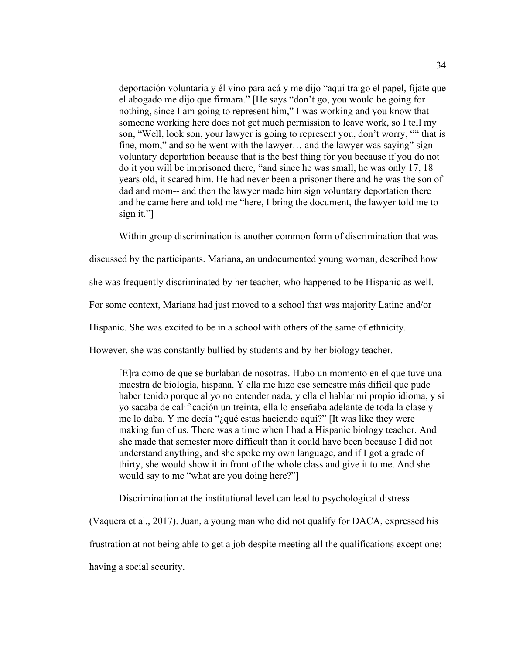deportación voluntaria y él vino para acá y me dijo "aquí traigo el papel, fíjate que el abogado me dijo que firmara." [He says "don't go, you would be going for nothing, since I am going to represent him," I was working and you know that someone working here does not get much permission to leave work, so I tell my son, "Well, look son, your lawyer is going to represent you, don't worry, "" that is fine, mom," and so he went with the lawyer… and the lawyer was saying" sign voluntary deportation because that is the best thing for you because if you do not do it you will be imprisoned there, "and since he was small, he was only 17, 18 years old, it scared him. He had never been a prisoner there and he was the son of dad and mom-- and then the lawyer made him sign voluntary deportation there and he came here and told me "here, I bring the document, the lawyer told me to sign it."]

Within group discrimination is another common form of discrimination that was

discussed by the participants. Mariana, an undocumented young woman, described how

she was frequently discriminated by her teacher, who happened to be Hispanic as well.

For some context, Mariana had just moved to a school that was majority Latine and/or

Hispanic. She was excited to be in a school with others of the same of ethnicity.

However, she was constantly bullied by students and by her biology teacher.

[E]ra como de que se burlaban de nosotras. Hubo un momento en el que tuve una maestra de biología, hispana. Y ella me hizo ese semestre más difícil que pude haber tenido porque al yo no entender nada, y ella el hablar mi propio idioma, y si yo sacaba de calificación un treinta, ella lo enseñaba adelante de toda la clase y me lo daba. Y me decía "¿qué estas haciendo aquí?" [It was like they were making fun of us. There was a time when I had a Hispanic biology teacher. And she made that semester more difficult than it could have been because I did not understand anything, and she spoke my own language, and if I got a grade of thirty, she would show it in front of the whole class and give it to me. And she would say to me "what are you doing here?"]

Discrimination at the institutional level can lead to psychological distress

(Vaquera et al., 2017). Juan, a young man who did not qualify for DACA, expressed his

frustration at not being able to get a job despite meeting all the qualifications except one;

having a social security.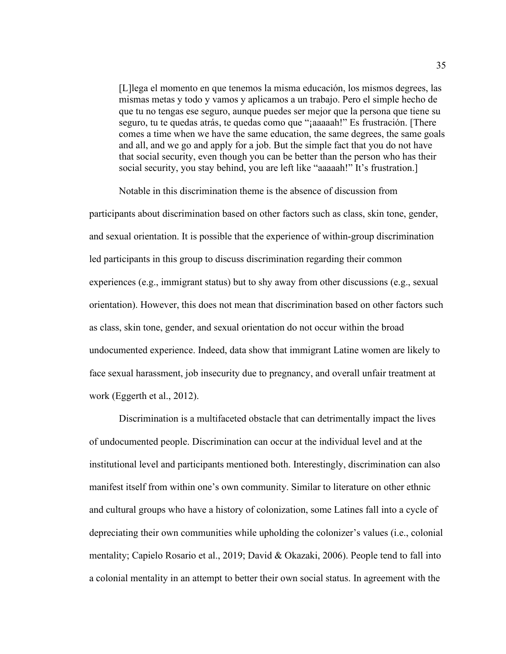[L]lega el momento en que tenemos la misma educación, los mismos degrees, las mismas metas y todo y vamos y aplicamos a un trabajo. Pero el simple hecho de que tu no tengas ese seguro, aunque puedes ser mejor que la persona que tiene su seguro, tu te quedas atrás, te quedas como que "¡aaaaah!" Es frustración. [There comes a time when we have the same education, the same degrees, the same goals and all, and we go and apply for a job. But the simple fact that you do not have that social security, even though you can be better than the person who has their social security, you stay behind, you are left like "aaaaah!" It's frustration.]

Notable in this discrimination theme is the absence of discussion from

participants about discrimination based on other factors such as class, skin tone, gender, and sexual orientation. It is possible that the experience of within-group discrimination led participants in this group to discuss discrimination regarding their common experiences (e.g., immigrant status) but to shy away from other discussions (e.g., sexual orientation). However, this does not mean that discrimination based on other factors such as class, skin tone, gender, and sexual orientation do not occur within the broad undocumented experience. Indeed, data show that immigrant Latine women are likely to face sexual harassment, job insecurity due to pregnancy, and overall unfair treatment at work (Eggerth et al., 2012).

Discrimination is a multifaceted obstacle that can detrimentally impact the lives of undocumented people. Discrimination can occur at the individual level and at the institutional level and participants mentioned both. Interestingly, discrimination can also manifest itself from within one's own community. Similar to literature on other ethnic and cultural groups who have a history of colonization, some Latines fall into a cycle of depreciating their own communities while upholding the colonizer's values (i.e., colonial mentality; Capielo Rosario et al., 2019; David & Okazaki, 2006). People tend to fall into a colonial mentality in an attempt to better their own social status. In agreement with the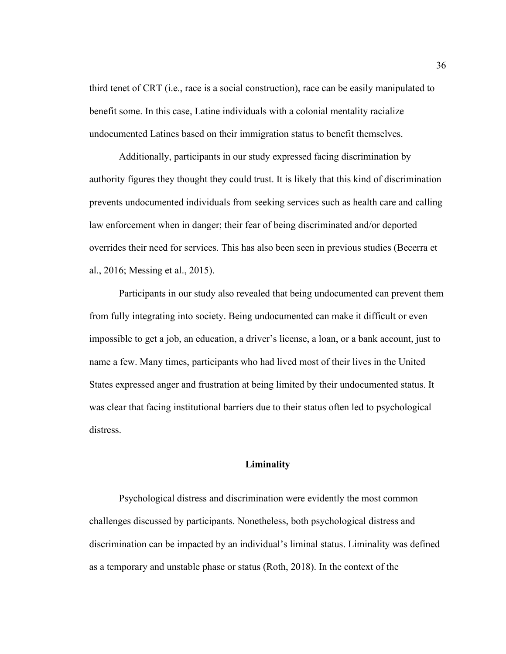third tenet of CRT (i.e., race is a social construction), race can be easily manipulated to benefit some. In this case, Latine individuals with a colonial mentality racialize undocumented Latines based on their immigration status to benefit themselves.

Additionally, participants in our study expressed facing discrimination by authority figures they thought they could trust. It is likely that this kind of discrimination prevents undocumented individuals from seeking services such as health care and calling law enforcement when in danger; their fear of being discriminated and/or deported overrides their need for services. This has also been seen in previous studies (Becerra et al., 2016; Messing et al., 2015).

Participants in our study also revealed that being undocumented can prevent them from fully integrating into society. Being undocumented can make it difficult or even impossible to get a job, an education, a driver's license, a loan, or a bank account, just to name a few. Many times, participants who had lived most of their lives in the United States expressed anger and frustration at being limited by their undocumented status. It was clear that facing institutional barriers due to their status often led to psychological distress.

#### **Liminality**

Psychological distress and discrimination were evidently the most common challenges discussed by participants. Nonetheless, both psychological distress and discrimination can be impacted by an individual's liminal status. Liminality was defined as a temporary and unstable phase or status (Roth, 2018). In the context of the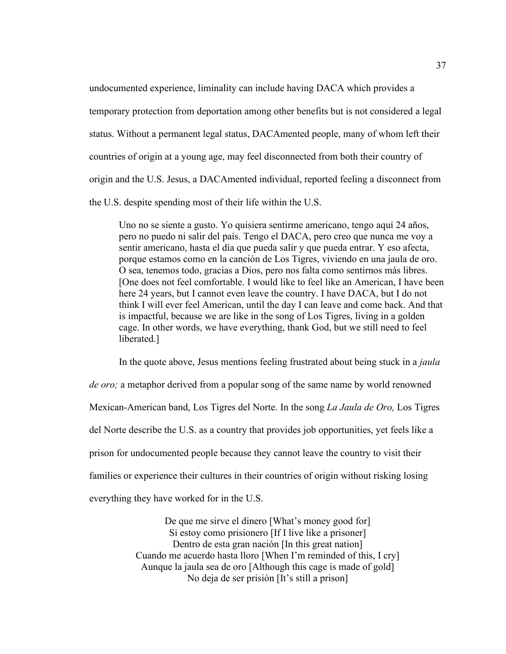undocumented experience, liminality can include having DACA which provides a temporary protection from deportation among other benefits but is not considered a legal status. Without a permanent legal status, DACAmented people, many of whom left their countries of origin at a young age, may feel disconnected from both their country of origin and the U.S. Jesus, a DACAmented individual, reported feeling a disconnect from the U.S. despite spending most of their life within the U.S.

Uno no se siente a gusto. Yo quisiera sentirme americano, tengo aquí 24 años, pero no puedo ni salir del país. Tengo el DACA, pero creo que nunca me voy a sentir americano, hasta el día que pueda salir y que pueda entrar. Y eso afecta, porque estamos como en la canción de Los Tigres, viviendo en una jaula de oro. O sea, tenemos todo, gracias a Dios, pero nos falta como sentirnos más libres. [One does not feel comfortable. I would like to feel like an American, I have been here 24 years, but I cannot even leave the country. I have DACA, but I do not think I will ever feel American, until the day I can leave and come back. And that is impactful, because we are like in the song of Los Tigres, living in a golden cage. In other words, we have everything, thank God, but we still need to feel liberated.]

In the quote above, Jesus mentions feeling frustrated about being stuck in a *jaula de oro;* a metaphor derived from a popular song of the same name by world renowned Mexican-American band, Los Tigres del Norte. In the song *La Jaula de Oro,* Los Tigres del Norte describe the U.S. as a country that provides job opportunities, yet feels like a prison for undocumented people because they cannot leave the country to visit their families or experience their cultures in their countries of origin without risking losing everything they have worked for in the U.S.

> De que me sirve el dinero [What's money good for] Si estoy como prisionero [If I live like a prisoner] Dentro de esta gran nación [In this great nation] Cuando me acuerdo hasta lloro [When I'm reminded of this, I cry] Aunque la jaula sea de oro [Although this cage is made of gold] No deja de ser prisión [It's still a prison]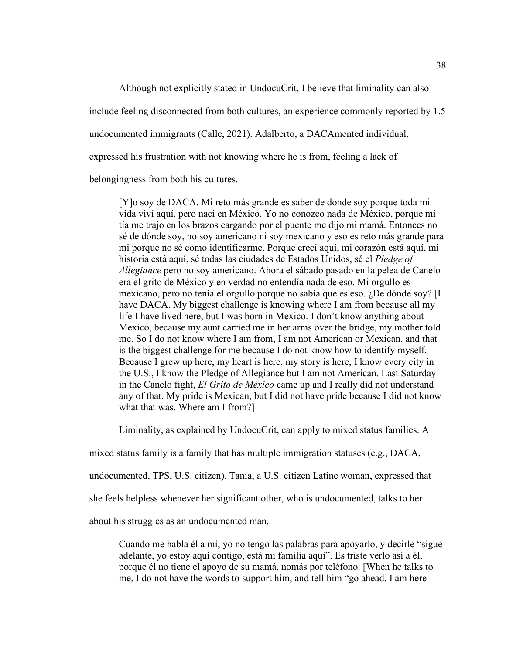Although not explicitly stated in UndocuCrit, I believe that liminality can also

include feeling disconnected from both cultures, an experience commonly reported by 1.5

undocumented immigrants (Calle, 2021). Adalberto, a DACAmented individual,

expressed his frustration with not knowing where he is from, feeling a lack of

belongingness from both his cultures.

[Y]o soy de DACA. Mi reto más grande es saber de donde soy porque toda mi vida viví aquí, pero nací en México. Yo no conozco nada de México, porque mi tía me trajo en los brazos cargando por el puente me dijo mi mamá. Entonces no sé de dónde soy, no soy americano ni soy mexicano y eso es reto más grande para mi porque no sé como identificarme. Porque crecí aquí, mi corazón está aquí, mi historia está aquí, sé todas las ciudades de Estados Unidos, sé el *Pledge of Allegiance* pero no soy americano. Ahora el sábado pasado en la pelea de Canelo era el grito de México y en verdad no entendía nada de eso. Mi orgullo es mexicano, pero no tenía el orgullo porque no sabía que es eso. ¿De dónde soy? [I have DACA. My biggest challenge is knowing where I am from because all my life I have lived here, but I was born in Mexico. I don't know anything about Mexico, because my aunt carried me in her arms over the bridge, my mother told me. So I do not know where I am from, I am not American or Mexican, and that is the biggest challenge for me because I do not know how to identify myself. Because I grew up here, my heart is here, my story is here, I know every city in the U.S., I know the Pledge of Allegiance but I am not American. Last Saturday in the Canelo fight, *El Grito de México* came up and I really did not understand any of that. My pride is Mexican, but I did not have pride because I did not know what that was. Where am I from?]

Liminality, as explained by UndocuCrit, can apply to mixed status families. A

mixed status family is a family that has multiple immigration statuses (e.g., DACA,

undocumented, TPS, U.S. citizen). Tania, a U.S. citizen Latine woman, expressed that

she feels helpless whenever her significant other, who is undocumented, talks to her

about his struggles as an undocumented man.

Cuando me habla él a mí, yo no tengo las palabras para apoyarlo, y decirle "sigue adelante, yo estoy aquí contigo, está mi familia aquí". Es triste verlo así a él, porque él no tiene el apoyo de su mamá, nomás por teléfono. [When he talks to me, I do not have the words to support him, and tell him "go ahead, I am here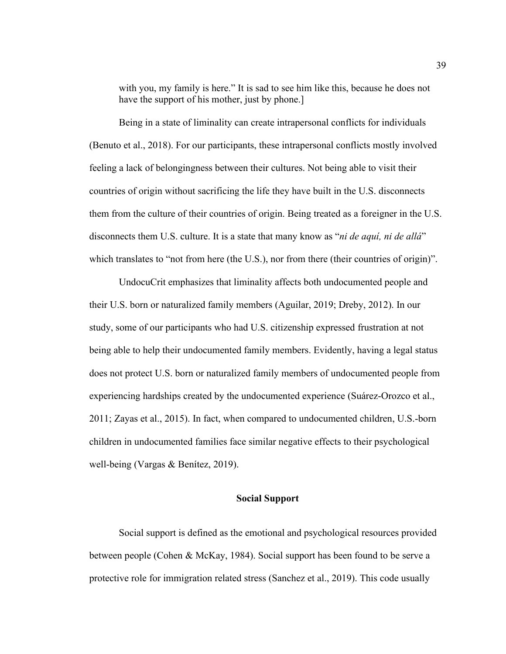with you, my family is here." It is sad to see him like this, because he does not have the support of his mother, just by phone.]

Being in a state of liminality can create intrapersonal conflicts for individuals (Benuto et al., 2018). For our participants, these intrapersonal conflicts mostly involved feeling a lack of belongingness between their cultures. Not being able to visit their countries of origin without sacrificing the life they have built in the U.S. disconnects them from the culture of their countries of origin. Being treated as a foreigner in the U.S. disconnects them U.S. culture. It is a state that many know as "*ni de aquí, ni de allá*" which translates to "not from here (the U.S.), nor from there (their countries of origin)".

UndocuCrit emphasizes that liminality affects both undocumented people and their U.S. born or naturalized family members (Aguilar, 2019; Dreby, 2012). In our study, some of our participants who had U.S. citizenship expressed frustration at not being able to help their undocumented family members. Evidently, having a legal status does not protect U.S. born or naturalized family members of undocumented people from experiencing hardships created by the undocumented experience (Suárez-Orozco et al., 2011; Zayas et al., 2015). In fact, when compared to undocumented children, U.S.-born children in undocumented families face similar negative effects to their psychological well-being (Vargas & Benítez, 2019).

#### **Social Support**

Social support is defined as the emotional and psychological resources provided between people (Cohen & McKay, 1984). Social support has been found to be serve a protective role for immigration related stress (Sanchez et al., 2019). This code usually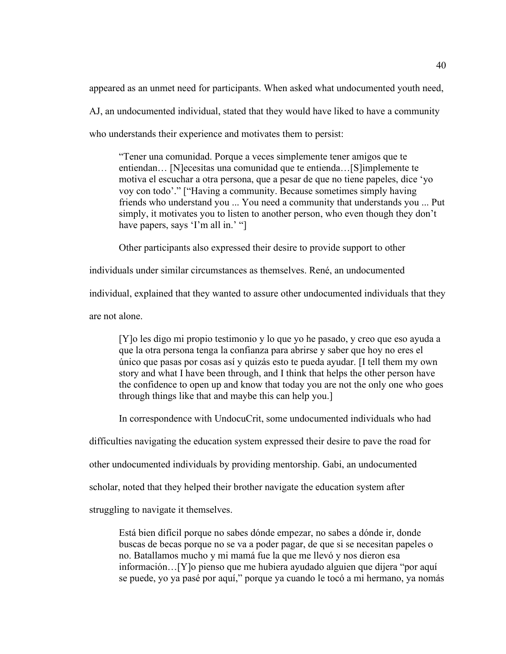appeared as an unmet need for participants. When asked what undocumented youth need, AJ, an undocumented individual, stated that they would have liked to have a community who understands their experience and motivates them to persist:

"Tener una comunidad. Porque a veces simplemente tener amigos que te entiendan… [N]ecesitas una comunidad que te entienda…[S]implemente te motiva el escuchar a otra persona, que a pesar de que no tiene papeles, dice 'yo voy con todo'." ["Having a community. Because sometimes simply having friends who understand you ... You need a community that understands you ... Put simply, it motivates you to listen to another person, who even though they don't have papers, says 'I'm all in.' "]

Other participants also expressed their desire to provide support to other

individuals under similar circumstances as themselves. René, an undocumented

individual, explained that they wanted to assure other undocumented individuals that they

are not alone.

[Y]o les digo mi propio testimonio y lo que yo he pasado, y creo que eso ayuda a que la otra persona tenga la confianza para abrirse y saber que hoy no eres el único que pasas por cosas así y quizás esto te pueda ayudar. [I tell them my own story and what I have been through, and I think that helps the other person have the confidence to open up and know that today you are not the only one who goes through things like that and maybe this can help you.]

In correspondence with UndocuCrit, some undocumented individuals who had

difficulties navigating the education system expressed their desire to pave the road for

other undocumented individuals by providing mentorship. Gabi, an undocumented

scholar, noted that they helped their brother navigate the education system after

struggling to navigate it themselves.

Está bien difícil porque no sabes dónde empezar, no sabes a dónde ir, donde buscas de becas porque no se va a poder pagar, de que si se necesitan papeles o no. Batallamos mucho y mi mamá fue la que me llevó y nos dieron esa información…[Y]o pienso que me hubiera ayudado alguien que dijera "por aquí se puede, yo ya pasé por aquí," porque ya cuando le tocó a mi hermano, ya nomás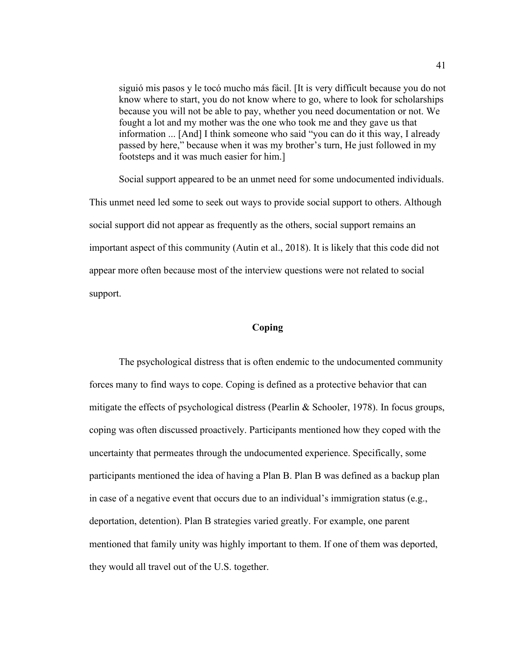siguió mis pasos y le tocó mucho más fácil. [It is very difficult because you do not know where to start, you do not know where to go, where to look for scholarships because you will not be able to pay, whether you need documentation or not. We fought a lot and my mother was the one who took me and they gave us that information ... [And] I think someone who said "you can do it this way, I already passed by here," because when it was my brother's turn, He just followed in my footsteps and it was much easier for him.]

Social support appeared to be an unmet need for some undocumented individuals. This unmet need led some to seek out ways to provide social support to others. Although social support did not appear as frequently as the others, social support remains an important aspect of this community (Autin et al., 2018). It is likely that this code did not appear more often because most of the interview questions were not related to social support.

#### **Coping**

The psychological distress that is often endemic to the undocumented community forces many to find ways to cope. Coping is defined as a protective behavior that can mitigate the effects of psychological distress (Pearlin & Schooler, 1978). In focus groups, coping was often discussed proactively. Participants mentioned how they coped with the uncertainty that permeates through the undocumented experience. Specifically, some participants mentioned the idea of having a Plan B. Plan B was defined as a backup plan in case of a negative event that occurs due to an individual's immigration status (e.g., deportation, detention). Plan B strategies varied greatly. For example, one parent mentioned that family unity was highly important to them. If one of them was deported, they would all travel out of the U.S. together.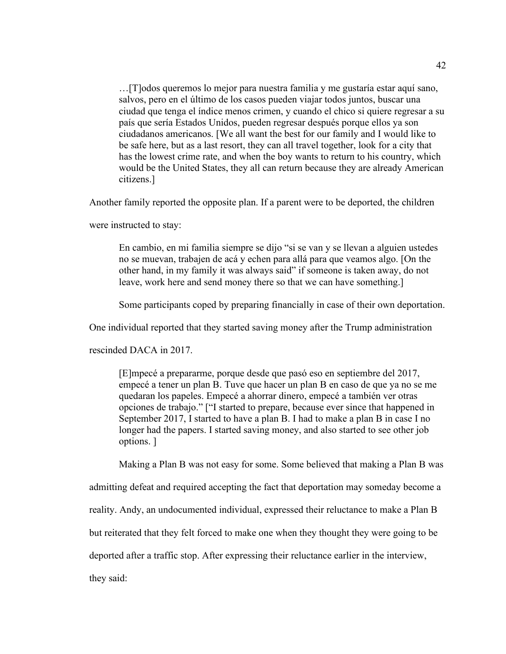…[T]odos queremos lo mejor para nuestra familia y me gustaría estar aquí sano, salvos, pero en el último de los casos pueden viajar todos juntos, buscar una ciudad que tenga el índice menos crimen, y cuando el chico si quiere regresar a su país que sería Estados Unidos, pueden regresar después porque ellos ya son ciudadanos americanos. [We all want the best for our family and I would like to be safe here, but as a last resort, they can all travel together, look for a city that has the lowest crime rate, and when the boy wants to return to his country, which would be the United States, they all can return because they are already American citizens.]

Another family reported the opposite plan. If a parent were to be deported, the children

were instructed to stay:

En cambio, en mi familia siempre se dijo "si se van y se llevan a alguien ustedes no se muevan, trabajen de acá y echen para allá para que veamos algo. [On the other hand, in my family it was always said" if someone is taken away, do not leave, work here and send money there so that we can have something.]

Some participants coped by preparing financially in case of their own deportation.

One individual reported that they started saving money after the Trump administration

rescinded DACA in 2017.

[E]mpecé a prepararme, porque desde que pasó eso en septiembre del 2017, empecé a tener un plan B. Tuve que hacer un plan B en caso de que ya no se me quedaran los papeles. Empecé a ahorrar dinero, empecé a también ver otras opciones de trabajo." ["I started to prepare, because ever since that happened in September 2017, I started to have a plan B. I had to make a plan B in case I no longer had the papers. I started saving money, and also started to see other job options. ]

Making a Plan B was not easy for some. Some believed that making a Plan B was

admitting defeat and required accepting the fact that deportation may someday become a

reality. Andy, an undocumented individual, expressed their reluctance to make a Plan B

but reiterated that they felt forced to make one when they thought they were going to be

deported after a traffic stop. After expressing their reluctance earlier in the interview,

they said: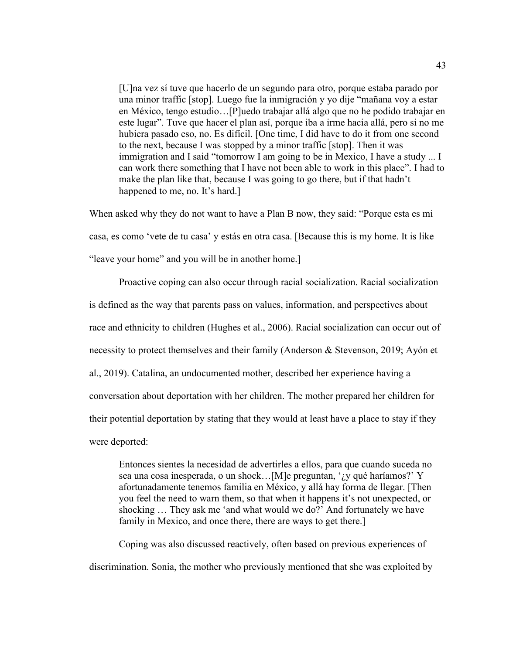[U]na vez sí tuve que hacerlo de un segundo para otro, porque estaba parado por una minor traffic [stop]. Luego fue la inmigración y yo dije "mañana voy a estar en México, tengo estudio…[P]uedo trabajar allá algo que no he podido trabajar en este lugar". Tuve que hacer el plan así, porque iba a irme hacia allá, pero si no me hubiera pasado eso, no. Es difícil. [One time, I did have to do it from one second to the next, because I was stopped by a minor traffic [stop]. Then it was immigration and I said "tomorrow I am going to be in Mexico, I have a study ... I can work there something that I have not been able to work in this place". I had to make the plan like that, because I was going to go there, but if that hadn't happened to me, no. It's hard.]

When asked why they do not want to have a Plan B now, they said: "Porque esta es mi casa, es como 'vete de tu casa' y estás en otra casa. [Because this is my home. It is like "leave your home" and you will be in another home.]

Proactive coping can also occur through racial socialization. Racial socialization is defined as the way that parents pass on values, information, and perspectives about race and ethnicity to children (Hughes et al., 2006). Racial socialization can occur out of necessity to protect themselves and their family (Anderson & Stevenson, 2019; Ayón et al., 2019). Catalina, an undocumented mother, described her experience having a conversation about deportation with her children. The mother prepared her children for their potential deportation by stating that they would at least have a place to stay if they were deported:

Entonces sientes la necesidad de advertirles a ellos, para que cuando suceda no sea una cosa inesperada, o un shock…[M]e preguntan, '¿y qué haríamos?' Y afortunadamente tenemos familia en México, y allá hay forma de llegar. [Then you feel the need to warn them, so that when it happens it's not unexpected, or shocking … They ask me 'and what would we do?' And fortunately we have family in Mexico, and once there, there are ways to get there.

Coping was also discussed reactively, often based on previous experiences of discrimination. Sonia, the mother who previously mentioned that she was exploited by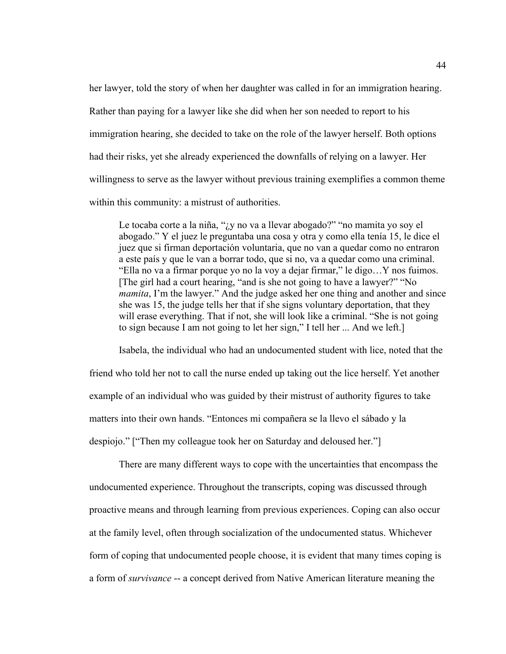her lawyer, told the story of when her daughter was called in for an immigration hearing. Rather than paying for a lawyer like she did when her son needed to report to his immigration hearing, she decided to take on the role of the lawyer herself. Both options had their risks, yet she already experienced the downfalls of relying on a lawyer. Her willingness to serve as the lawyer without previous training exemplifies a common theme within this community: a mistrust of authorities.

Le tocaba corte a la niña, "¿y no va a llevar abogado?" "no mamita yo soy el abogado." Y el juez le preguntaba una cosa y otra y como ella tenía 15, le dice el juez que si firman deportación voluntaria, que no van a quedar como no entraron a este país y que le van a borrar todo, que si no, va a quedar como una criminal. "Ella no va a firmar porque yo no la voy a dejar firmar," le digo…Y nos fuimos. [The girl had a court hearing, "and is she not going to have a lawyer?" "No *mamita*, I'm the lawyer." And the judge asked her one thing and another and since she was 15, the judge tells her that if she signs voluntary deportation, that they will erase everything. That if not, she will look like a criminal. "She is not going to sign because I am not going to let her sign," I tell her ... And we left.]

Isabela, the individual who had an undocumented student with lice, noted that the friend who told her not to call the nurse ended up taking out the lice herself. Yet another example of an individual who was guided by their mistrust of authority figures to take matters into their own hands. "Entonces mi compañera se la llevo el sábado y la despiojo." ["Then my colleague took her on Saturday and deloused her."]

There are many different ways to cope with the uncertainties that encompass the undocumented experience. Throughout the transcripts, coping was discussed through proactive means and through learning from previous experiences. Coping can also occur at the family level, often through socialization of the undocumented status. Whichever form of coping that undocumented people choose, it is evident that many times coping is a form of *survivance* -- a concept derived from Native American literature meaning the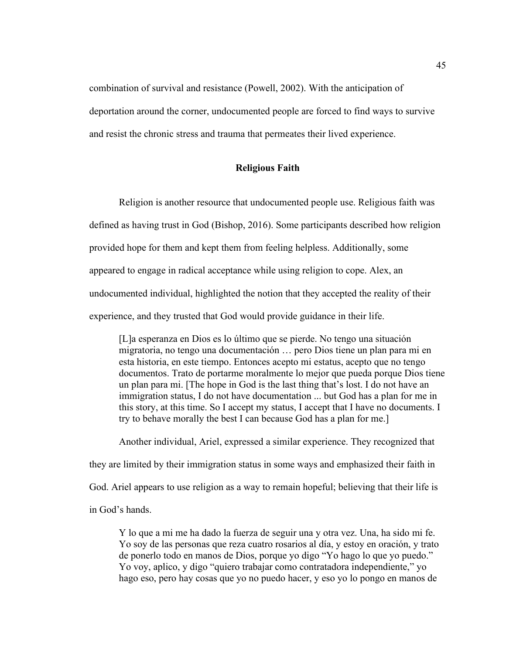combination of survival and resistance (Powell, 2002). With the anticipation of deportation around the corner, undocumented people are forced to find ways to survive and resist the chronic stress and trauma that permeates their lived experience.

# **Religious Faith**

Religion is another resource that undocumented people use. Religious faith was defined as having trust in God (Bishop, 2016). Some participants described how religion provided hope for them and kept them from feeling helpless. Additionally, some appeared to engage in radical acceptance while using religion to cope. Alex, an undocumented individual, highlighted the notion that they accepted the reality of their experience, and they trusted that God would provide guidance in their life.

[L]a esperanza en Dios es lo último que se pierde. No tengo una situación migratoria, no tengo una documentación … pero Dios tiene un plan para mi en esta historia, en este tiempo. Entonces acepto mi estatus, acepto que no tengo documentos. Trato de portarme moralmente lo mejor que pueda porque Dios tiene un plan para mi. [The hope in God is the last thing that's lost. I do not have an immigration status, I do not have documentation ... but God has a plan for me in this story, at this time. So I accept my status, I accept that I have no documents. I try to behave morally the best I can because God has a plan for me.]

Another individual, Ariel, expressed a similar experience. They recognized that they are limited by their immigration status in some ways and emphasized their faith in God. Ariel appears to use religion as a way to remain hopeful; believing that their life is in God's hands.

Y lo que a mi me ha dado la fuerza de seguir una y otra vez. Una, ha sido mi fe. Yo soy de las personas que reza cuatro rosarios al día, y estoy en oración, y trato de ponerlo todo en manos de Dios, porque yo digo "Yo hago lo que yo puedo." Yo voy, aplico, y digo "quiero trabajar como contratadora independiente," yo hago eso, pero hay cosas que yo no puedo hacer, y eso yo lo pongo en manos de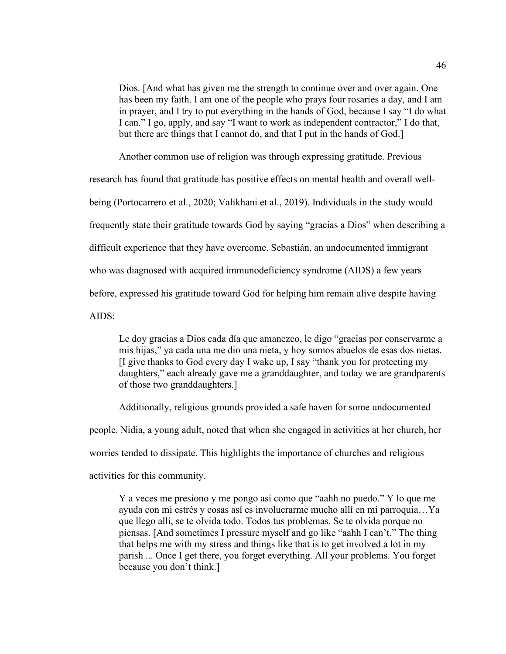Dios. [And what has given me the strength to continue over and over again. One has been my faith. I am one of the people who prays four rosaries a day, and I am in prayer, and I try to put everything in the hands of God, because I say "I do what I can." I go, apply, and say "I want to work as independent contractor," I do that, but there are things that I cannot do, and that I put in the hands of God.]

Another common use of religion was through expressing gratitude. Previous

research has found that gratitude has positive effects on mental health and overall wellbeing (Portocarrero et al., 2020; Valikhani et al., 2019). Individuals in the study would frequently state their gratitude towards God by saying "gracias a Dios" when describing a difficult experience that they have overcome. Sebastián, an undocumented immigrant who was diagnosed with acquired immunodeficiency syndrome (AIDS) a few years before, expressed his gratitude toward God for helping him remain alive despite having AIDS:

Le doy gracias a Dios cada día que amanezco, le digo "gracias por conservarme a mis hijas," ya cada una me dio una nieta, y hoy somos abuelos de esas dos nietas. [I give thanks to God every day I wake up, I say "thank you for protecting my daughters," each already gave me a granddaughter, and today we are grandparents of those two granddaughters.]

Additionally, religious grounds provided a safe haven for some undocumented people. Nidia, a young adult, noted that when she engaged in activities at her church, her worries tended to dissipate. This highlights the importance of churches and religious activities for this community.

Y a veces me presiono y me pongo así como que "aahh no puedo." Y lo que me ayuda con mi estrés y cosas así es involucrarme mucho allí en mi parroquia…Ya que llego allí, se te olvida todo. Todos tus problemas. Se te olvida porque no piensas. [And sometimes I pressure myself and go like "aahh I can't." The thing that helps me with my stress and things like that is to get involved a lot in my parish ... Once I get there, you forget everything. All your problems. You forget because you don't think.]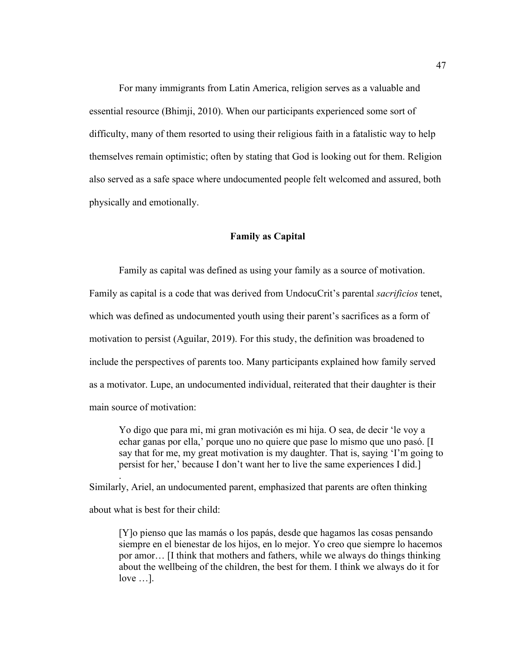For many immigrants from Latin America, religion serves as a valuable and essential resource (Bhimji, 2010). When our participants experienced some sort of difficulty, many of them resorted to using their religious faith in a fatalistic way to help themselves remain optimistic; often by stating that God is looking out for them. Religion also served as a safe space where undocumented people felt welcomed and assured, both physically and emotionally.

#### **Family as Capital**

Family as capital was defined as using your family as a source of motivation. Family as capital is a code that was derived from UndocuCrit's parental *sacrificios* tenet, which was defined as undocumented youth using their parent's sacrifices as a form of motivation to persist (Aguilar, 2019). For this study, the definition was broadened to include the perspectives of parents too. Many participants explained how family served as a motivator. Lupe, an undocumented individual, reiterated that their daughter is their main source of motivation:

Yo digo que para mi, mi gran motivación es mi hija. O sea, de decir 'le voy a echar ganas por ella,' porque uno no quiere que pase lo mismo que uno pasó. [I say that for me, my great motivation is my daughter. That is, saying 'I'm going to persist for her,' because I don't want her to live the same experiences I did.]

Similarly, Ariel, an undocumented parent, emphasized that parents are often thinking about what is best for their child:

.

[Y]o pienso que las mamás o los papás, desde que hagamos las cosas pensando siempre en el bienestar de los hijos, en lo mejor. Yo creo que siempre lo hacemos por amor… [I think that mothers and fathers, while we always do things thinking about the wellbeing of the children, the best for them. I think we always do it for love …].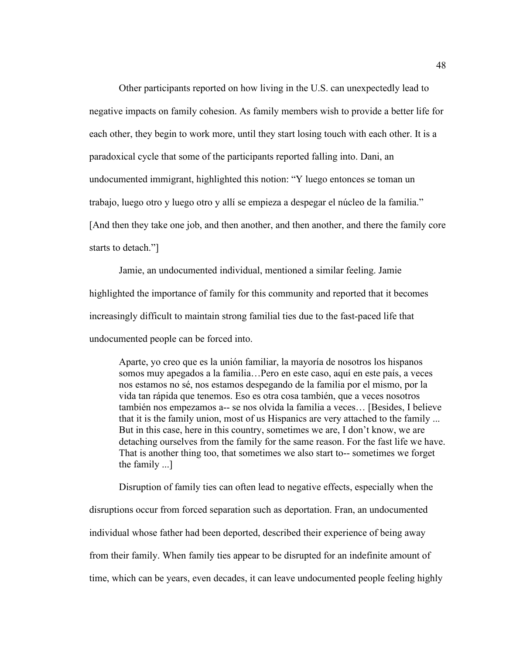Other participants reported on how living in the U.S. can unexpectedly lead to negative impacts on family cohesion. As family members wish to provide a better life for each other, they begin to work more, until they start losing touch with each other. It is a paradoxical cycle that some of the participants reported falling into. Dani, an undocumented immigrant, highlighted this notion: "Y luego entonces se toman un trabajo, luego otro y luego otro y allí se empieza a despegar el núcleo de la familia." [And then they take one job, and then another, and then another, and there the family core starts to detach."]

Jamie, an undocumented individual, mentioned a similar feeling. Jamie highlighted the importance of family for this community and reported that it becomes increasingly difficult to maintain strong familial ties due to the fast-paced life that undocumented people can be forced into.

Aparte, yo creo que es la unión familiar, la mayoría de nosotros los hispanos somos muy apegados a la familia…Pero en este caso, aquí en este país, a veces nos estamos no sé, nos estamos despegando de la familia por el mismo, por la vida tan rápida que tenemos. Eso es otra cosa también, que a veces nosotros también nos empezamos a-- se nos olvida la familia a veces… [Besides, I believe that it is the family union, most of us Hispanics are very attached to the family ... But in this case, here in this country, sometimes we are, I don't know, we are detaching ourselves from the family for the same reason. For the fast life we have. That is another thing too, that sometimes we also start to-- sometimes we forget the family ...]

Disruption of family ties can often lead to negative effects, especially when the disruptions occur from forced separation such as deportation. Fran, an undocumented individual whose father had been deported, described their experience of being away from their family. When family ties appear to be disrupted for an indefinite amount of time, which can be years, even decades, it can leave undocumented people feeling highly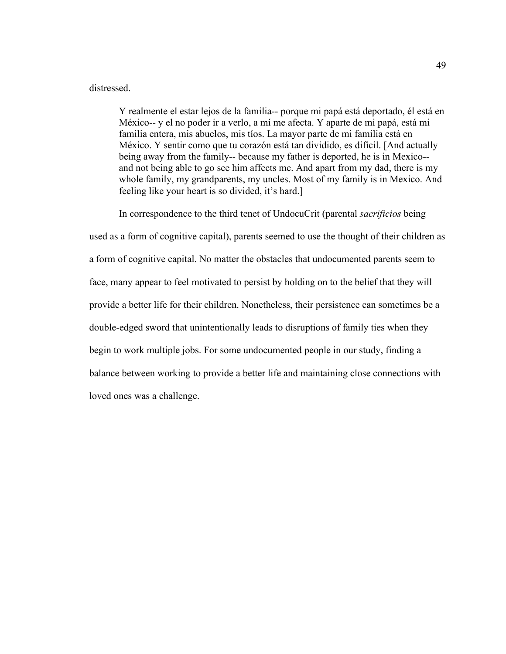#### distressed.

Y realmente el estar lejos de la familia-- porque mi papá está deportado, él está en México-- y el no poder ir a verlo, a mí me afecta. Y aparte de mi papá, está mi familia entera, mis abuelos, mis tíos. La mayor parte de mi familia está en México. Y sentir como que tu corazón está tan dividido, es difícil. [And actually being away from the family-- because my father is deported, he is in Mexico- and not being able to go see him affects me. And apart from my dad, there is my whole family, my grandparents, my uncles. Most of my family is in Mexico. And feeling like your heart is so divided, it's hard.]

In correspondence to the third tenet of UndocuCrit (parental *sacrificios* being

used as a form of cognitive capital), parents seemed to use the thought of their children as a form of cognitive capital. No matter the obstacles that undocumented parents seem to face, many appear to feel motivated to persist by holding on to the belief that they will provide a better life for their children. Nonetheless, their persistence can sometimes be a double-edged sword that unintentionally leads to disruptions of family ties when they begin to work multiple jobs. For some undocumented people in our study, finding a balance between working to provide a better life and maintaining close connections with loved ones was a challenge.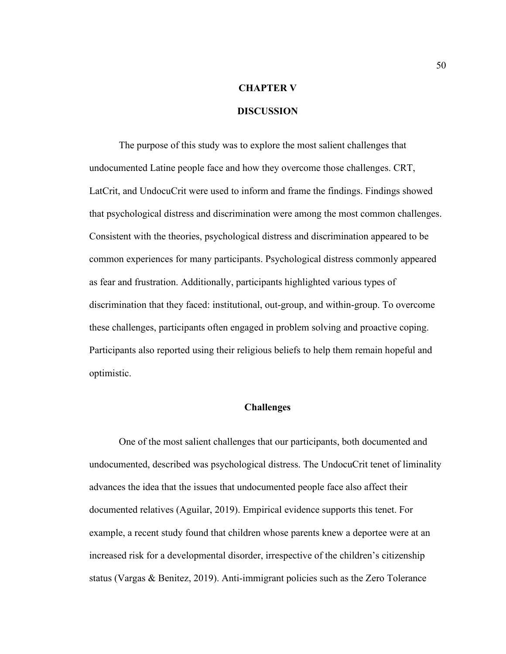# **CHAPTER V**

## **DISCUSSION**

The purpose of this study was to explore the most salient challenges that undocumented Latine people face and how they overcome those challenges. CRT, LatCrit, and UndocuCrit were used to inform and frame the findings. Findings showed that psychological distress and discrimination were among the most common challenges. Consistent with the theories, psychological distress and discrimination appeared to be common experiences for many participants. Psychological distress commonly appeared as fear and frustration. Additionally, participants highlighted various types of discrimination that they faced: institutional, out-group, and within-group. To overcome these challenges, participants often engaged in problem solving and proactive coping. Participants also reported using their religious beliefs to help them remain hopeful and optimistic.

#### **Challenges**

One of the most salient challenges that our participants, both documented and undocumented, described was psychological distress. The UndocuCrit tenet of liminality advances the idea that the issues that undocumented people face also affect their documented relatives (Aguilar, 2019). Empirical evidence supports this tenet. For example, a recent study found that children whose parents knew a deportee were at an increased risk for a developmental disorder, irrespective of the children's citizenship status (Vargas & Benitez, 2019). Anti-immigrant policies such as the Zero Tolerance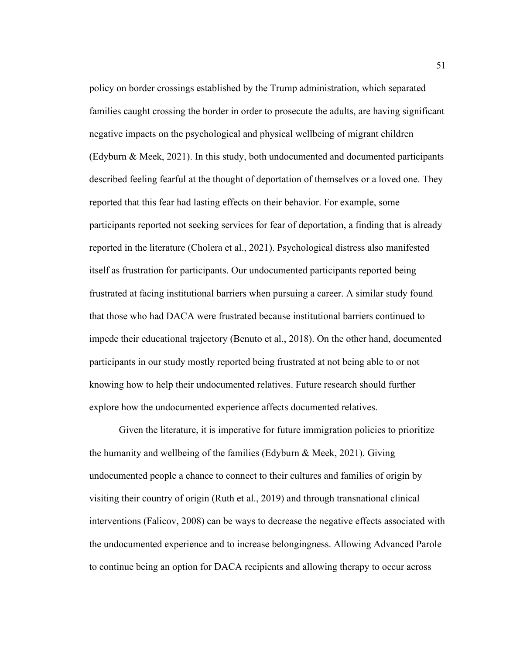policy on border crossings established by the Trump administration, which separated families caught crossing the border in order to prosecute the adults, are having significant negative impacts on the psychological and physical wellbeing of migrant children (Edyburn & Meek, 2021). In this study, both undocumented and documented participants described feeling fearful at the thought of deportation of themselves or a loved one. They reported that this fear had lasting effects on their behavior. For example, some participants reported not seeking services for fear of deportation, a finding that is already reported in the literature (Cholera et al., 2021). Psychological distress also manifested itself as frustration for participants. Our undocumented participants reported being frustrated at facing institutional barriers when pursuing a career. A similar study found that those who had DACA were frustrated because institutional barriers continued to impede their educational trajectory (Benuto et al., 2018). On the other hand, documented participants in our study mostly reported being frustrated at not being able to or not knowing how to help their undocumented relatives. Future research should further explore how the undocumented experience affects documented relatives.

Given the literature, it is imperative for future immigration policies to prioritize the humanity and wellbeing of the families (Edyburn & Meek, 2021). Giving undocumented people a chance to connect to their cultures and families of origin by visiting their country of origin (Ruth et al., 2019) and through transnational clinical interventions (Falicov, 2008) can be ways to decrease the negative effects associated with the undocumented experience and to increase belongingness. Allowing Advanced Parole to continue being an option for DACA recipients and allowing therapy to occur across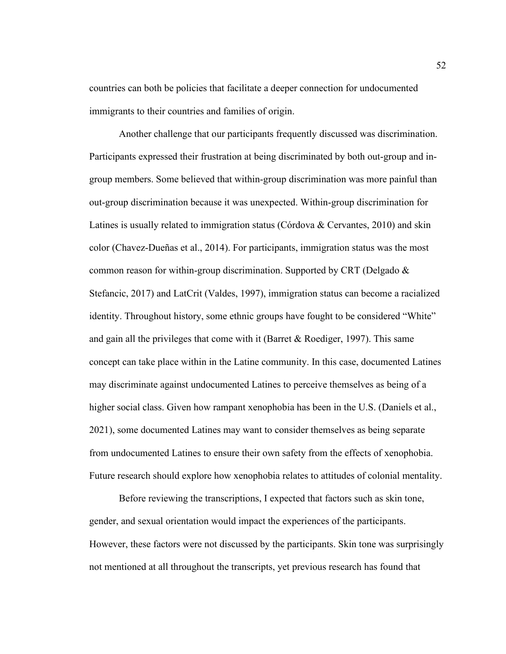countries can both be policies that facilitate a deeper connection for undocumented immigrants to their countries and families of origin.

Another challenge that our participants frequently discussed was discrimination. Participants expressed their frustration at being discriminated by both out-group and ingroup members. Some believed that within-group discrimination was more painful than out-group discrimination because it was unexpected. Within-group discrimination for Latines is usually related to immigration status (Córdova & Cervantes, 2010) and skin color (Chavez-Dueñas et al., 2014). For participants, immigration status was the most common reason for within-group discrimination. Supported by CRT (Delgado & Stefancic, 2017) and LatCrit (Valdes, 1997), immigration status can become a racialized identity. Throughout history, some ethnic groups have fought to be considered "White" and gain all the privileges that come with it (Barret & Roediger, 1997). This same concept can take place within in the Latine community. In this case, documented Latines may discriminate against undocumented Latines to perceive themselves as being of a higher social class. Given how rampant xenophobia has been in the U.S. (Daniels et al., 2021), some documented Latines may want to consider themselves as being separate from undocumented Latines to ensure their own safety from the effects of xenophobia. Future research should explore how xenophobia relates to attitudes of colonial mentality.

Before reviewing the transcriptions, I expected that factors such as skin tone, gender, and sexual orientation would impact the experiences of the participants. However, these factors were not discussed by the participants. Skin tone was surprisingly not mentioned at all throughout the transcripts, yet previous research has found that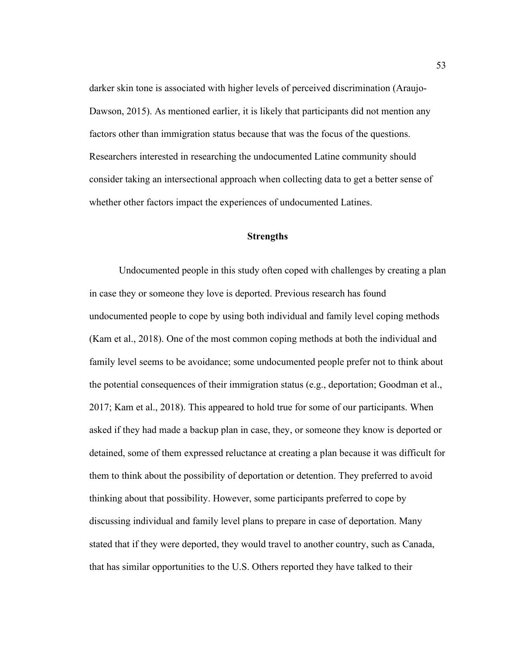darker skin tone is associated with higher levels of perceived discrimination (Araujo-Dawson, 2015). As mentioned earlier, it is likely that participants did not mention any factors other than immigration status because that was the focus of the questions. Researchers interested in researching the undocumented Latine community should consider taking an intersectional approach when collecting data to get a better sense of whether other factors impact the experiences of undocumented Latines.

#### **Strengths**

Undocumented people in this study often coped with challenges by creating a plan in case they or someone they love is deported. Previous research has found undocumented people to cope by using both individual and family level coping methods (Kam et al., 2018). One of the most common coping methods at both the individual and family level seems to be avoidance; some undocumented people prefer not to think about the potential consequences of their immigration status (e.g., deportation; Goodman et al., 2017; Kam et al., 2018). This appeared to hold true for some of our participants. When asked if they had made a backup plan in case, they, or someone they know is deported or detained, some of them expressed reluctance at creating a plan because it was difficult for them to think about the possibility of deportation or detention. They preferred to avoid thinking about that possibility. However, some participants preferred to cope by discussing individual and family level plans to prepare in case of deportation. Many stated that if they were deported, they would travel to another country, such as Canada, that has similar opportunities to the U.S. Others reported they have talked to their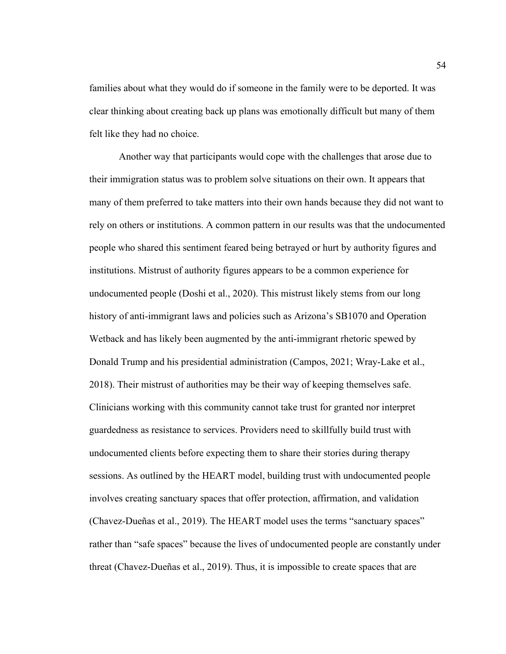families about what they would do if someone in the family were to be deported. It was clear thinking about creating back up plans was emotionally difficult but many of them felt like they had no choice.

Another way that participants would cope with the challenges that arose due to their immigration status was to problem solve situations on their own. It appears that many of them preferred to take matters into their own hands because they did not want to rely on others or institutions. A common pattern in our results was that the undocumented people who shared this sentiment feared being betrayed or hurt by authority figures and institutions. Mistrust of authority figures appears to be a common experience for undocumented people (Doshi et al., 2020). This mistrust likely stems from our long history of anti-immigrant laws and policies such as Arizona's SB1070 and Operation Wetback and has likely been augmented by the anti-immigrant rhetoric spewed by Donald Trump and his presidential administration (Campos, 2021; Wray-Lake et al., 2018). Their mistrust of authorities may be their way of keeping themselves safe. Clinicians working with this community cannot take trust for granted nor interpret guardedness as resistance to services. Providers need to skillfully build trust with undocumented clients before expecting them to share their stories during therapy sessions. As outlined by the HEART model, building trust with undocumented people involves creating sanctuary spaces that offer protection, affirmation, and validation (Chavez-Dueñas et al., 2019). The HEART model uses the terms "sanctuary spaces" rather than "safe spaces" because the lives of undocumented people are constantly under threat (Chavez-Dueñas et al., 2019). Thus, it is impossible to create spaces that are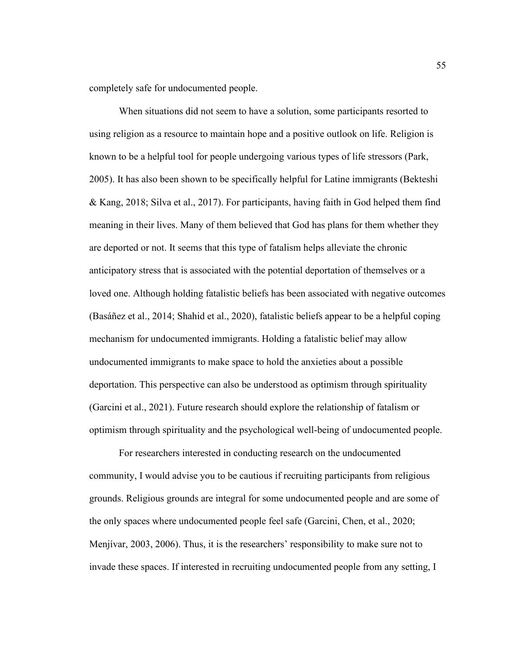completely safe for undocumented people.

When situations did not seem to have a solution, some participants resorted to using religion as a resource to maintain hope and a positive outlook on life. Religion is known to be a helpful tool for people undergoing various types of life stressors (Park, 2005). It has also been shown to be specifically helpful for Latine immigrants (Bekteshi & Kang, 2018; Silva et al., 2017). For participants, having faith in God helped them find meaning in their lives. Many of them believed that God has plans for them whether they are deported or not. It seems that this type of fatalism helps alleviate the chronic anticipatory stress that is associated with the potential deportation of themselves or a loved one. Although holding fatalistic beliefs has been associated with negative outcomes (Basáñez et al., 2014; Shahid et al., 2020), fatalistic beliefs appear to be a helpful coping mechanism for undocumented immigrants. Holding a fatalistic belief may allow undocumented immigrants to make space to hold the anxieties about a possible deportation. This perspective can also be understood as optimism through spirituality (Garcini et al., 2021). Future research should explore the relationship of fatalism or optimism through spirituality and the psychological well-being of undocumented people.

For researchers interested in conducting research on the undocumented community, I would advise you to be cautious if recruiting participants from religious grounds. Religious grounds are integral for some undocumented people and are some of the only spaces where undocumented people feel safe (Garcini, Chen, et al., 2020; Menjívar, 2003, 2006). Thus, it is the researchers' responsibility to make sure not to invade these spaces. If interested in recruiting undocumented people from any setting, I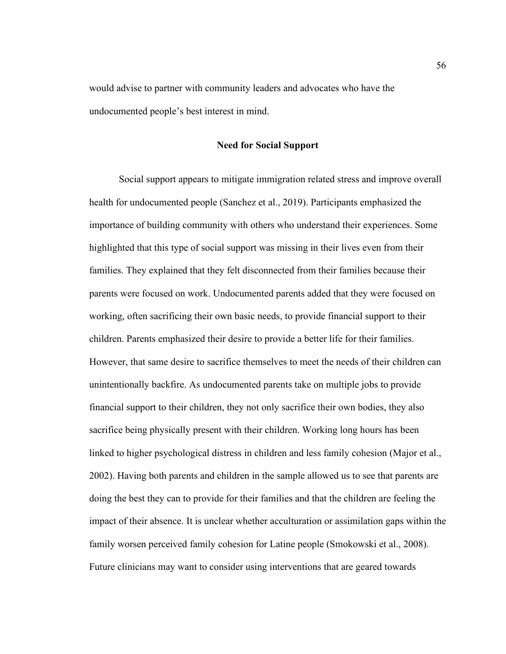would advise to partner with community leaders and advocates who have the undocumented people's best interest in mind.

#### **Need for Social Support**

Social support appears to mitigate immigration related stress and improve overall health for undocumented people (Sanchez et al., 2019). Participants emphasized the importance of building community with others who understand their experiences. Some highlighted that this type of social support was missing in their lives even from their families. They explained that they felt disconnected from their families because their parents were focused on work. Undocumented parents added that they were focused on working, often sacrificing their own basic needs, to provide financial support to their children. Parents emphasized their desire to provide a better life for their families. However, that same desire to sacrifice themselves to meet the needs of their children can unintentionally backfire. As undocumented parents take on multiple jobs to provide financial support to their children, they not only sacrifice their own bodies, they also sacrifice being physically present with their children. Working long hours has been linked to higher psychological distress in children and less family cohesion (Major et al., 2002). Having both parents and children in the sample allowed us to see that parents are doing the best they can to provide for their families and that the children are feeling the impact of their absence. It is unclear whether acculturation or assimilation gaps within the family worsen perceived family cohesion for Latine people (Smokowski et al., 2008). Future clinicians may want to consider using interventions that are geared towards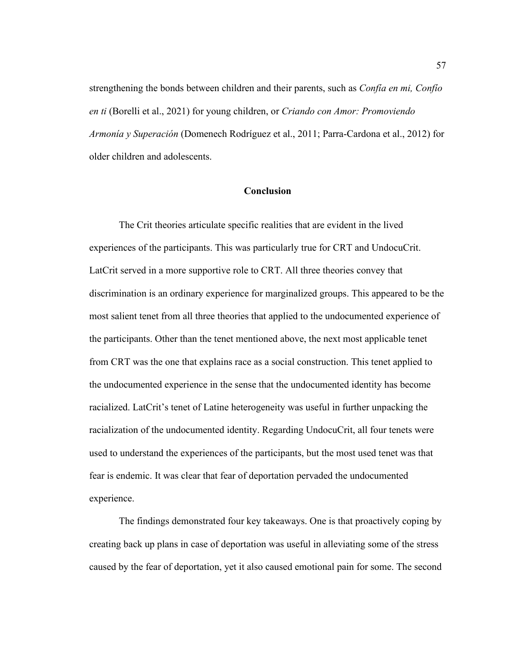strengthening the bonds between children and their parents, such as *Confía en mi, Confío en ti* (Borelli et al., 2021) for young children, or *Criando con Amor: Promoviendo Armonía y Superación* (Domenech Rodríguez et al., 2011; Parra-Cardona et al., 2012) for older children and adolescents.

### **Conclusion**

The Crit theories articulate specific realities that are evident in the lived experiences of the participants. This was particularly true for CRT and UndocuCrit. LatCrit served in a more supportive role to CRT. All three theories convey that discrimination is an ordinary experience for marginalized groups. This appeared to be the most salient tenet from all three theories that applied to the undocumented experience of the participants. Other than the tenet mentioned above, the next most applicable tenet from CRT was the one that explains race as a social construction. This tenet applied to the undocumented experience in the sense that the undocumented identity has become racialized. LatCrit's tenet of Latine heterogeneity was useful in further unpacking the racialization of the undocumented identity. Regarding UndocuCrit, all four tenets were used to understand the experiences of the participants, but the most used tenet was that fear is endemic. It was clear that fear of deportation pervaded the undocumented experience.

The findings demonstrated four key takeaways. One is that proactively coping by creating back up plans in case of deportation was useful in alleviating some of the stress caused by the fear of deportation, yet it also caused emotional pain for some. The second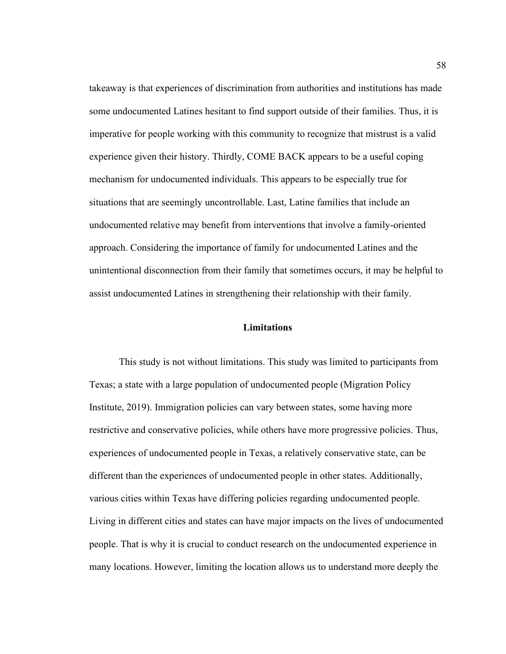takeaway is that experiences of discrimination from authorities and institutions has made some undocumented Latines hesitant to find support outside of their families. Thus, it is imperative for people working with this community to recognize that mistrust is a valid experience given their history. Thirdly, COME BACK appears to be a useful coping mechanism for undocumented individuals. This appears to be especially true for situations that are seemingly uncontrollable. Last, Latine families that include an undocumented relative may benefit from interventions that involve a family-oriented approach. Considering the importance of family for undocumented Latines and the unintentional disconnection from their family that sometimes occurs, it may be helpful to assist undocumented Latines in strengthening their relationship with their family.

### **Limitations**

This study is not without limitations. This study was limited to participants from Texas; a state with a large population of undocumented people (Migration Policy Institute, 2019). Immigration policies can vary between states, some having more restrictive and conservative policies, while others have more progressive policies. Thus, experiences of undocumented people in Texas, a relatively conservative state, can be different than the experiences of undocumented people in other states. Additionally, various cities within Texas have differing policies regarding undocumented people. Living in different cities and states can have major impacts on the lives of undocumented people. That is why it is crucial to conduct research on the undocumented experience in many locations. However, limiting the location allows us to understand more deeply the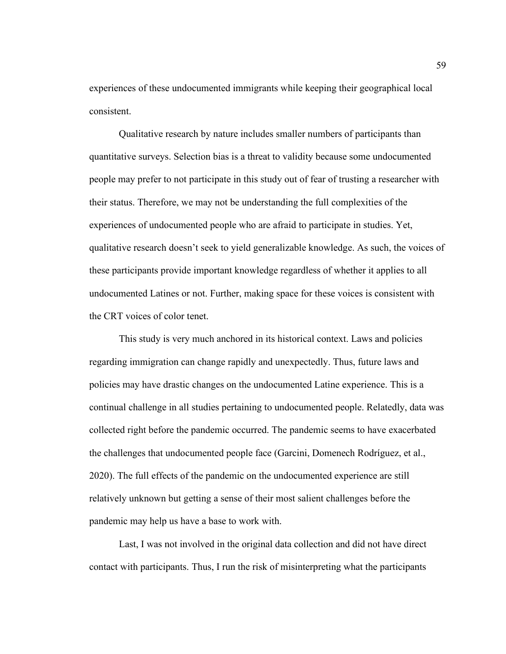experiences of these undocumented immigrants while keeping their geographical local consistent.

Qualitative research by nature includes smaller numbers of participants than quantitative surveys. Selection bias is a threat to validity because some undocumented people may prefer to not participate in this study out of fear of trusting a researcher with their status. Therefore, we may not be understanding the full complexities of the experiences of undocumented people who are afraid to participate in studies. Yet, qualitative research doesn't seek to yield generalizable knowledge. As such, the voices of these participants provide important knowledge regardless of whether it applies to all undocumented Latines or not. Further, making space for these voices is consistent with the CRT voices of color tenet.

This study is very much anchored in its historical context. Laws and policies regarding immigration can change rapidly and unexpectedly. Thus, future laws and policies may have drastic changes on the undocumented Latine experience. This is a continual challenge in all studies pertaining to undocumented people. Relatedly, data was collected right before the pandemic occurred. The pandemic seems to have exacerbated the challenges that undocumented people face (Garcini, Domenech Rodríguez, et al., 2020). The full effects of the pandemic on the undocumented experience are still relatively unknown but getting a sense of their most salient challenges before the pandemic may help us have a base to work with.

Last, I was not involved in the original data collection and did not have direct contact with participants. Thus, I run the risk of misinterpreting what the participants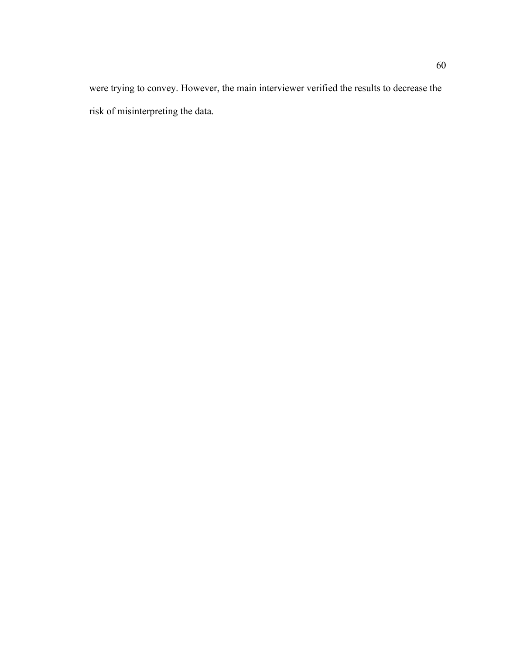were trying to convey. However, the main interviewer verified the results to decrease the risk of misinterpreting the data.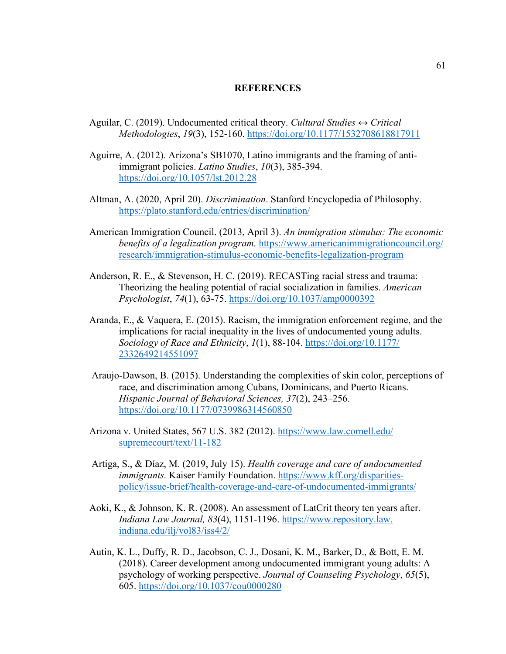#### **REFERENCES**

- Aguilar, C. (2019). Undocumented critical theory. *Cultural Studies ↔ Critical Methodologies*, *19*(3), 152-160.<https://doi.org/10.1177/1532708618817911>
- Aguirre, A. (2012). Arizona's SB1070, Latino immigrants and the framing of antiimmigrant policies. *Latino Studies*, *10*(3), 385-394. <https://doi.org/10.1057/lst.2012.28>
- Altman, A. (2020, April 20). *Discrimination*. Stanford Encyclopedia of Philosophy. <https://plato.stanford.edu/entries/discrimination/>
- American Immigration Council. (2013, April 3). *An immigration stimulus: The economic benefits of a legalization program.* [https://www.americanimmigrationcouncil.org/](https://www.americanimmigrationcouncil.org/%20research/immigration-stimulus-economic-benefits-legalization-program)  [research/immigration-stimulus-economic-benefits-legalization-program](https://www.americanimmigrationcouncil.org/%20research/immigration-stimulus-economic-benefits-legalization-program)
- Anderson, R. E., & Stevenson, H. C. (2019). RECASTing racial stress and trauma: Theorizing the healing potential of racial socialization in families. *American Psychologist*, *74*(1), 63-75.<https://doi.org/10.1037/amp0000392>
- Aranda, E., & Vaquera, E. (2015). Racism, the immigration enforcement regime, and the implications for racial inequality in the lives of undocumented young adults. *Sociology of Race and Ethnicity*, *1*(1), 88-104. [https://doi.org/10.1177/](https://doi.org/10.1177/%202332649214551097)  [2332649214551097](https://doi.org/10.1177/%202332649214551097)
- Araujo-Dawson, B. (2015). Understanding the complexities of skin color, perceptions of race, and discrimination among Cubans, Dominicans, and Puerto Ricans. *Hispanic Journal of Behavioral Sciences, 37*(2), 243–256. <https://doi.org/10.1177/0739986314560850>
- Arizona v. United States, 567 U.S. 382 (2012). [https://www.law.cornell.edu/](https://www.law.cornell.edu/%20supremecourt/text/11-182)  [supremecourt/text/11-182](https://www.law.cornell.edu/%20supremecourt/text/11-182)
- Artiga, S., & Díaz, M. (2019, July 15). *Health coverage and care of undocumented immigrants.* Kaiser Family Foundation. [https://www.kff.org/disparities](https://www.kff.org/disparities-policy/issue-brief/health-coverage-and-care-of-undocumented-immigrants/)[policy/issue-brief/health-coverage-and-care-of-undocumented-immigrants/](https://www.kff.org/disparities-policy/issue-brief/health-coverage-and-care-of-undocumented-immigrants/)
- Aoki, K., & Johnson, K. R. (2008). An assessment of LatCrit theory ten years after. *Indiana Law Journal, 83*(4), 1151-1196. https://www.repository.law. indiana.edu/ilj/vol83/iss4/2/
- Autin, K. L., Duffy, R. D., Jacobson, C. J., Dosani, K. M., Barker, D., & Bott, E. M. (2018). Career development among undocumented immigrant young adults: A psychology of working perspective. *Journal of Counseling Psychology*, *65*(5), 605.<https://doi.org/10.1037/cou0000280>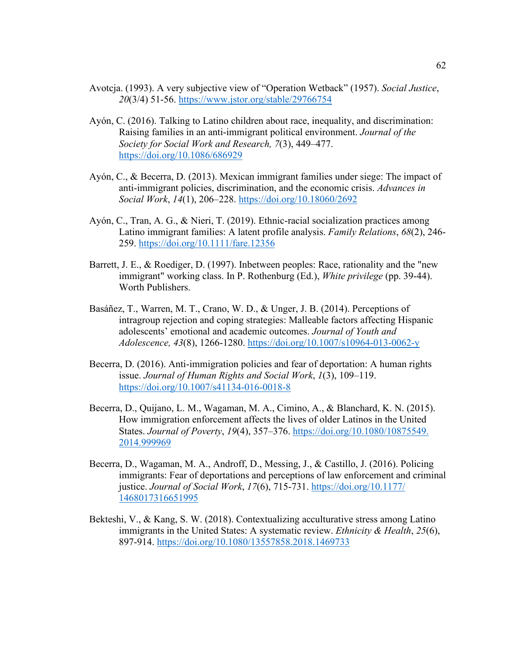- Avotcja. (1993). A very subjective view of "Operation Wetback" (1957). *Social Justice*, *20*(3/4) 51-56.<https://www.jstor.org/stable/29766754>
- Ayón, C. (2016). Talking to Latino children about race, inequality, and discrimination: Raising families in an anti-immigrant political environment. *Journal of the Society for Social Work and Research, 7*(3), 449–477. <https://doi.org/10.1086/686929>
- Ayón, C., & Becerra, D. (2013). Mexican immigrant families under siege: The impact of anti-immigrant policies, discrimination, and the economic crisis. *Advances in Social Work*, *14*(1), 206–228.<https://doi.org/10.18060/2692>
- Ayón, C., Tran, A. G., & Nieri, T. (2019). Ethnic-racial socialization practices among Latino immigrant families: A latent profile analysis. *Family Relations*, *68*(2), 246- 259.<https://doi.org/10.1111/fare.12356>
- Barrett, J. E., & Roediger, D. (1997). Inbetween peoples: Race, rationality and the "new immigrant" working class. In P. Rothenburg (Ed.), *White privilege* (pp. 39-44). Worth Publishers.
- Basáñez, T., Warren, M. T., Crano, W. D., & Unger, J. B. (2014). Perceptions of intragroup rejection and coping strategies: Malleable factors affecting Hispanic adolescents' emotional and academic outcomes. *Journal of Youth and Adolescence, 43*(8), 1266-1280. <https://doi.org/10.1007/s10964-013-0062-y>
- Becerra, D. (2016). Anti-immigration policies and fear of deportation: A human rights issue. *Journal of Human Rights and Social Work*, *1*(3), 109–119. <https://doi.org/10.1007/s41134-016-0018-8>
- Becerra, D., Quijano, L. M., Wagaman, M. A., Cimino, A., & Blanchard, K. N. (2015). How immigration enforcement affects the lives of older Latinos in the United States. *Journal of Poverty*, *19*(4), 357–376. [https://doi.org/10.1080/10875549.](https://doi.org/10.1080/10875549.%202014.999969)  [2014.999969](https://doi.org/10.1080/10875549.%202014.999969)
- Becerra, D., Wagaman, M. A., Androff, D., Messing, J., & Castillo, J. (2016). Policing immigrants: Fear of deportations and perceptions of law enforcement and criminal justice. *Journal of Social Work*, *17*(6), 715-731. [https://doi.org/10.1177/](https://doi.org/10.1177/%201468017316651995)  [1468017316651995](https://doi.org/10.1177/%201468017316651995)
- Bekteshi, V., & Kang, S. W. (2018). Contextualizing acculturative stress among Latino immigrants in the United States: A systematic review. *Ethnicity & Health*, *25*(6), 897-914.<https://doi.org/10.1080/13557858.2018.1469733>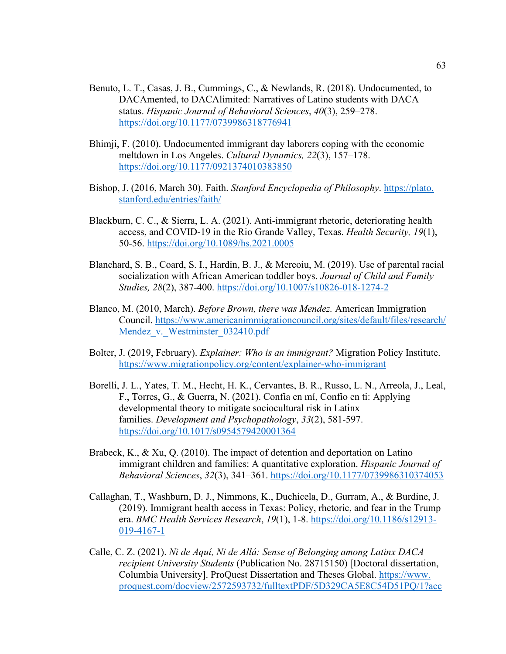- Benuto, L. T., Casas, J. B., Cummings, C., & Newlands, R. (2018). Undocumented, to DACAmented, to DACAlimited: Narratives of Latino students with DACA status. *Hispanic Journal of Behavioral Sciences*, *40*(3), 259–278. <https://doi.org/10.1177/0739986318776941>
- Bhimji, F. (2010). Undocumented immigrant day laborers coping with the economic meltdown in Los Angeles. *Cultural Dynamics, 22*(3), 157–178. <https://doi.org/10.1177/0921374010383850>
- Bishop, J. (2016, March 30). Faith. *Stanford Encyclopedia of Philosophy*. https://plato. stanford.edu/entries/faith/
- Blackburn, C. C., & Sierra, L. A. (2021). Anti-immigrant rhetoric, deteriorating health access, and COVID-19 in the Rio Grande Valley, Texas. *Health Security, 19*(1), 50-56.<https://doi.org/10.1089/hs.2021.0005>
- Blanchard, S. B., Coard, S. I., Hardin, B. J., & Mereoiu, M. (2019). Use of parental racial socialization with African American toddler boys. *Journal of Child and Family Studies, 28*(2), 387-400.<https://doi.org/10.1007/s10826-018-1274-2>
- Blanco, M. (2010, March). *Before Brown, there was Mendez.* American Immigration Council. [https://www.americanimmigrationcouncil.org/sites/default/files/research/](https://www.americanimmigrationcouncil.org/sites/default/files/research/%20Mendez_v._Westminster_032410.pdf)  Mendez v. Westminster 032410.pdf
- Bolter, J. (2019, February). *Explainer: Who is an immigrant?* Migration Policy Institute. <https://www.migrationpolicy.org/content/explainer-who-immigrant>
- Borelli, J. L., Yates, T. M., Hecht, H. K., Cervantes, B. R., Russo, L. N., Arreola, J., Leal, F., Torres, G., & Guerra, N. (2021). Confía en mí, Confío en ti: Applying developmental theory to mitigate sociocultural risk in Latinx families. *Development and Psychopathology*, *33*(2), 581-597. <https://doi.org/10.1017/s0954579420001364>
- Brabeck, K., & Xu, Q. (2010). The impact of detention and deportation on Latino immigrant children and families: A quantitative exploration. *Hispanic Journal of Behavioral Sciences*, *32*(3), 341–361.<https://doi.org/10.1177/0739986310374053>
- Callaghan, T., Washburn, D. J., Nimmons, K., Duchicela, D., Gurram, A., & Burdine, J. (2019). Immigrant health access in Texas: Policy, rhetoric, and fear in the Trump era. *BMC Health Services Research*, *19*(1), 1-8. [https://doi.org/10.1186/s12913-](https://doi.org/10.1186/s12913-019-4167-1) [019-4167-1](https://doi.org/10.1186/s12913-019-4167-1)
- Calle, C. Z. (2021). *Ni de Aquí, Ni de Allá: Sense of Belonging among Latinx DACA recipient University Students* (Publication No. 28715150) [Doctoral dissertation, Columbia University]. ProQuest Dissertation and Theses Global. https://www. proquest.com/docview/2572593732/fulltextPDF/5D329CA5E8C54D51PQ/1?acc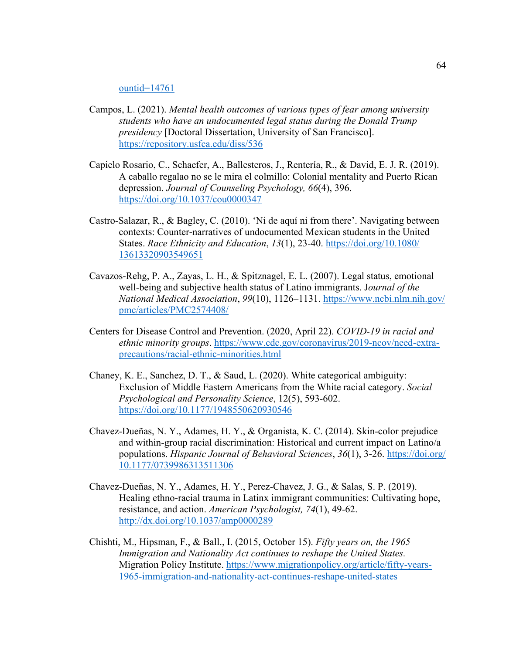#### ountid=14761

- Campos, L. (2021). *Mental health outcomes of various types of fear among university students who have an undocumented legal status during the Donald Trump presidency* [Doctoral Dissertation, University of San Francisco]. <https://repository.usfca.edu/diss/536>
- Capielo Rosario, C., Schaefer, A., Ballesteros, J., Rentería, R., & David, E. J. R. (2019). A caballo regalao no se le mira el colmillo: Colonial mentality and Puerto Rican depression. *Journal of Counseling Psychology, 66*(4), 396. <https://doi.org/10.1037/cou0000347>
- Castro‐Salazar, R., & Bagley, C. (2010). 'Ni de aquí ni from there'. Navigating between contexts: Counter‐narratives of undocumented Mexican students in the United States. *Race Ethnicity and Education*, *13*(1), 23-40. [https://doi.org/10.1080/](https://doi.org/10.1080/%2013613320903549651)  [13613320903549651](https://doi.org/10.1080/%2013613320903549651)
- Cavazos-Rehg, P. A., Zayas, L. H., & Spitznagel, E. L. (2007). Legal status, emotional well-being and subjective health status of Latino immigrants. J*ournal of the National Medical Association*, *99*(10), 1126–1131. [https://www.ncbi.nlm.nih.gov/](https://www.ncbi.nlm.nih.gov/%20pmc/articles/PMC2574408/)  [pmc/articles/PMC2574408/](https://www.ncbi.nlm.nih.gov/%20pmc/articles/PMC2574408/)
- Centers for Disease Control and Prevention. (2020, April 22). *COVID-19 in racial and ethnic minority groups*. [https://www.cdc.gov/coronavirus/2019-ncov/need-extra](https://www.cdc.gov/coronavirus/2019-ncov/need-extra-precautions/racial-ethnic-minorities.html)[precautions/racial-ethnic-minorities.html](https://www.cdc.gov/coronavirus/2019-ncov/need-extra-precautions/racial-ethnic-minorities.html)
- Chaney, K. E., Sanchez, D. T., & Saud, L. (2020). White categorical ambiguity: Exclusion of Middle Eastern Americans from the White racial category. *Social Psychological and Personality Science*, 12(5), 593-602. <https://doi.org/10.1177/1948550620930546>
- Chavez-Dueñas, N. Y., Adames, H. Y., & Organista, K. C. (2014). Skin-color prejudice and within-group racial discrimination: Historical and current impact on Latino/a populations. *Hispanic Journal of Behavioral Sciences*, *36*(1), 3-26. [https://doi.org/](https://doi.org/%2010.1177/0739986313511306)  [10.1177/0739986313511306](https://doi.org/%2010.1177/0739986313511306)
- Chavez-Dueñas, N. Y., Adames, H. Y., Perez-Chavez, J. G., & Salas, S. P. (2019). Healing ethno-racial trauma in Latinx immigrant communities: Cultivating hope, resistance, and action. *American Psychologist, 74*(1), 49-62. <http://dx.doi.org/10.1037/amp0000289>
- Chishti, M., Hipsman, F., & Ball., I. (2015, October 15). *Fifty years on, the 1965 Immigration and Nationality Act continues to reshape the United States.*  Migration Policy Institute. [https://www.migrationpolicy.org/article/fifty-years-](https://www.migrationpolicy.org/article/fifty-years-1965-immigration-and-nationality-act-continues-reshape-united-states)[1965-immigration-and-nationality-act-continues-reshape-united-states](https://www.migrationpolicy.org/article/fifty-years-1965-immigration-and-nationality-act-continues-reshape-united-states)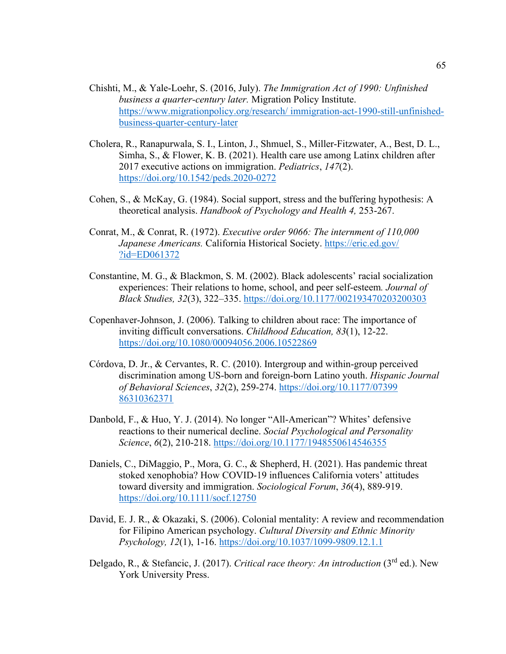- Chishti, M., & Yale-Loehr, S. (2016, July). *The Immigration Act of 1990: Unfinished business a quarter-century later.* Migration Policy Institute. [https://www.migrationpolicy.org/research/ immigration-act-1990-still-unfinished](https://www.migrationpolicy.org/research/%20immigration-act-1990-still-unfinished-business-quarter-century-later)[business-quarter-century-later](https://www.migrationpolicy.org/research/%20immigration-act-1990-still-unfinished-business-quarter-century-later)
- Cholera, R., Ranapurwala, S. I., Linton, J., Shmuel, S., Miller-Fitzwater, A., Best, D. L., Simha, S., & Flower, K. B. (2021). Health care use among Latinx children after 2017 executive actions on immigration. *Pediatrics*, *147*(2). <https://doi.org/10.1542/peds.2020-0272>
- Cohen, S., & McKay, G. (1984). Social support, stress and the buffering hypothesis: A theoretical analysis. *Handbook of Psychology and Health 4,* 253-267.
- Conrat, M., & Conrat, R. (1972). *Executive order 9066: The internment of 110,000 Japanese Americans.* California Historical Society. [https://eric.ed.gov/](https://eric.ed.gov/%20?id=ED061372)  [?id=ED061372](https://eric.ed.gov/%20?id=ED061372)
- Constantine, M. G., & Blackmon, S. M. (2002). Black adolescents' racial socialization experiences: Their relations to home, school, and peer self-esteem*. Journal of Black Studies, 32*(3), 322–335.<https://doi.org/10.1177/002193470203200303>
- Copenhaver-Johnson, J. (2006). Talking to children about race: The importance of inviting difficult conversations. *Childhood Education, 83*(1), 12-22. <https://doi.org/10.1080/00094056.2006.10522869>
- Córdova, D. Jr., & Cervantes, R. C. (2010). Intergroup and within-group perceived discrimination among US-born and foreign-born Latino youth. *Hispanic Journal of Behavioral Sciences*, *32*(2), 259-274. [https://doi.org/10.1177/07399](https://doi.org/10.1177/07399%2086310362371)  [86310362371](https://doi.org/10.1177/07399%2086310362371)
- Danbold, F., & Huo, Y. J. (2014). No longer "All-American"? Whites' defensive reactions to their numerical decline. *Social Psychological and Personality Science*, *6*(2), 210-218.<https://doi.org/10.1177/1948550614546355>
- Daniels, C., DiMaggio, P., Mora, G. C., & Shepherd, H. (2021). Has pandemic threat stoked xenophobia? How COVID‐19 influences California voters' attitudes toward diversity and immigration. *Sociological Forum*, *36*(4), 889-919. <https://doi.org/10.1111/socf.12750>
- David, E. J. R., & Okazaki, S. (2006). Colonial mentality: A review and recommendation for Filipino American psychology. *Cultural Diversity and Ethnic Minority Psychology, 12*(1), 1-16.<https://doi.org/10.1037/1099-9809.12.1.1>
- Delgado, R., & Stefancic, J. (2017). *Critical race theory: An introduction* (3rd ed.). New York University Press.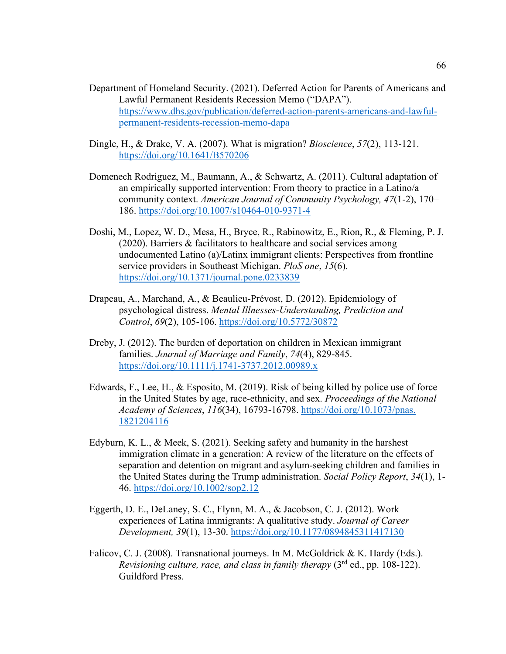- Department of Homeland Security. (2021). Deferred Action for Parents of Americans and Lawful Permanent Residents Recession Memo ("DAPA"). [https://www.dhs.gov/publication/deferred-action-parents-americans-and-lawful](https://www.dhs.gov/publication/deferred-action-parents-americans-and-lawful-permanent-residents-recession-memo-dapa)[permanent-residents-recession-memo-dapa](https://www.dhs.gov/publication/deferred-action-parents-americans-and-lawful-permanent-residents-recession-memo-dapa)
- Dingle, H., & Drake, V. A. (2007). What is migration? *Bioscience*, *57*(2), 113-121. <https://doi.org/10.1641/B570206>
- Domenech Rodriguez, M., Baumann, A., & Schwartz, A. (2011). Cultural adaptation of an empirically supported intervention: From theory to practice in a Latino/a community context. *American Journal of Community Psychology, 47*(1-2), 170– 186.<https://doi.org/10.1007/s10464-010-9371-4>
- Doshi, M., Lopez, W. D., Mesa, H., Bryce, R., Rabinowitz, E., Rion, R., & Fleming, P. J. (2020). Barriers & facilitators to healthcare and social services among undocumented Latino (a)/Latinx immigrant clients: Perspectives from frontline service providers in Southeast Michigan. *PloS one*, *15*(6). <https://doi.org/10.1371/journal.pone.0233839>
- Drapeau, A., Marchand, A., & Beaulieu-Prévost, D. (2012). Epidemiology of psychological distress. *Mental Illnesses-Understanding, Prediction and Control*, *69*(2), 105-106.<https://doi.org/10.5772/30872>
- Dreby, J. (2012). The burden of deportation on children in Mexican immigrant families. *Journal of Marriage and Family*, *74*(4), 829-845. <https://doi.org/10.1111/j.1741-3737.2012.00989.x>
- Edwards, F., Lee, H., & Esposito, M. (2019). Risk of being killed by police use of force in the United States by age, race-ethnicity, and sex. *Proceedings of the National Academy of Sciences*, *116*(34), 16793-16798. [https://doi.org/10.1073/pnas.](https://doi.org/10.1073/pnas.%201821204116)  [1821204116](https://doi.org/10.1073/pnas.%201821204116)
- Edyburn, K. L., & Meek, S. (2021). Seeking safety and humanity in the harshest immigration climate in a generation: A review of the literature on the effects of separation and detention on migrant and asylum‐seeking children and families in the United States during the Trump administration. *Social Policy Report*, *34*(1), 1- 46.<https://doi.org/10.1002/sop2.12>
- Eggerth, D. E., DeLaney, S. C., Flynn, M. A., & Jacobson, C. J. (2012). Work experiences of Latina immigrants: A qualitative study. *Journal of Career Development, 39*(1), 13-30.<https://doi.org/10.1177/0894845311417130>
- Falicov, C. J. (2008). Transnational journeys. In M. McGoldrick & K. Hardy (Eds.). *Revisioning culture, race, and class in family therapy* (3rd ed., pp. 108-122). Guildford Press.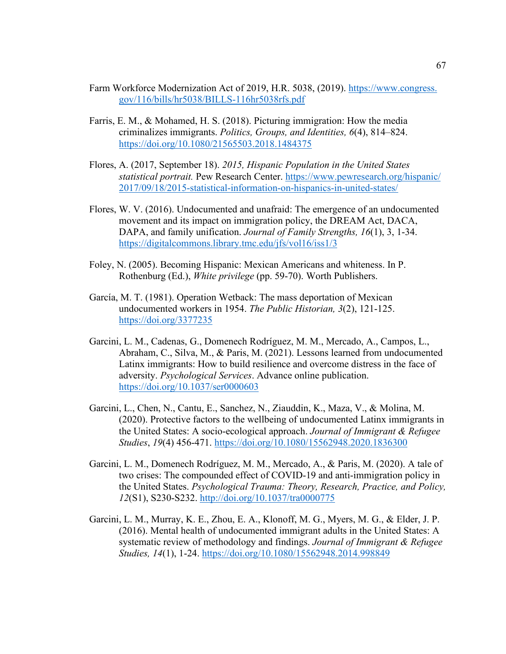- Farm Workforce Modernization Act of 2019, H.R. 5038, (2019). https://www.congress. gov/116/bills/hr5038/BILLS-116hr5038rfs.pdf
- Farris, E. M., & Mohamed, H. S. (2018). Picturing immigration: How the media criminalizes immigrants. *Politics, Groups, and Identities, 6*(4), 814–824. <https://doi.org/10.1080/21565503.2018.1484375>
- Flores, A. (2017, September 18). *2015, Hispanic Population in the United States statistical portrait.* Pew Research Center. [https://www.pewresearch.org/hispanic/](https://www.pewresearch.org/hispanic/%202017/09/18/2015-statistical-information-on-hispanics-in-united-states/)  [2017/09/18/2015-statistical-information-on-hispanics-in-united-states/](https://www.pewresearch.org/hispanic/%202017/09/18/2015-statistical-information-on-hispanics-in-united-states/)
- Flores, W. V. (2016). Undocumented and unafraid: The emergence of an undocumented movement and its impact on immigration policy, the DREAM Act, DACA, DAPA, and family unification. *Journal of Family Strengths, 16*(1), 3, 1-34. <https://digitalcommons.library.tmc.edu/jfs/vol16/iss1/3>
- Foley, N. (2005). Becoming Hispanic: Mexican Americans and whiteness. In P. Rothenburg (Ed.), *White privilege* (pp. 59-70). Worth Publishers.
- García, M. T. (1981). Operation Wetback: The mass deportation of Mexican undocumented workers in 1954. *The Public Historian, 3*(2), 121-125. <https://doi.org/3377235>
- Garcini, L. M., Cadenas, G., Domenech Rodríguez, M. M., Mercado, A., Campos, L., Abraham, C., Silva, M., & Paris, M. (2021). Lessons learned from undocumented Latinx immigrants: How to build resilience and overcome distress in the face of adversity. *Psychological Services*. Advance online publication. <https://doi.org/10.1037/ser0000603>
- Garcini, L., Chen, N., Cantu, E., Sanchez, N., Ziauddin, K., Maza, V., & Molina, M. (2020). Protective factors to the wellbeing of undocumented Latinx immigrants in the United States: A socio-ecological approach. *Journal of Immigrant & Refugee Studies*, *19*(4) 456-471.<https://doi.org/10.1080/15562948.2020.1836300>
- Garcini, L. M., Domenech Rodríguez, M. M., Mercado, A., & Paris, M. (2020). A tale of two crises: The compounded effect of COVID-19 and anti-immigration policy in the United States. *Psychological Trauma: Theory, Research, Practice, and Policy, 12*(S1), S230-S232.<http://doi.org/10.1037/tra0000775>
- Garcini, L. M., Murray, K. E., Zhou, E. A., Klonoff, M. G., Myers, M. G., & Elder, J. P. (2016). Mental health of undocumented immigrant adults in the United States: A systematic review of methodology and findings. *Journal of Immigrant & Refugee Studies, 14*(1), 1-24.<https://doi.org/10.1080/15562948.2014.998849>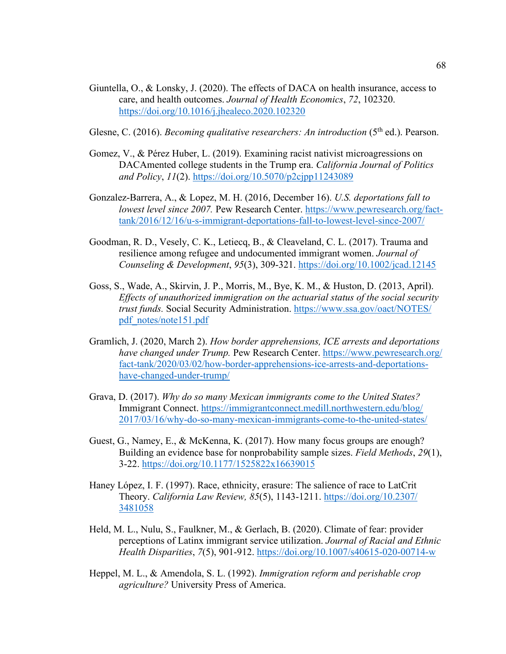- Giuntella, O., & Lonsky, J. (2020). The effects of DACA on health insurance, access to care, and health outcomes. *Journal of Health Economics*, *72*, 102320. <https://doi.org/10.1016/j.jhealeco.2020.102320>
- Glesne, C. (2016). *Becoming qualitative researchers: An introduction* (5<sup>th</sup> ed.). Pearson.
- Gomez, V., & Pérez Huber, L. (2019). Examining racist nativist microagressions on DACAmented college students in the Trump era. *California Journal of Politics and Policy*, *11*(2).<https://doi.org/10.5070/p2cjpp11243089>
- Gonzalez-Barrera, A., & Lopez, M. H. (2016, December 16). *U.S. deportations fall to lowest level since 2007.* Pew Research Center. [https://www.pewresearch.org/fact](https://www.pewresearch.org/fact-tank/2016/12/16/u-s-immigrant-deportations-fall-to-lowest-level-since-2007/)[tank/2016/12/16/u-s-immigrant-deportations-fall-to-lowest-level-since-2007/](https://www.pewresearch.org/fact-tank/2016/12/16/u-s-immigrant-deportations-fall-to-lowest-level-since-2007/)
- Goodman, R. D., Vesely, C. K., Letiecq, B., & Cleaveland, C. L. (2017). Trauma and resilience among refugee and undocumented immigrant women. *Journal of Counseling & Development*, *95*(3), 309-321.<https://doi.org/10.1002/jcad.12145>
- Goss, S., Wade, A., Skirvin, J. P., Morris, M., Bye, K. M., & Huston, D. (2013, April). *Effects of unauthorized immigration on the actuarial status of the social security trust funds.* Social Security Administration. [https://www.ssa.gov/oact/NOTES/](https://www.ssa.gov/oact/NOTES/%20pdf_notes/note151.pdf)  [pdf\\_notes/note151.pdf](https://www.ssa.gov/oact/NOTES/%20pdf_notes/note151.pdf)
- Gramlich, J. (2020, March 2). *How border apprehensions, ICE arrests and deportations have changed under Trump.* Pew Research Center. [https://www.pewresearch.org/](https://www.pewresearch.org/%20fact-tank/2020/03/02/how-border-apprehensions-ice-arrests-and-deportations-have-changed-under-trump/)  [fact-tank/2020/03/02/how-border-apprehensions-ice-arrests-and-deportations](https://www.pewresearch.org/%20fact-tank/2020/03/02/how-border-apprehensions-ice-arrests-and-deportations-have-changed-under-trump/)[have-changed-under-trump/](https://www.pewresearch.org/%20fact-tank/2020/03/02/how-border-apprehensions-ice-arrests-and-deportations-have-changed-under-trump/)
- Grava, D. (2017). *Why do so many Mexican immigrants come to the United States?* Immigrant Connect. [https://immigrantconnect.medill.northwestern.edu/blog/](https://immigrantconnect.medill.northwestern.edu/blog/%202017/03/16/why-do-so-many-mexican-immigrants-come-to-the-united-states/)  [2017/03/16/why-do-so-many-mexican-immigrants-come-to-the-united-states/](https://immigrantconnect.medill.northwestern.edu/blog/%202017/03/16/why-do-so-many-mexican-immigrants-come-to-the-united-states/)
- Guest, G., Namey, E., & McKenna, K. (2017). How many focus groups are enough? Building an evidence base for nonprobability sample sizes. *Field Methods*, *29*(1), 3-22.<https://doi.org/10.1177/1525822x16639015>
- Haney López, I. F. (1997). Race, ethnicity, erasure: The salience of race to LatCrit Theory. *California Law Review, 85*(5), 1143-1211. [https://doi.org/10.2307/](https://doi.org/10.2307/%203481058)  [3481058](https://doi.org/10.2307/%203481058)
- Held, M. L., Nulu, S., Faulkner, M., & Gerlach, B. (2020). Climate of fear: provider perceptions of Latinx immigrant service utilization. *Journal of Racial and Ethnic Health Disparities*, *7*(5), 901-912.<https://doi.org/10.1007/s40615-020-00714-w>
- Heppel, M. L., & Amendola, S. L. (1992). *Immigration reform and perishable crop agriculture?* University Press of America.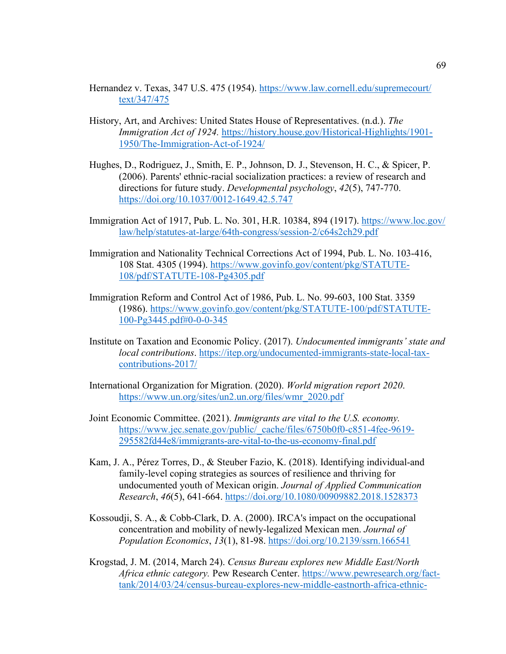- Hernandez v. Texas, 347 U.S. 475 (1954). [https://www.law.cornell.edu/supremecourt/](https://www.law.cornell.edu/supremecourt/%20text/347/475)  [text/347/475](https://www.law.cornell.edu/supremecourt/%20text/347/475)
- History, Art, and Archives: United States House of Representatives. (n.d.). *The Immigration Act of 1924.* [https://history.house.gov/Historical-Highlights/1901-](https://history.house.gov/Historical-Highlights/1901-1950/The-Immigration-Act-of-1924/) [1950/The-Immigration-Act-of-1924/](https://history.house.gov/Historical-Highlights/1901-1950/The-Immigration-Act-of-1924/)
- Hughes, D., Rodriguez, J., Smith, E. P., Johnson, D. J., Stevenson, H. C., & Spicer, P. (2006). Parents' ethnic-racial socialization practices: a review of research and directions for future study. *Developmental psychology*, *42*(5), 747-770. <https://doi.org/10.1037/0012-1649.42.5.747>
- Immigration Act of 1917, Pub. L. No. 301, H.R. 10384, 894 (1917). [https://www.loc.gov/](https://www.loc.gov/%20law/help/statutes-at-large/64th-congress/session-2/c64s2ch29.pdf)  [law/help/statutes-at-large/64th-congress/session-2/c64s2ch29.pdf](https://www.loc.gov/%20law/help/statutes-at-large/64th-congress/session-2/c64s2ch29.pdf)
- Immigration and Nationality Technical Corrections Act of 1994, Pub. L. No. 103-416, 108 Stat. 4305 (1994). [https://www.govinfo.gov/content/pkg/STATUTE-](https://www.govinfo.gov/content/pkg/STATUTE-108/pdf/STATUTE-108-Pg4305.pdf)[108/pdf/STATUTE-108-Pg4305.pdf](https://www.govinfo.gov/content/pkg/STATUTE-108/pdf/STATUTE-108-Pg4305.pdf)
- Immigration Reform and Control Act of 1986, Pub. L. No. 99-603, 100 Stat. 3359 (1986). [https://www.govinfo.gov/content/pkg/STATUTE-100/pdf/STATUTE-](https://www.govinfo.gov/content/pkg/STATUTE-100/pdf/STATUTE-100-Pg3445.pdf%230-0-0-345)[100-Pg3445.pdf#0-0-0-345](https://www.govinfo.gov/content/pkg/STATUTE-100/pdf/STATUTE-100-Pg3445.pdf%230-0-0-345)
- Institute on Taxation and Economic Policy. (2017). *Undocumented immigrants' state and local contributions*. [https://itep.org/undocumented-immigrants-state-local-tax](https://itep.org/undocumented-immigrants-state-local-tax-contributions-2017/)[contributions-2017/](https://itep.org/undocumented-immigrants-state-local-tax-contributions-2017/)
- International Organization for Migration. (2020). *World migration report 2020*. [https://www.un.org/sites/un2.un.org/files/wmr\\_2020.pdf](https://www.un.org/sites/un2.un.org/files/wmr_2020.pdf)
- Joint Economic Committee. (2021). *Immigrants are vital to the U.S. economy.* [https://www.jec.senate.gov/public/\\_cache/files/6750b0f0-c851-4fee-9619-](https://www.jec.senate.gov/public/_cache/files/6750b0f0-c851-4fee-9619-295582fd44e8/immigrants-are-vital-to-the-us-economy-final.pdf) [295582fd44e8/immigrants-are-vital-to-the-us-economy-final.pdf](https://www.jec.senate.gov/public/_cache/files/6750b0f0-c851-4fee-9619-295582fd44e8/immigrants-are-vital-to-the-us-economy-final.pdf)
- Kam, J. A., Pérez Torres, D., & Steuber Fazio, K. (2018). Identifying individual-and family-level coping strategies as sources of resilience and thriving for undocumented youth of Mexican origin. *Journal of Applied Communication Research*, *46*(5), 641-664.<https://doi.org/10.1080/00909882.2018.1528373>
- Kossoudji, S. A., & Cobb-Clark, D. A. (2000). IRCA's impact on the occupational concentration and mobility of newly-legalized Mexican men. *Journal of Population Economics*, *13*(1), 81-98.<https://doi.org/10.2139/ssrn.166541>
- Krogstad, J. M. (2014, March 24). *Census Bureau explores new Middle East/North Africa ethnic category.* Pew Research Center. [https://www.pewresearch.org/fact](https://www.pewresearch.org/fact-tank/2014/03/24/census-bureau-explores-new-middle-eastnorth-africa-ethnic-category/)[tank/2014/03/24/census-bureau-explores-new-middle-eastnorth-africa-ethnic-](https://www.pewresearch.org/fact-tank/2014/03/24/census-bureau-explores-new-middle-eastnorth-africa-ethnic-category/)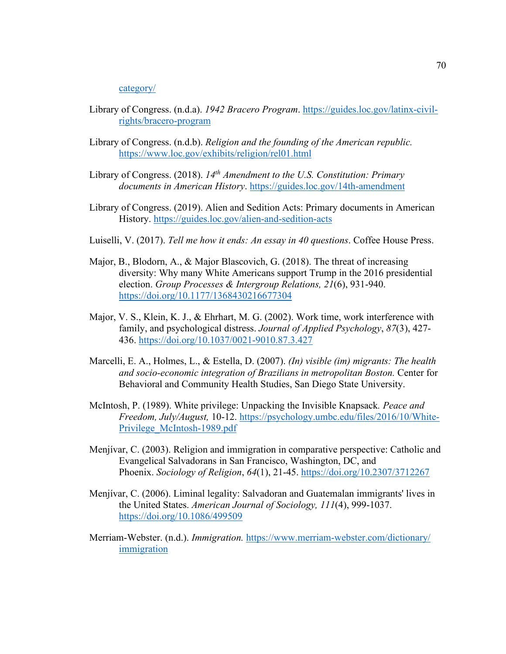#### [category/](https://www.pewresearch.org/fact-tank/2014/03/24/census-bureau-explores-new-middle-eastnorth-africa-ethnic-category/)

- Library of Congress. (n.d.a). *1942 Bracero Program*. [https://guides.loc.gov/latinx-civil](https://guides.loc.gov/latinx-civil-rights/bracero-program)[rights/bracero-program](https://guides.loc.gov/latinx-civil-rights/bracero-program)
- Library of Congress. (n.d.b). *Religion and the founding of the American republic.* <https://www.loc.gov/exhibits/religion/rel01.html>
- Library of Congress. (2018). *14th Amendment to the U.S. Constitution: Primary documents in American History*. <https://guides.loc.gov/14th-amendment>
- Library of Congress. (2019). Alien and Sedition Acts: Primary documents in American History. <https://guides.loc.gov/alien-and-sedition-acts>
- Luiselli, V. (2017). *Tell me how it ends: An essay in 40 questions*. Coffee House Press.
- Major, B., Blodorn, A., & Major Blascovich, G. (2018). The threat of increasing diversity: Why many White Americans support Trump in the 2016 presidential election. *Group Processes & Intergroup Relations, 21*(6), 931-940. <https://doi.org/10.1177/1368430216677304>
- Major, V. S., Klein, K. J., & Ehrhart, M. G. (2002). Work time, work interference with family, and psychological distress. *Journal of Applied Psychology*, *87*(3), 427- 436.<https://doi.org/10.1037/0021-9010.87.3.427>
- Marcelli, E. A., Holmes, L., & Estella, D. (2007). *(In) visible (im) migrants: The health and socio-economic integration of Brazilians in metropolitan Boston.* Center for Behavioral and Community Health Studies, San Diego State University.
- McIntosh, P. (1989). White privilege: Unpacking the Invisible Knapsack*. Peace and Freedom, July/August,* 10-12. [https://psychology.umbc.edu/files/2016/10/White-](https://psychology.umbc.edu/files/2016/10/White-Privilege_McIntosh-1989.pdf)[Privilege\\_McIntosh-1989.pdf](https://psychology.umbc.edu/files/2016/10/White-Privilege_McIntosh-1989.pdf)
- Menjívar, C. (2003). Religion and immigration in comparative perspective: Catholic and Evangelical Salvadorans in San Francisco, Washington, DC, and Phoenix. *Sociology of Religion*, *64*(1), 21-45.<https://doi.org/10.2307/3712267>
- Menjívar, C. (2006). Liminal legality: Salvadoran and Guatemalan immigrants' lives in the United States. *American Journal of Sociology, 111*(4), 999-1037. <https://doi.org/10.1086/499509>
- Merriam-Webster. (n.d.). *Immigration.* [https://www.merriam-webster.com/dictionary/](https://www.merriam-webster.com/dictionary/%20immigration)  [immigration](https://www.merriam-webster.com/dictionary/%20immigration)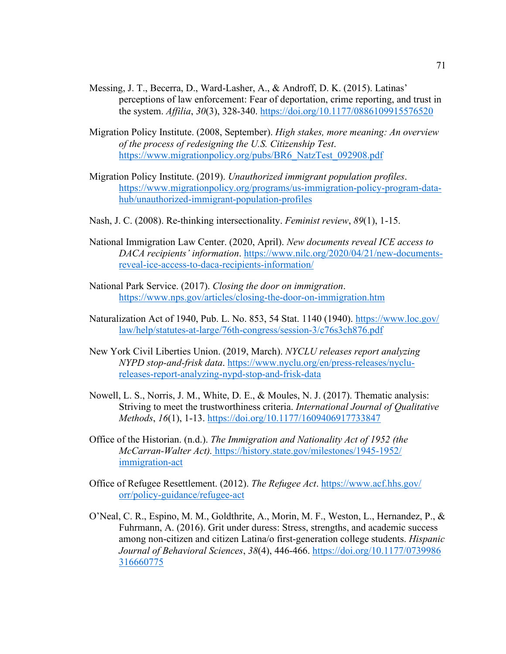- Messing, J. T., Becerra, D., Ward-Lasher, A., & Androff, D. K. (2015). Latinas' perceptions of law enforcement: Fear of deportation, crime reporting, and trust in the system. *Affilia*, *30*(3), 328-340.<https://doi.org/10.1177/0886109915576520>
- Migration Policy Institute. (2008, September). *High stakes, more meaning: An overview of the process of redesigning the U.S. Citizenship Test*. [https://www.migrationpolicy.org/pubs/BR6\\_NatzTest\\_092908.pdf](https://www.migrationpolicy.org/pubs/BR6_NatzTest_092908.pdf)
- Migration Policy Institute. (2019). *Unauthorized immigrant population profiles*. [https://www.migrationpolicy.org/programs/us-immigration-policy-program-data](https://www.migrationpolicy.org/programs/us-immigration-policy-program-data-hub/unauthorized-immigrant-population-profiles)[hub/unauthorized-immigrant-population-profiles](https://www.migrationpolicy.org/programs/us-immigration-policy-program-data-hub/unauthorized-immigrant-population-profiles)
- Nash, J. C. (2008). Re-thinking intersectionality. *Feminist review*, *89*(1), 1-15.
- National Immigration Law Center. (2020, April). *New documents reveal ICE access to DACA recipients' information*. [https://www.nilc.org/2020/04/21/new-documents](https://www.nilc.org/2020/04/21/new-documents-reveal-ice-access-to-daca-recipients-information/)[reveal-ice-access-to-daca-recipients-information/](https://www.nilc.org/2020/04/21/new-documents-reveal-ice-access-to-daca-recipients-information/)
- National Park Service. (2017). *Closing the door on immigration*. <https://www.nps.gov/articles/closing-the-door-on-immigration.htm>
- Naturalization Act of 1940, Pub. L. No. 853, 54 Stat. 1140 (1940). [https://www.loc.gov/](https://www.loc.gov/%20law/help/statutes-at-large/76th-congress/session-3/c76s3ch876.pdf)  [law/help/statutes-at-large/76th-congress/session-3/c76s3ch876.pdf](https://www.loc.gov/%20law/help/statutes-at-large/76th-congress/session-3/c76s3ch876.pdf)
- New York Civil Liberties Union. (2019, March). *NYCLU releases report analyzing NYPD stop-and-frisk data*. [https://www.nyclu.org/en/press-releases/nyclu](https://www.nyclu.org/en/press-releases/nyclu-releases-report-analyzing-nypd-stop-and-frisk-data)[releases-report-analyzing-nypd-stop-and-frisk-data](https://www.nyclu.org/en/press-releases/nyclu-releases-report-analyzing-nypd-stop-and-frisk-data)
- Nowell, L. S., Norris, J. M., White, D. E., & Moules, N. J. (2017). Thematic analysis: Striving to meet the trustworthiness criteria. *International Journal of Qualitative Methods*, *16*(1), 1-13.<https://doi.org/10.1177/1609406917733847>
- Office of the Historian. (n.d.). *The Immigration and Nationality Act of 1952 (the McCarran-Walter Act).* [https://history.state.gov/milestones/1945-1952/](https://history.state.gov/milestones/1945-1952/%20immigration-act)  [immigration-act](https://history.state.gov/milestones/1945-1952/%20immigration-act)
- Office of Refugee Resettlement. (2012). *The Refugee Act*. [https://www.acf.hhs.gov/](https://www.acf.hhs.gov/%20orr/policy-guidance/refugee-act)  [orr/policy-guidance/refugee-act](https://www.acf.hhs.gov/%20orr/policy-guidance/refugee-act)
- O'Neal, C. R., Espino, M. M., Goldthrite, A., Morin, M. F., Weston, L., Hernandez, P., & Fuhrmann, A. (2016). Grit under duress: Stress, strengths, and academic success among non-citizen and citizen Latina/o first-generation college students. *Hispanic Journal of Behavioral Sciences*, *38*(4), 446-466. [https://doi.org/10.1177/0739986](https://doi.org/10.1177/0739986%20316660775)  [316660775](https://doi.org/10.1177/0739986%20316660775)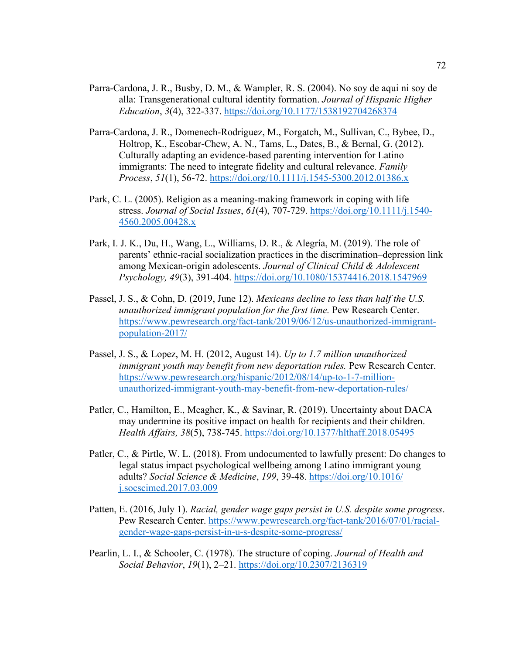- Parra-Cardona, J. R., Busby, D. M., & Wampler, R. S. (2004). No soy de aqui ni soy de alla: Transgenerational cultural identity formation. *Journal of Hispanic Higher Education*, *3*(4), 322-337.<https://doi.org/10.1177/1538192704268374>
- Parra-Cardona, J. R., Domenech‐Rodriguez, M., Forgatch, M., Sullivan, C., Bybee, D., Holtrop, K., Escobar-Chew, A. N., Tams, L., Dates, B., & Bernal, G. (2012). Culturally adapting an evidence‐based parenting intervention for Latino immigrants: The need to integrate fidelity and cultural relevance. *Family Process*, *51*(1), 56-72.<https://doi.org/10.1111/j.1545-5300.2012.01386.x>
- Park, C. L. (2005). Religion as a meaning‐making framework in coping with life stress. *Journal of Social Issues*, *61*(4), 707-729. [https://doi.org/10.1111/j.1540-](https://doi.org/10.1111/j.1540-4560.2005.00428.x) [4560.2005.00428.x](https://doi.org/10.1111/j.1540-4560.2005.00428.x)
- Park, I. J. K., Du, H., Wang, L., Williams, D. R., & Alegría, M. (2019). The role of parents' ethnic-racial socialization practices in the discrimination–depression link among Mexican-origin adolescents. *Journal of Clinical Child & Adolescent Psychology, 49*(3), 391-404.<https://doi.org/10.1080/15374416.2018.1547969>
- Passel, J. S., & Cohn, D. (2019, June 12). *Mexicans decline to less than half the U.S. unauthorized immigrant population for the first time.* Pew Research Center. [https://www.pewresearch.org/fact-tank/2019/06/12/us-unauthorized-immigrant](https://www.pewresearch.org/fact-tank/2019/06/12/us-unauthorized-immigrant-population-2017/)[population-2017/](https://www.pewresearch.org/fact-tank/2019/06/12/us-unauthorized-immigrant-population-2017/)
- Passel, J. S., & Lopez, M. H. (2012, August 14). *Up to 1.7 million unauthorized immigrant youth may benefit from new deportation rules.* Pew Research Center. [https://www.pewresearch.org/hispanic/2012/08/14/up-to-1-7-million](https://www.pewresearch.org/hispanic/2012/08/14/up-to-1-7-million-unauthorized-immigrant-youth-may-benefit-from-new-deportation-rules/)[unauthorized-immigrant-youth-may-benefit-from-new-deportation-rules/](https://www.pewresearch.org/hispanic/2012/08/14/up-to-1-7-million-unauthorized-immigrant-youth-may-benefit-from-new-deportation-rules/)
- Patler, C., Hamilton, E., Meagher, K., & Savinar, R. (2019). Uncertainty about DACA may undermine its positive impact on health for recipients and their children. *Health Affairs, 38*(5), 738-745.<https://doi.org/10.1377/hlthaff.2018.05495>
- Patler, C., & Pirtle, W. L. (2018). From undocumented to lawfully present: Do changes to legal status impact psychological wellbeing among Latino immigrant young adults? *Social Science & Medicine*, *199*, 39-48. [https://doi.org/10.1016/](https://doi.org/10.1016/%20j.socscimed.2017.03.009)  [j.socscimed.2017.03.009](https://doi.org/10.1016/%20j.socscimed.2017.03.009)
- Patten, E. (2016, July 1). *Racial, gender wage gaps persist in U.S. despite some progress*. Pew Research Center. [https://www.pewresearch.org/fact-tank/2016/07/01/racial](https://www.pewresearch.org/fact-tank/2016/07/01/racial-gender-wage-gaps-persist-in-u-s-despite-some-progress/)[gender-wage-gaps-persist-in-u-s-despite-some-progress/](https://www.pewresearch.org/fact-tank/2016/07/01/racial-gender-wage-gaps-persist-in-u-s-despite-some-progress/)
- Pearlin, L. I., & Schooler, C. (1978). The structure of coping. *Journal of Health and Social Behavior*, *19*(1), 2–21.<https://doi.org/10.2307/2136319>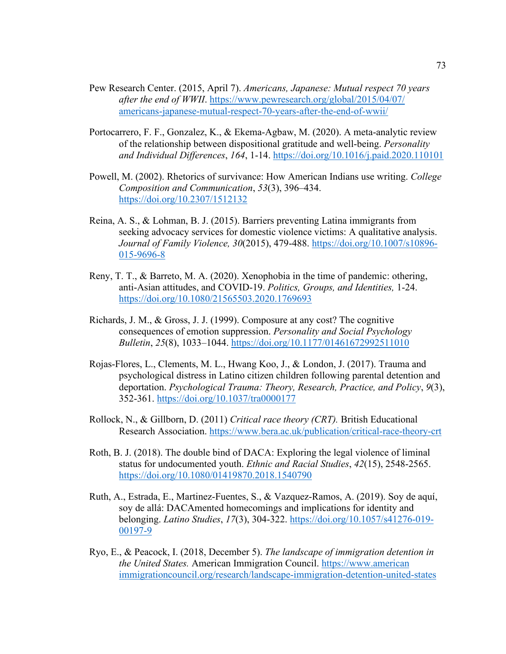- Pew Research Center. (2015, April 7). *Americans, Japanese: Mutual respect 70 years after the end of WWII*. [https://www.pewresearch.org/global/2015/04/07/](https://www.pewresearch.org/global/2015/04/07/%20americans-japanese-mutual-respect-70-years-after-the-end-of-wwii/)  [americans-japanese-mutual-respect-70-years-after-the-end-of-wwii/](https://www.pewresearch.org/global/2015/04/07/%20americans-japanese-mutual-respect-70-years-after-the-end-of-wwii/)
- Portocarrero, F. F., Gonzalez, K., & Ekema-Agbaw, M. (2020). A meta-analytic review of the relationship between dispositional gratitude and well-being. *Personality and Individual Differences*, *164*, 1-14.<https://doi.org/10.1016/j.paid.2020.110101>
- Powell, M. (2002). Rhetorics of survivance: How American Indians use writing. *College Composition and Communication*, *53*(3), 396–434. <https://doi.org/10.2307/1512132>
- Reina, A. S., & Lohman, B. J. (2015). Barriers preventing Latina immigrants from seeking advocacy services for domestic violence victims: A qualitative analysis. *Journal of Family Violence, 30*(2015), 479-488. [https://doi.org/10.1007/s10896-](https://doi.org/10.1007/s10896-015-9696-8) [015-9696-8](https://doi.org/10.1007/s10896-015-9696-8)
- Reny, T. T., & Barreto, M. A. (2020). Xenophobia in the time of pandemic: othering, anti-Asian attitudes, and COVID-19. *Politics, Groups, and Identities,* 1-24. <https://doi.org/10.1080/21565503.2020.1769693>
- Richards, J. M., & Gross, J. J. (1999). Composure at any cost? The cognitive consequences of emotion suppression. *Personality and Social Psychology Bulletin*, *25*(8), 1033–1044. <https://doi.org/10.1177/01461672992511010>
- Rojas-Flores, L., Clements, M. L., Hwang Koo, J., & London, J. (2017). Trauma and psychological distress in Latino citizen children following parental detention and deportation. *Psychological Trauma: Theory, Research, Practice, and Policy*, *9*(3), 352-361.<https://doi.org/10.1037/tra0000177>
- Rollock, N., & Gillborn, D. (2011) *Critical race theory (CRT).* British Educational Research Association.<https://www.bera.ac.uk/publication/critical-race-theory-crt>
- Roth, B. J. (2018). The double bind of DACA: Exploring the legal violence of liminal status for undocumented youth. *Ethnic and Racial Studies*, *42*(15), 2548-2565. <https://doi.org/10.1080/01419870.2018.1540790>
- Ruth, A., Estrada, E., Martinez-Fuentes, S., & Vazquez-Ramos, A. (2019). Soy de aquí, soy de allá: DACAmented homecomings and implications for identity and belonging. *Latino Studies*, *17*(3), 304-322. [https://doi.org/10.1057/s41276-019-](https://doi.org/10.1057/s41276-019-00197-9) [00197-9](https://doi.org/10.1057/s41276-019-00197-9)
- Ryo, E., & Peacock, I. (2018, December 5). *The landscape of immigration detention in the United States.* American Immigration Council. https://www.american immigrationcouncil.org/research/landscape-immigration-detention-united-states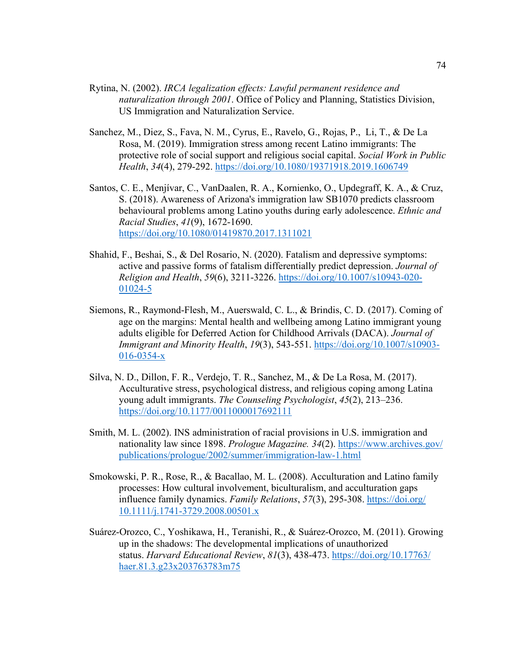- Rytina, N. (2002). *IRCA legalization effects: Lawful permanent residence and naturalization through 2001*. Office of Policy and Planning, Statistics Division, US Immigration and Naturalization Service.
- Sanchez, M., Diez, S., Fava, N. M., Cyrus, E., Ravelo, G., Rojas, P., Li, T., & De La Rosa, M. (2019). Immigration stress among recent Latino immigrants: The protective role of social support and religious social capital. *Social Work in Public Health*, *34*(4), 279-292.<https://doi.org/10.1080/19371918.2019.1606749>
- Santos, C. E., Menjívar, C., VanDaalen, R. A., Kornienko, O., Updegraff, K. A., & Cruz, S. (2018). Awareness of Arizona's immigration law SB1070 predicts classroom behavioural problems among Latino youths during early adolescence. *Ethnic and Racial Studies*, *41*(9), 1672-1690. <https://doi.org/10.1080/01419870.2017.1311021>
- Shahid, F., Beshai, S., & Del Rosario, N. (2020). Fatalism and depressive symptoms: active and passive forms of fatalism differentially predict depression. *Journal of Religion and Health*, *59*(6), 3211-3226. [https://doi.org/10.1007/s10943-020-](https://doi.org/10.1007/s10943-020-01024-5) [01024-5](https://doi.org/10.1007/s10943-020-01024-5)
- Siemons, R., Raymond-Flesh, M., Auerswald, C. L., & Brindis, C. D. (2017). Coming of age on the margins: Mental health and wellbeing among Latino immigrant young adults eligible for Deferred Action for Childhood Arrivals (DACA). *Journal of Immigrant and Minority Health*, *19*(3), 543-551. [https://doi.org/10.1007/s10903-](https://doi.org/10.1007/s10903-016-0354-x) [016-0354-x](https://doi.org/10.1007/s10903-016-0354-x)
- Silva, N. D., Dillon, F. R., Verdejo, T. R., Sanchez, M., & De La Rosa, M. (2017). Acculturative stress, psychological distress, and religious coping among Latina young adult immigrants. *The Counseling Psychologist*, *45*(2), 213–236. <https://doi.org/10.1177/0011000017692111>
- Smith, M. L. (2002). INS administration of racial provisions in U.S. immigration and nationality law since 1898. *Prologue Magazine. 34*(2). [https://www.archives.gov/](https://www.archives.gov/%20publications/prologue/2002/summer/immigration-law-1.html)  [publications/prologue/2002/summer/immigration-law-1.html](https://www.archives.gov/%20publications/prologue/2002/summer/immigration-law-1.html)
- Smokowski, P. R., Rose, R., & Bacallao, M. L. (2008). Acculturation and Latino family processes: How cultural involvement, biculturalism, and acculturation gaps influence family dynamics. *Family Relations*, *57*(3), 295-308. [https://doi.org/](https://doi.org/%2010.1111/j.1741-3729.2008.00501.x)  [10.1111/j.1741-3729.2008.00501.x](https://doi.org/%2010.1111/j.1741-3729.2008.00501.x)
- Suárez-Orozco, C., Yoshikawa, H., Teranishi, R., & Suárez-Orozco, M. (2011). Growing up in the shadows: The developmental implications of unauthorized status. *Harvard Educational Review*, *81*(3), 438-473. [https://doi.org/10.17763/](https://doi.org/10.17763/%20haer.81.3.g23x203763783m75)  [haer.81.3.g23x203763783m75](https://doi.org/10.17763/%20haer.81.3.g23x203763783m75)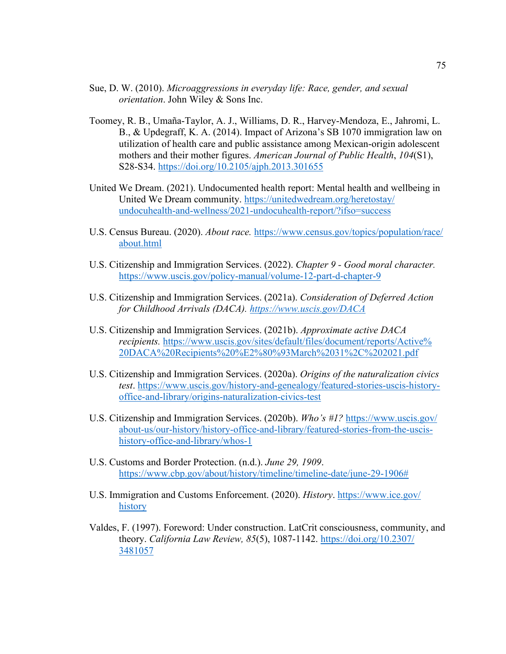- Sue, D. W. (2010). *Microaggressions in everyday life: Race, gender, and sexual orientation*. John Wiley & Sons Inc.
- Toomey, R. B., Umaña-Taylor, A. J., Williams, D. R., Harvey-Mendoza, E., Jahromi, L. B., & Updegraff, K. A. (2014). Impact of Arizona's SB 1070 immigration law on utilization of health care and public assistance among Mexican-origin adolescent mothers and their mother figures. *American Journal of Public Health*, *104*(S1), S28-S34.<https://doi.org/10.2105/ajph.2013.301655>
- United We Dream. (2021). Undocumented health report: Mental health and wellbeing in United We Dream community. [https://unitedwedream.org/heretostay/](https://unitedwedream.org/heretostay/%20undocuhealth-and-wellness/2021-undocuhealth-report/?ifso=success)  [undocuhealth-and-wellness/2021-undocuhealth-report/?ifso=success](https://unitedwedream.org/heretostay/%20undocuhealth-and-wellness/2021-undocuhealth-report/?ifso=success)
- U.S. Census Bureau. (2020). *About race.* [https://www.census.gov/topics/population/race/](https://www.census.gov/topics/population/race/%20about.html)  [about.html](https://www.census.gov/topics/population/race/%20about.html)
- U.S. Citizenship and Immigration Services. (2022). *Chapter 9 - Good moral character.* <https://www.uscis.gov/policy-manual/volume-12-part-d-chapter-9>
- U.S. Citizenship and Immigration Services. (2021a). *Consideration of Deferred Action for Childhood Arrivals (DACA). <https://www.uscis.gov/DACA>*
- U.S. Citizenship and Immigration Services. (2021b). *Approximate active DACA recipients.* https://www.uscis.gov/sites/default/files/document/reports/Active% [20DACA%20Recipients%20%E2%80%93March%2031%2C%202021.pdf](https://www.uscis.gov/sites/default/files/document/reports/Active%25%2020DACA%20Recipients%20%E2%80%93March%2031%2C%202021.pdf)
- U.S. Citizenship and Immigration Services. (2020a). *Origins of the naturalization civics test*. [https://www.uscis.gov/history-and-genealogy/featured-stories-uscis-history](https://www.uscis.gov/history-and-genealogy/featured-stories-uscis-history-office-and-library/origins-naturalization-civics-test)[office-and-library/origins-naturalization-civics-test](https://www.uscis.gov/history-and-genealogy/featured-stories-uscis-history-office-and-library/origins-naturalization-civics-test)
- U.S. Citizenship and Immigration Services. (2020b). *Who's #1?* [https://www.uscis.gov/](https://www.uscis.gov/%20about-us/our-history/history-office-and-library/featured-stories-from-the-uscis-history-office-and-library/whos-1)  [about-us/our-history/history-office-and-library/featured-stories-from-the-uscis](https://www.uscis.gov/%20about-us/our-history/history-office-and-library/featured-stories-from-the-uscis-history-office-and-library/whos-1)[history-office-and-library/whos-1](https://www.uscis.gov/%20about-us/our-history/history-office-and-library/featured-stories-from-the-uscis-history-office-and-library/whos-1)
- U.S. Customs and Border Protection. (n.d.). *June 29, 1909*. [https://www.cbp.gov/about/history/timeline/timeline-date/june-29-1906#](https://www.cbp.gov/about/history/timeline/timeline-date/june-29-1906%23)
- U.S. Immigration and Customs Enforcement. (2020). *History*. [https://www.ice.gov/](https://www.ice.gov/%20history)  [history](https://www.ice.gov/%20history)
- Valdes, F. (1997). Foreword: Under construction. LatCrit consciousness, community, and theory. *California Law Review, 85*(5), 1087-1142. [https://doi.org/10.2307/](https://doi.org/10.2307/%203481057)  [3481057](https://doi.org/10.2307/%203481057)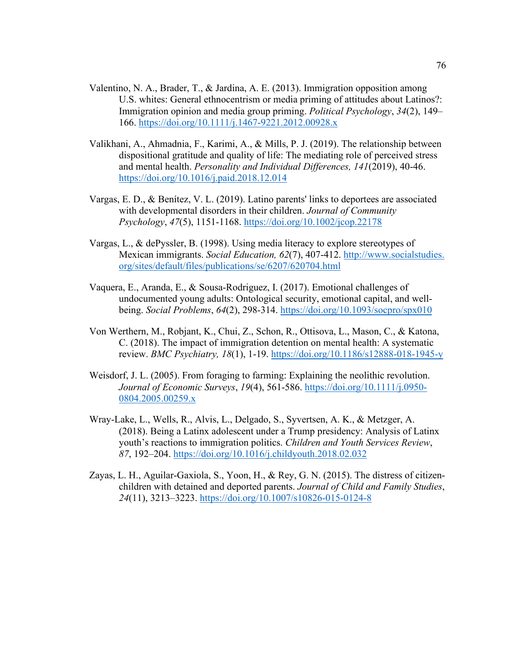- Valentino, N. A., Brader, T., & Jardina, A. E. (2013). Immigration opposition among U.S. whites: General ethnocentrism or media priming of attitudes about Latinos?: Immigration opinion and media group priming. *Political Psychology*, *34*(2), 149– 166.<https://doi.org/10.1111/j.1467-9221.2012.00928.x>
- Valikhani, A., Ahmadnia, F., Karimi, A., & Mills, P. J. (2019). The relationship between dispositional gratitude and quality of life: The mediating role of perceived stress and mental health. *Personality and Individual Differences, 141*(2019), 40-46. <https://doi.org/10.1016/j.paid.2018.12.014>
- Vargas, E. D., & Benítez, V. L. (2019). Latino parents' links to deportees are associated with developmental disorders in their children. *Journal of Community Psychology*, *47*(5), 1151-1168.<https://doi.org/10.1002/jcop.22178>
- Vargas, L., & dePyssler, B. (1998). Using media literacy to explore stereotypes of Mexican immigrants. *Social Education, 62*(7), 407-412. http://www.socialstudies. org/sites/default/files/publications/se/6207/620704.html
- Vaquera, E., Aranda, E., & Sousa-Rodriguez, I. (2017). Emotional challenges of undocumented young adults: Ontological security, emotional capital, and wellbeing. *Social Problems*, *64*(2), 298-314.<https://doi.org/10.1093/socpro/spx010>
- Von Werthern, M., Robjant, K., Chui, Z., Schon, R., Ottisova, L., Mason, C., & Katona, C. (2018). The impact of immigration detention on mental health: A systematic review. *BMC Psychiatry, 18*(1), 1-19.<https://doi.org/10.1186/s12888-018-1945-y>
- Weisdorf, J. L. (2005). From foraging to farming: Explaining the neolithic revolution. *Journal of Economic Surveys*, *19*(4), 561-586. [https://doi.org/10.1111/j.0950-](https://doi.org/10.1111/j.0950-0804.2005.00259.x) [0804.2005.00259.x](https://doi.org/10.1111/j.0950-0804.2005.00259.x)
- Wray-Lake, L., Wells, R., Alvis, L., Delgado, S., Syvertsen, A. K., & Metzger, A. (2018). Being a Latinx adolescent under a Trump presidency: Analysis of Latinx youth's reactions to immigration politics. *Children and Youth Services Review*, *87*, 192–204.<https://doi.org/10.1016/j.childyouth.2018.02.032>
- Zayas, L. H., Aguilar-Gaxiola, S., Yoon, H., & Rey, G. N. (2015). The distress of citizenchildren with detained and deported parents. *Journal of Child and Family Studies*, *24*(11), 3213–3223.<https://doi.org/10.1007/s10826-015-0124-8>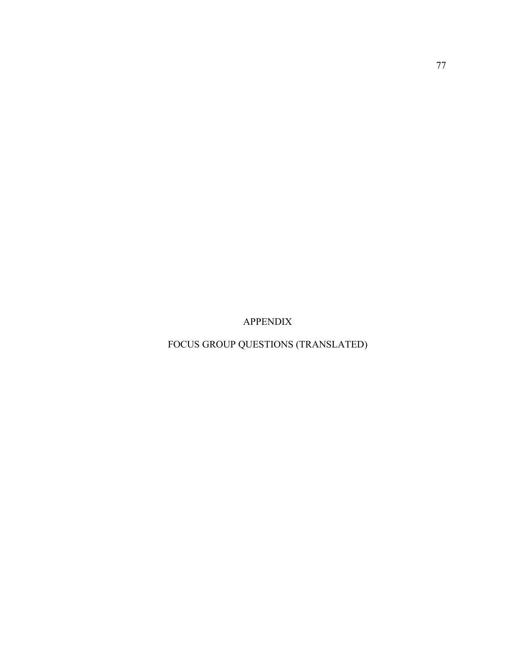APPENDIX

FOCUS GROUP QUESTIONS (TRANSLATED)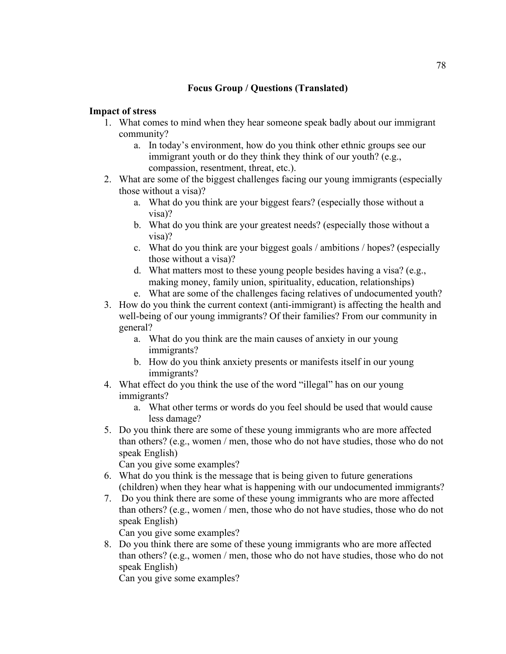# **Focus Group / Questions (Translated)**

### **Impact of stress**

- 1. What comes to mind when they hear someone speak badly about our immigrant community?
	- a. In today's environment, how do you think other ethnic groups see our immigrant youth or do they think they think of our youth? (e.g., compassion, resentment, threat, etc.).
- 2. What are some of the biggest challenges facing our young immigrants (especially those without a visa)?
	- a. What do you think are your biggest fears? (especially those without a visa)?
	- b. What do you think are your greatest needs? (especially those without a visa)?
	- c. What do you think are your biggest goals / ambitions / hopes? (especially those without a visa)?
	- d. What matters most to these young people besides having a visa? (e.g., making money, family union, spirituality, education, relationships)
	- e. What are some of the challenges facing relatives of undocumented youth?
- 3. How do you think the current context (anti-immigrant) is affecting the health and well-being of our young immigrants? Of their families? From our community in general?
	- a. What do you think are the main causes of anxiety in our young immigrants?
	- b. How do you think anxiety presents or manifests itself in our young immigrants?
- 4. What effect do you think the use of the word "illegal" has on our young immigrants?
	- a. What other terms or words do you feel should be used that would cause less damage?
- 5. Do you think there are some of these young immigrants who are more affected than others? (e.g., women / men, those who do not have studies, those who do not speak English)

Can you give some examples?

- 6. What do you think is the message that is being given to future generations (children) when they hear what is happening with our undocumented immigrants?
- 7. Do you think there are some of these young immigrants who are more affected than others? (e.g., women / men, those who do not have studies, those who do not speak English)

Can you give some examples?

8. Do you think there are some of these young immigrants who are more affected than others? (e.g., women / men, those who do not have studies, those who do not speak English)

Can you give some examples?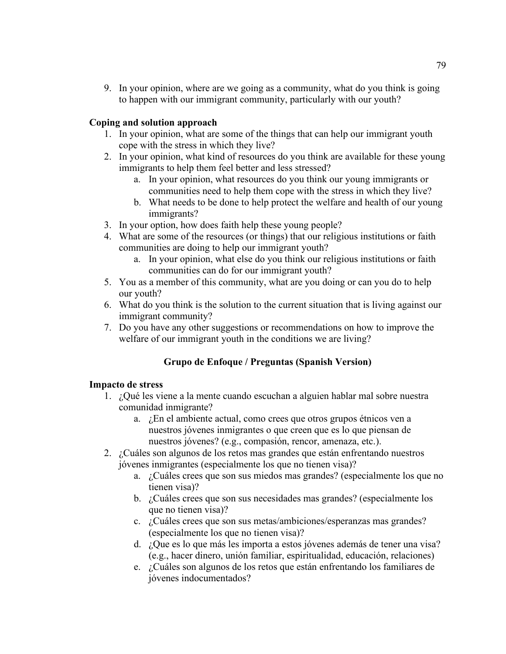9. In your opinion, where are we going as a community, what do you think is going to happen with our immigrant community, particularly with our youth?

### **Coping and solution approach**

- 1. In your opinion, what are some of the things that can help our immigrant youth cope with the stress in which they live?
- 2. In your opinion, what kind of resources do you think are available for these young immigrants to help them feel better and less stressed?
	- a. In your opinion, what resources do you think our young immigrants or communities need to help them cope with the stress in which they live?
	- b. What needs to be done to help protect the welfare and health of our young immigrants?
- 3. In your option, how does faith help these young people?
- 4. What are some of the resources (or things) that our religious institutions or faith communities are doing to help our immigrant youth?
	- a. In your opinion, what else do you think our religious institutions or faith communities can do for our immigrant youth?
- 5. You as a member of this community, what are you doing or can you do to help our youth?
- 6. What do you think is the solution to the current situation that is living against our immigrant community?
- 7. Do you have any other suggestions or recommendations on how to improve the welfare of our immigrant youth in the conditions we are living?

# **Grupo de Enfoque / Preguntas (Spanish Version)**

#### **Impacto de stress**

- 1. ¿Qué les viene a la mente cuando escuchan a alguien hablar mal sobre nuestra comunidad inmigrante?
	- a. ¿En el ambiente actual, como crees que otros grupos étnicos ven a nuestros jóvenes inmigrantes o que creen que es lo que piensan de nuestros jóvenes? (e.g., compasión, rencor, amenaza, etc.).
- 2. ¿Cuáles son algunos de los retos mas grandes que están enfrentando nuestros jóvenes inmigrantes (especialmente los que no tienen visa)?
	- a. ¿Cuáles crees que son sus miedos mas grandes? (especialmente los que no tienen visa)?
	- b. ¿Cuáles crees que son sus necesidades mas grandes? (especialmente los que no tienen visa)?
	- c. ¿Cuáles crees que son sus metas/ambiciones/esperanzas mas grandes? (especialmente los que no tienen visa)?
	- d. ¿Que es lo que más les importa a estos jóvenes además de tener una visa? (e.g., hacer dinero, unión familiar, espiritualidad, educación, relaciones)
	- e. ¿Cuáles son algunos de los retos que están enfrentando los familiares de jóvenes indocumentados?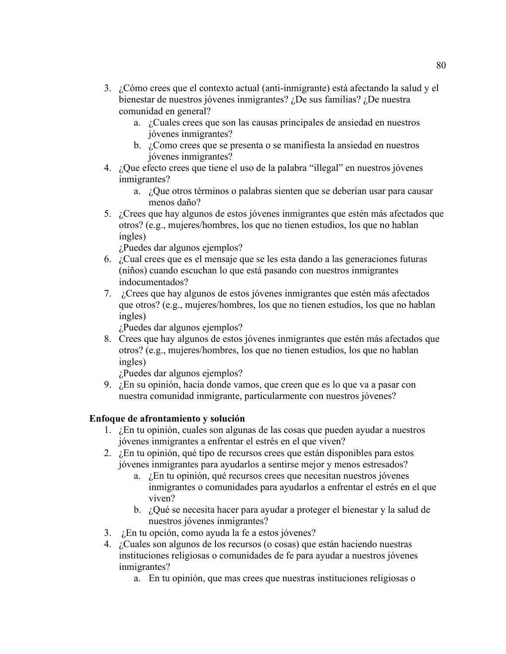- 3. ¿Cómo crees que el contexto actual (anti-inmigrante) está afectando la salud y el bienestar de nuestros jóvenes inmigrantes? ¿De sus familias? ¿De nuestra comunidad en general?
	- a. ¿Cuales crees que son las causas principales de ansiedad en nuestros jóvenes inmigrantes?
	- b. ¿Como crees que se presenta o se manifiesta la ansiedad en nuestros jóvenes inmigrantes?
- 4. ¿Que efecto crees que tiene el uso de la palabra "illegal" en nuestros jóvenes inmigrantes?
	- a. ¿Que otros términos o palabras sienten que se deberían usar para causar menos daño?
- 5. ¿Crees que hay algunos de estos jóvenes inmigrantes que estén más afectados que otros? (e.g., mujeres/hombres, los que no tienen estudios, los que no hablan ingles)

¿Puedes dar algunos ejemplos?

- 6. ¿Cual crees que es el mensaje que se les esta dando a las generaciones futuras (niños) cuando escuchan lo que está pasando con nuestros inmigrantes indocumentados?
- 7. ¿Crees que hay algunos de estos jóvenes inmigrantes que estén más afectados que otros? (e.g., mujeres/hombres, los que no tienen estudios, los que no hablan ingles)

¿Puedes dar algunos ejemplos?

8. Crees que hay algunos de estos jóvenes inmigrantes que estén más afectados que otros? (e.g., mujeres/hombres, los que no tienen estudios, los que no hablan ingles)

¿Puedes dar algunos ejemplos?

9. ¿En su opinión, hacia donde vamos, que creen que es lo que va a pasar con nuestra comunidad inmigrante, particularmente con nuestros jóvenes?

## **Enfoque de afrontamiento y solución**

- 1. ¿En tu opinión, cuales son algunas de las cosas que pueden ayudar a nuestros jóvenes inmigrantes a enfrentar el estrés en el que viven?
- 2. ¿En tu opinión, qué tipo de recursos crees que están disponibles para estos jóvenes inmigrantes para ayudarlos a sentirse mejor y menos estresados?
	- a. ¿En tu opinión, qué recursos crees que necesitan nuestros jóvenes inmigrantes o comunidades para ayudarlos a enfrentar el estrés en el que viven?
	- b. ¿Qué se necesita hacer para ayudar a proteger el bienestar y la salud de nuestros jóvenes inmigrantes?
- 3. ¿En tu opción, como ayuda la fe a estos jóvenes?
- 4. ¿Cuales son algunos de los recursos (o cosas) que están haciendo nuestras instituciones religiosas o comunidades de fe para ayudar a nuestros jóvenes inmigrantes?
	- a. En tu opinión, que mas crees que nuestras instituciones religiosas o